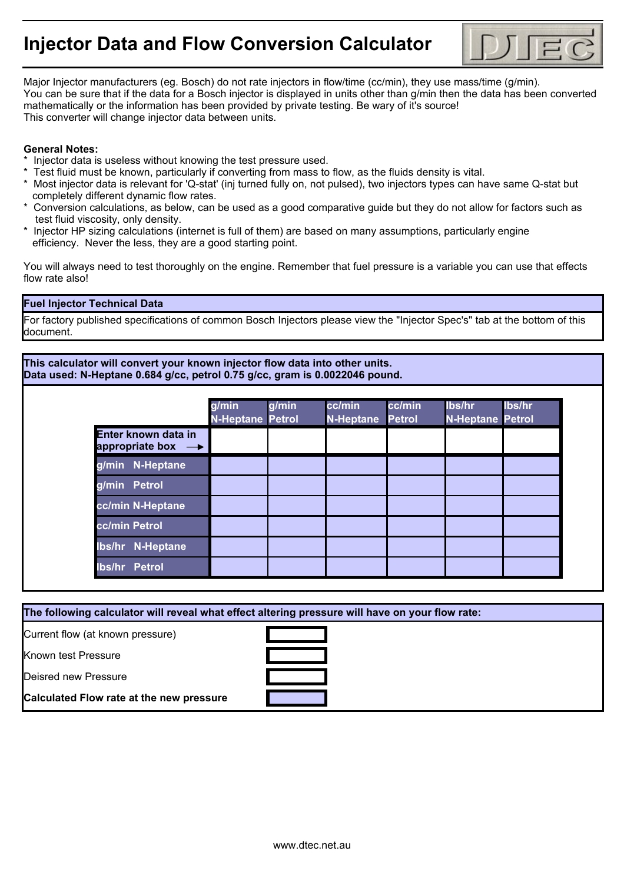## **Injector Data and Flow Conversion Calculator**



Major Injector manufacturers (eg. Bosch) do not rate injectors in flow/time (cc/min), they use mass/time (g/min). You can be sure that if the data for a Bosch injector is displayed in units other than g/min then the data has been converted mathematically or the information has been provided by private testing. Be wary of it's source! This converter will change injector data between units.

## **General Notes:**

- Injector data is useless without knowing the test pressure used.
- Test fluid must be known, particularly if converting from mass to flow, as the fluids density is vital.
- \* Most injector data is relevant for 'Q-stat' (inj turned fully on, not pulsed), two injectors types can have same Q-stat but completely different dynamic flow rates.
- \* Conversion calculations, as below, can be used as a good comparative guide but they do not allow for factors such as test fluid viscosity, only density.
- Injector HP sizing calculations (internet is full of them) are based on many assumptions, particularly engine efficiency. Never the less, they are a good starting point.

You will always need to test thoroughly on the engine. Remember that fuel pressure is a variable you can use that effects flow rate also!

## **Fuel Injector Technical Data**

For factory published specifications of common Bosch Injectors please view the "Injector Spec's" tab at the bottom of this document.

**This calculator will convert your known injector flow data into other units. Data used: N-Heptane 0.684 g/cc, petrol 0.75 g/cc, gram is 0.0022046 pound.**

|                                                      | g/min<br><b>N-Heptane Petrol</b> | g/min | cc/min<br><b>N-Heptane</b> | cc/min<br><b>Petrol</b> | lbs/hr<br><b>N-Heptane Petrol</b> | lbs/hr |
|------------------------------------------------------|----------------------------------|-------|----------------------------|-------------------------|-----------------------------------|--------|
| Enter known data in<br>appropriate box $\rightarrow$ |                                  |       |                            |                         |                                   |        |
| g/min N-Heptane                                      |                                  |       |                            |                         |                                   |        |
| g/min Petrol                                         |                                  |       |                            |                         |                                   |        |
| cc/min N-Heptane                                     |                                  |       |                            |                         |                                   |        |
| cc/min Petrol                                        |                                  |       |                            |                         |                                   |        |
| Ibs/hr N-Heptane                                     |                                  |       |                            |                         |                                   |        |
| Ibs/hr Petrol                                        |                                  |       |                            |                         |                                   |        |

**The following calculator will reveal what effect altering pressure will have on your flow rate:**

Current flow (at known pressure)

Known test Pressure



Deisred new Pressure

**Calculated Flow rate at the new pressure**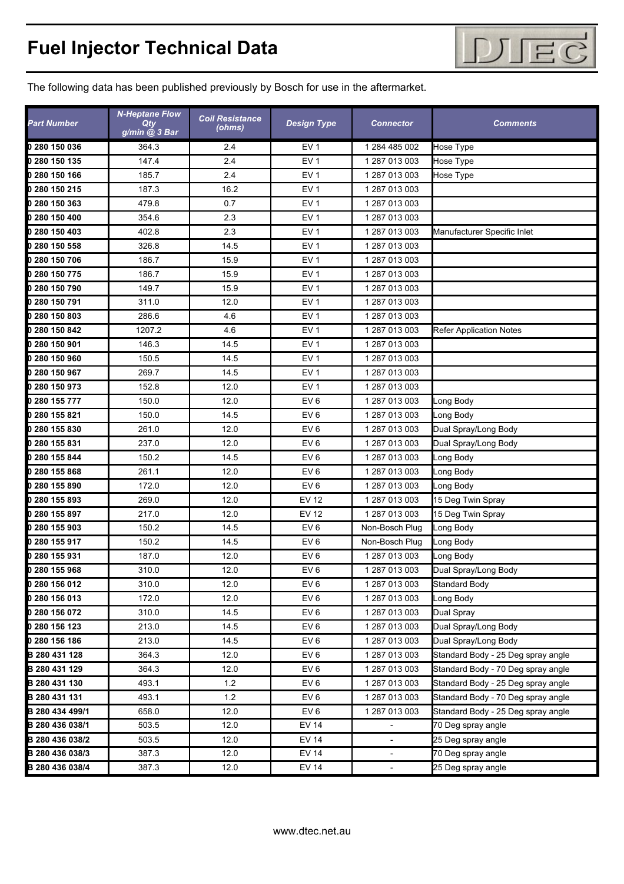## **Fuel Injector Technical Data**



The following data has been published previously by Bosch for use in the aftermarket.

| <b>Part Number</b>             | <b>N-Heptane Flow</b><br>Qty<br>g/min @ 3 Bar | <b>Coil Resistance</b><br>(ohms) | <b>Design Type</b>                 | <b>Connector</b>                | Comments                           |
|--------------------------------|-----------------------------------------------|----------------------------------|------------------------------------|---------------------------------|------------------------------------|
| 0 280 150 036                  | 364.3                                         | 2.4                              | EV <sub>1</sub>                    | 1 284 485 002                   | Hose Type                          |
| 0 280 150 135                  | 147.4                                         | 2.4                              | EV <sub>1</sub>                    | 1 287 013 003                   | Hose Type                          |
| 0 280 150 166                  | 185.7                                         | 2.4                              | EV <sub>1</sub>                    | 1 287 013 003                   | Hose Type                          |
| 0 280 150 215                  | 187.3                                         | 16.2                             | EV <sub>1</sub>                    | 1 287 013 003                   |                                    |
| 0 280 150 363                  | 479.8                                         | 0.7                              | EV <sub>1</sub>                    | 1 287 013 003                   |                                    |
| 0 280 150 400                  | 354.6                                         | 2.3                              | EV <sub>1</sub>                    | 1 287 013 003                   |                                    |
| 0 280 150 403                  | 402.8                                         | 2.3                              | EV <sub>1</sub>                    | 1 287 013 003                   | Manufacturer Specific Inlet        |
| 0 280 150 558                  | 326.8                                         | 14.5                             | EV <sub>1</sub>                    | 1 287 013 003                   |                                    |
| 0 280 150 706                  | 186.7                                         | 15.9                             | EV <sub>1</sub>                    | 1 287 013 003                   |                                    |
| 0 280 150 775                  | 186.7                                         | 15.9                             | EV <sub>1</sub>                    | 1 287 013 003                   |                                    |
| 0 280 150 790                  | 149.7                                         | 15.9                             | EV <sub>1</sub>                    | 1 287 013 003                   |                                    |
| 0 280 150 791                  | 311.0                                         | 12.0                             | EV <sub>1</sub>                    | 1 287 013 003                   |                                    |
| 0 280 150 803                  | 286.6                                         | 4.6                              | EV <sub>1</sub>                    | 1 287 013 003                   |                                    |
| 0 280 150 842                  | 1207.2                                        | 4.6                              | EV <sub>1</sub>                    | 1 287 013 003                   | <b>Refer Application Notes</b>     |
| 0 280 150 901                  | 146.3                                         | 14.5                             | EV <sub>1</sub>                    | 1 287 013 003                   |                                    |
| 0 280 150 960                  | 150.5                                         | 14.5                             | EV <sub>1</sub>                    | 1 287 013 003                   |                                    |
| 0 280 150 967                  | 269.7                                         | 14.5                             | EV <sub>1</sub>                    | 1 287 013 003                   |                                    |
| 0 280 150 973                  | 152.8                                         | 12.0                             | EV <sub>1</sub>                    | 1 287 013 003                   |                                    |
| 0 280 155 777                  | 150.0                                         | 12.0                             | EV <sub>6</sub>                    | 1 287 013 003                   | Long Body                          |
| 0 280 155 821                  | 150.0                                         | 14.5                             | EV <sub>6</sub>                    | 1 287 013 003                   | Long Body                          |
| 0 280 155 830                  | 261.0                                         | 12.0                             | EV <sub>6</sub>                    | 1 287 013 003                   | Dual Spray/Long Body               |
| 0 280 155 831                  | 237.0                                         | 12.0                             | EV <sub>6</sub>                    | 1 287 013 003                   | Dual Spray/Long Body               |
| 0 280 155 844                  | 150.2                                         | 14.5                             | EV <sub>6</sub>                    | 1 287 013 003                   | Long Body                          |
| 0 280 155 868                  | 261.1                                         | 12.0                             | EV <sub>6</sub>                    | 1 287 013 003                   | Long Body                          |
| 0 280 155 890                  | 172.0                                         | 12.0                             | EV <sub>6</sub>                    | 1 287 013 003                   | Long Body                          |
| 0 280 155 893                  | 269.0                                         | 12.0                             | <b>EV 12</b>                       | 1 287 013 003                   | 15 Deg Twin Spray                  |
| 0 280 155 897                  | 217.0                                         | 12.0                             | <b>EV 12</b>                       | 1 287 013 003                   | 15 Deg Twin Spray                  |
| 0 280 155 903<br>0 280 155 917 | 150.2<br>150.2                                | 14.5<br>14.5                     | EV <sub>6</sub><br>EV <sub>6</sub> | Non-Bosch Plug                  | Long Body                          |
| 0 280 155 931                  | 187.0                                         | 12.0                             | EV <sub>6</sub>                    | Non-Bosch Plug<br>1 287 013 003 | Long Body                          |
| 0 280 155 968                  | 310.0                                         | 12.0                             | EV <sub>6</sub>                    | 1 287 013 003                   | Long Body<br>Dual Spray/Long Body  |
| 0 280 156 012                  | 310.0                                         | 12.0                             | EV <sub>6</sub>                    | 1 287 013 003                   | Standard Body                      |
| 0 280 156 013                  | 172.0                                         | 12.0                             | EV <sub>6</sub>                    | 1 287 013 003                   | Long Body                          |
| 0 280 156 072                  | 310.0                                         | 14.5                             | EV <sub>6</sub>                    | 1 287 013 003                   | Dual Spray                         |
| 0 280 156 123                  | 213.0                                         | 14.5                             | EV <sub>6</sub>                    | 1 287 013 003                   | Dual Spray/Long Body               |
| 0 280 156 186                  | 213.0                                         | 14.5                             | EV <sub>6</sub>                    | 1 287 013 003                   | Dual Spray/Long Body               |
| B 280 431 128                  | 364.3                                         | 12.0                             | EV <sub>6</sub>                    | 1 287 013 003                   | Standard Body - 25 Deg spray angle |
| B 280 431 129                  | 364.3                                         | 12.0                             | EV <sub>6</sub>                    | 1 287 013 003                   | Standard Body - 70 Deg spray angle |
| <b>B</b> 280 431 130           | 493.1                                         | $1.2$                            | EV <sub>6</sub>                    | 1 287 013 003                   | Standard Body - 25 Deg spray angle |
| B 280 431 131                  | 493.1                                         | 1.2                              | EV <sub>6</sub>                    | 1 287 013 003                   | Standard Body - 70 Deg spray angle |
| B 280 434 499/1                | 658.0                                         | 12.0                             | EV <sub>6</sub>                    | 1 287 013 003                   | Standard Body - 25 Deg spray angle |
| B 280 436 038/1                | 503.5                                         | 12.0                             | <b>EV 14</b>                       |                                 | 70 Deg spray angle                 |
| B 280 436 038/2                | 503.5                                         | 12.0                             | <b>EV 14</b>                       |                                 | 25 Deg spray angle                 |
| B 280 436 038/3                | 387.3                                         | 12.0                             | <b>EV 14</b>                       |                                 | 70 Deg spray angle                 |
| B 280 436 038/4                | 387.3                                         | 12.0                             | EV 14                              |                                 | 25 Deg spray angle                 |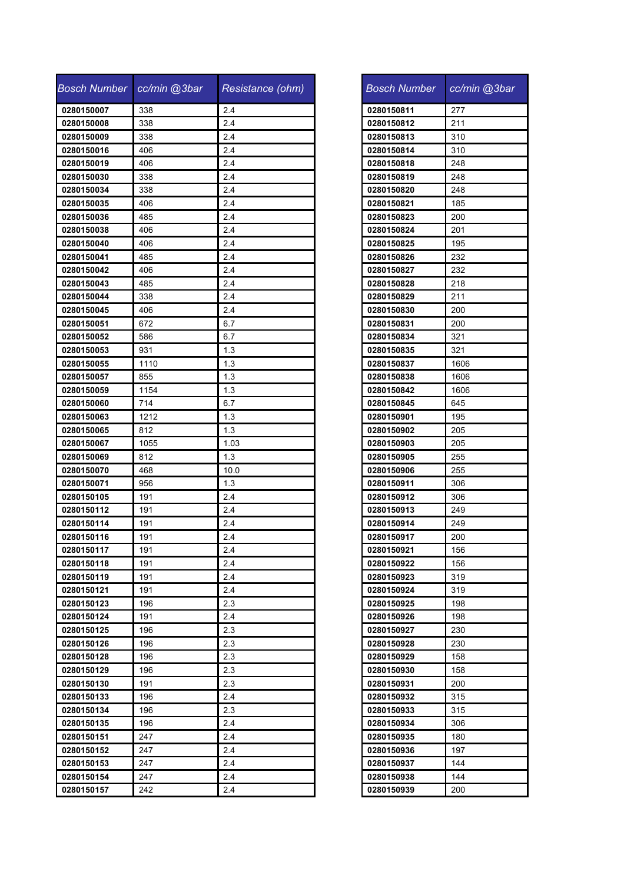| <b>Bosch Number</b> | cc/min @3bar | Resistance (ohm) | <b>Bosch Number</b> | cc/min @3bar |
|---------------------|--------------|------------------|---------------------|--------------|
| 0280150007          | 338          | 2.4              | 0280150811          | 277          |
| 0280150008          | 338          | 2.4              | 0280150812          | 211          |
| 0280150009          | 338          | 2.4              | 0280150813          | 310          |
| 0280150016          | 406          | 2.4              | 0280150814          | 310          |
| 0280150019          | 406          | 2.4              | 0280150818          | 248          |
| 0280150030          | 338          | 2.4              | 0280150819          | 248          |
| 0280150034          | 338          | 2.4              | 0280150820          | 248          |
| 0280150035          | 406          | 2.4              | 0280150821          | 185          |
| 0280150036          | 485          | 2.4              | 0280150823          | 200          |
| 0280150038          | 406          | 2.4              | 0280150824          | 201          |
| 0280150040          | 406          | 2.4              | 0280150825          | 195          |
| 0280150041          | 485          | 2.4              | 0280150826          | 232          |
| 0280150042          | 406          | 2.4              | 0280150827          | 232          |
| 0280150043          | 485          | 2.4              | 0280150828          | 218          |
| 0280150044          | 338          | 2.4              | 0280150829          | 211          |
| 0280150045          | 406          | 2.4              | 0280150830          | 200          |
| 0280150051          | 672          | 6.7              | 0280150831          | 200          |
| 0280150052          | 586          | 6.7              | 0280150834          | 321          |
| 0280150053          | 931          | 1.3              | 0280150835          | 321          |
| 0280150055          | 1110         | 1.3              | 0280150837          | 1606         |
| 0280150057          | 855          | 1.3              | 0280150838          | 1606         |
| 0280150059          | 1154         | 1.3              | 0280150842          | 1606         |
| 0280150060          | 714          | 6.7              | 0280150845          | 645          |
| 0280150063          | 1212         | 1.3              | 0280150901          | 195          |
| 0280150065          | 812          | 1.3              | 0280150902          | 205          |
| 0280150067          | 1055         | 1.03             | 0280150903          | 205          |
| 0280150069          | 812          | 1.3              | 0280150905          | 255          |
| 0280150070          | 468          | 10.0             | 0280150906          | 255          |
| 0280150071          | 956          | 1.3              | 0280150911          | 306          |
| 0280150105          | 191          | 2.4              | 0280150912          | 306          |
| 0280150112          | 191          | 2.4              | 0280150913          | 249          |
| 0280150114          | 191          | 2.4              | 0280150914          | 249          |
| 0280150116          | 191          | 2.4              | 0280150917          | 200          |
| 0280150117          | 191          | 2.4              | 0280150921          | 156          |
| 0280150118          | 191          | 2.4              | 0280150922          | 156          |
| 0280150119          | 191          | 2.4              | 0280150923          | 319          |
| 0280150121          | 191          | 2.4              | 0280150924          | 319          |
| 0280150123          | 196          | 2.3              | 0280150925          | 198          |
| 0280150124          | 191          | 2.4              | 0280150926          | 198          |
| 0280150125          | 196          | 2.3              | 0280150927          | 230          |
| 0280150126          | 196          | 2.3              | 0280150928          | 230          |
| 0280150128          | 196          | 2.3              | 0280150929          | 158          |
| 0280150129          | 196          | 2.3              | 0280150930          | 158          |
| 0280150130          | 191          | 2.3              | 0280150931          | 200          |
| 0280150133          | 196          | 2.4              | 0280150932          | 315          |
| 0280150134          | 196          | 2.3              | 0280150933          | 315          |
| 0280150135          | 196          | 2.4              | 0280150934          | 306          |
| 0280150151          | 247          | 2.4              | 0280150935          | 180          |
| 0280150152          | 247          | 2.4              | 0280150936          | 197          |
| 0280150153          | 247          | 2.4              | 0280150937          | 144          |
| 0280150154          | 247          | 2.4              | 0280150938          | 144          |
| 0280150157          | 242          | 2.4              | 0280150939          | 200          |

| <b>Bosch Number</b> | cc/min @3bar |
|---------------------|--------------|
| 0280150811          | 277          |
| 0280150812          | 211          |
| 0280150813          | 310          |
| 0280150814          | 310          |
| 0280150818          | 248          |
| 0280150819          | 248          |
| 0280150820          | 248          |
| 0280150821          | 185          |
| 0280150823          | 200          |
| 0280150824          | 201          |
| 0280150825          | 195          |
| 0280150826          | 232          |
| 0280150827          | 232          |
| 0280150828          | 218          |
| 0280150829          | 211          |
| 0280150830          | 200          |
| 0280150831          | 200          |
| 0280150834          | 321          |
| 0280150835          | 321          |
| 0280150837          | 1606         |
| 0280150838          | 1606         |
| 0280150842          | 1606         |
| 0280150845          | 645          |
| 0280150901          | 195          |
| 0280150902          | 205          |
| 0280150903          | 205          |
| 0280150905          | 255          |
| 0280150906          | 255          |
| 0280150911          | 306          |
| 0280150912          | 306          |
| 0280150913          | 249          |
| 0280150914          | 249          |
| 0280150917          | 200          |
| 0280150921          | 156          |
| 0280150922          | 156          |
| 0280150923          | 319          |
| 0280150924          | 319          |
| 0280150925          | 198          |
| 0280150926          | 198          |
| 0280150927          | 230          |
| 0280150928          | 230          |
| 0280150929          | 158          |
| 0280150930          | 158          |
| 0280150931          | 200          |
| 0280150932          | 315          |
| 0280150933          | 315          |
| 0280150934          | 306          |
| 0280150935          | 180          |
| 0280150936          | 197          |
| 0280150937          | 144          |
| 0280150938          | 144          |
| 0280150939          | 200          |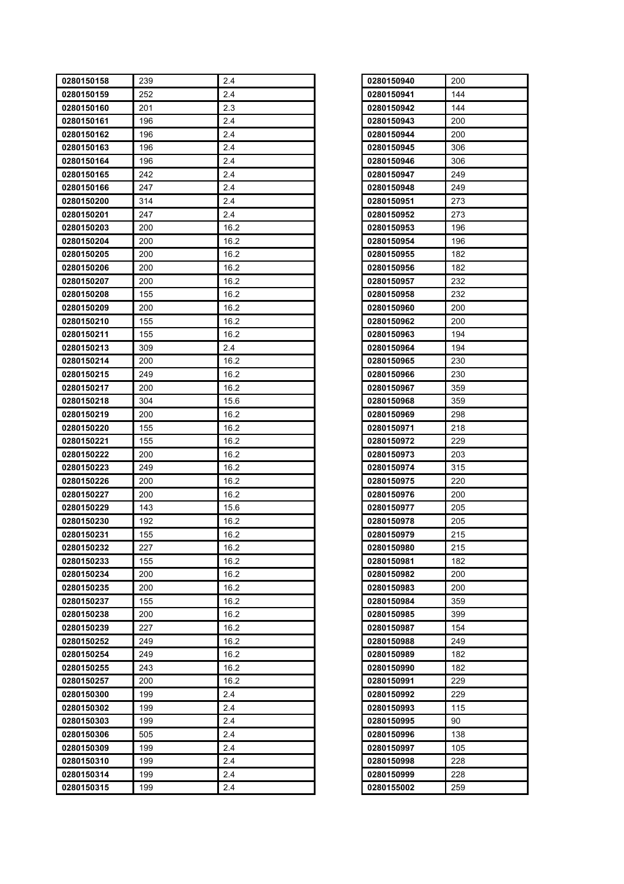| 0280150158               | 239        | 2.4          | 0280150940               | 200        |
|--------------------------|------------|--------------|--------------------------|------------|
| 0280150159               | 252        | 2.4          | 0280150941               | 144        |
| 0280150160               | 201        | 2.3          | 0280150942               | 144        |
| 0280150161               | 196        | 2.4          | 0280150943               | 200        |
| 0280150162               | 196        | 2.4          | 0280150944               | 200        |
| 0280150163               | 196        | 2.4          | 0280150945               | 306        |
| 0280150164               | 196        | 2.4          | 0280150946               | 306        |
| 0280150165               | 242        | 2.4          | 0280150947               | 249        |
| 0280150166               | 247        | 2.4          | 0280150948               | 249        |
| 0280150200               | 314        | 2.4          | 0280150951               | 273        |
| 0280150201               | 247        | 2.4          | 0280150952               | 273        |
| 0280150203               | 200        | 16.2         | 0280150953               | 196        |
| 0280150204               | 200        | 16.2         | 0280150954               | 196        |
| 0280150205               | 200        | 16.2         | 0280150955               | 182        |
| 0280150206               | 200        | 16.2         | 0280150956               | 182        |
| 0280150207               | 200        | 16.2         | 0280150957               | 232        |
| 0280150208               | 155        | 16.2         | 0280150958               | 232        |
| 0280150209               | 200        | 16.2         | 0280150960               | 200        |
| 0280150210               | 155        | 16.2         | 0280150962               | 200        |
| 0280150211               | 155        | 16.2         | 0280150963               | 194        |
| 0280150213               | 309        | 2.4          | 0280150964               | 194        |
| 0280150214               | 200        | 16.2         | 0280150965               | 230        |
| 0280150215               | 249        | 16.2         | 0280150966               | 230        |
| 0280150217               | 200        | 16.2         | 0280150967               | 359        |
| 0280150218               | 304        | 15.6         | 0280150968               | 359        |
| 0280150219               | 200        | 16.2         | 0280150969               | 298        |
| 0280150220               | 155        | 16.2         | 0280150971               | 218        |
| 0280150221               | 155        | 16.2         | 0280150972               | 229        |
| 0280150222               | 200        | 16.2         | 0280150973               | 203        |
| 0280150223               | 249        | 16.2         | 0280150974               | 315        |
| 0280150226               | 200        | 16.2         | 0280150975               | 220        |
| 0280150227               | 200        | 16.2         | 0280150976               | 200        |
| 0280150229               | 143        | 15.6         | 0280150977               | 205        |
| 0280150230               | 192        | 16.2         | 0280150978               | 205        |
| 0280150231               | 155        | 16.2         | 0280150979               | 215        |
| 0280150232               | 227        | 16.2         | <b>0280150980</b>        | 215        |
| 0280150233               | 155        | 16.2         | 0280150981               | 182        |
| 0280150234               | 200        | 16.2         | 0280150982<br>0280150983 | 200        |
| 0280150235<br>0280150237 | 200<br>155 | 16.2<br>16.2 | 0280150984               | 200<br>359 |
| 0280150238               | 200        | 16.2         | 0280150985               | 399        |
| 0280150239               | 227        | 16.2         | 0280150987               | 154        |
| 0280150252               | 249        | 16.2         | 0280150988               | 249        |
| 0280150254               | 249        | 16.2         | 0280150989               | 182        |
| 0280150255               | 243        | 16.2         | 0280150990               | 182        |
| 0280150257               | 200        | 16.2         | 0280150991               | 229        |
| 0280150300               | 199        | 2.4          | 0280150992               | 229        |
| 0280150302               | 199        | 2.4          | 0280150993               | 115        |
| 0280150303               | 199        | 2.4          | 0280150995               | 90         |
| 0280150306               | 505        | 2.4          | 0280150996               | 138        |
| 0280150309               | 199        | 2.4          | 0280150997               | 105        |
| 0280150310               | 199        | 2.4          | 0280150998               | 228        |
| 0280150314               | 199        | 2.4          | 0280150999               | 228        |
| 0280150315               | 199        | 2.4          | 0280155002               | 259        |
|                          |            |              |                          |            |

|  | 0280150940 | 200 |
|--|------------|-----|
|  | 0280150941 | 144 |
|  | 0280150942 | 144 |
|  | 0280150943 | 200 |
|  | 0280150944 | 200 |
|  | 0280150945 | 306 |
|  | 0280150946 | 306 |
|  | 0280150947 | 249 |
|  | 0280150948 | 249 |
|  | 0280150951 | 273 |
|  | 0280150952 | 273 |
|  | 0280150953 | 196 |
|  | 0280150954 | 196 |
|  | 0280150955 | 182 |
|  | 0280150956 | 182 |
|  | 0280150957 | 232 |
|  | 0280150958 | 232 |
|  | 0280150960 | 200 |
|  | 0280150962 | 200 |
|  | 0280150963 | 194 |
|  | 0280150964 | 194 |
|  | 0280150965 | 230 |
|  | 0280150966 | 230 |
|  | 0280150967 | 359 |
|  | 0280150968 | 359 |
|  | 0280150969 | 298 |
|  | 0280150971 | 218 |
|  | 0280150972 | 229 |
|  | 0280150973 | 203 |
|  | 0280150974 | 315 |
|  | 0280150975 | 220 |
|  | 0280150976 | 200 |
|  | 0280150977 | 205 |
|  | 0280150978 | 205 |
|  | 0280150979 | 215 |
|  | 0280150980 | 215 |
|  | 0280150981 | 182 |
|  | 0280150982 | 200 |
|  | 0280150983 | 200 |
|  | 0280150984 | 359 |
|  | 0280150985 | 399 |
|  | 0280150987 | 154 |
|  | 0280150988 | 249 |
|  | 0280150989 | 182 |
|  | 0280150990 | 182 |
|  | 0280150991 | 229 |
|  | 0280150992 | 229 |
|  | 0280150993 | 115 |
|  | 0280150995 | 90  |
|  | 0280150996 | 138 |
|  | 0280150997 | 105 |
|  | 0280150998 | 228 |
|  | 0280150999 | 228 |
|  | 0280155002 | 259 |
|  |            |     |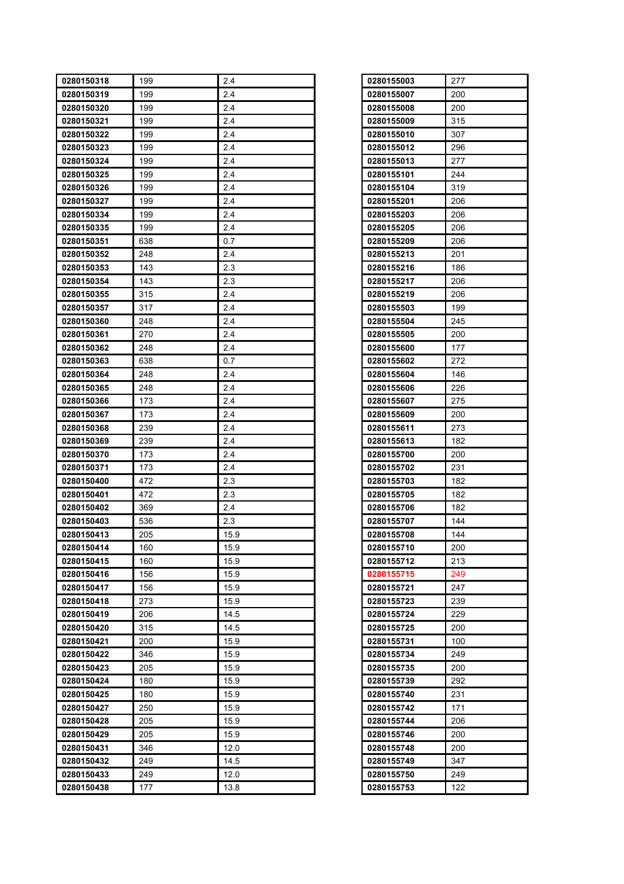| 0280150318 | 199 | 2.4  | 0280155003 | 277 |
|------------|-----|------|------------|-----|
| 0280150319 | 199 | 2.4  | 0280155007 | 200 |
| 0280150320 | 199 | 2.4  | 0280155008 | 200 |
| 0280150321 | 199 | 2.4  | 0280155009 | 315 |
| 0280150322 | 199 | 2.4  | 0280155010 | 307 |
| 0280150323 | 199 | 2.4  | 0280155012 | 296 |
| 0280150324 | 199 | 2.4  | 0280155013 | 277 |
| 0280150325 | 199 | 2.4  | 0280155101 | 244 |
| 0280150326 | 199 | 2.4  | 0280155104 | 319 |
| 0280150327 | 199 | 2.4  | 0280155201 | 206 |
| 0280150334 | 199 | 2.4  | 0280155203 | 206 |
| 0280150335 | 199 | 2.4  | 0280155205 | 206 |
| 0280150351 | 638 | 0.7  | 0280155209 | 206 |
| 0280150352 | 248 | 2.4  | 0280155213 | 201 |
| 0280150353 | 143 | 2.3  | 0280155216 | 186 |
| 0280150354 | 143 | 2.3  | 0280155217 | 206 |
| 0280150355 | 315 | 2.4  | 0280155219 | 206 |
| 0280150357 | 317 | 2.4  | 0280155503 | 199 |
| 0280150360 | 248 | 2.4  | 0280155504 | 245 |
| 0280150361 | 270 | 2.4  | 0280155505 | 200 |
| 0280150362 | 248 | 2.4  | 0280155600 | 177 |
| 0280150363 | 638 | 0.7  | 0280155602 | 272 |
| 0280150364 | 248 | 2.4  | 0280155604 | 146 |
| 0280150365 | 248 | 2.4  | 0280155606 | 226 |
| 0280150366 | 173 | 2.4  | 0280155607 | 275 |
| 0280150367 | 173 | 2.4  | 0280155609 | 200 |
| 0280150368 | 239 | 2.4  | 0280155611 | 273 |
| 0280150369 | 239 | 2.4  | 0280155613 | 182 |
| 0280150370 | 173 | 2.4  | 0280155700 | 200 |
| 0280150371 | 173 | 2.4  | 0280155702 | 231 |
| 0280150400 | 472 | 2.3  | 0280155703 | 182 |
| 0280150401 | 472 | 2.3  | 0280155705 | 182 |
| 0280150402 | 369 | 2.4  | 0280155706 | 182 |
| 0280150403 | 536 | 2.3  | 0280155707 | 144 |
| 0280150413 | 205 | 15.9 | 0280155708 | 144 |
| 0280150414 | 160 | 15.9 | 0280155710 | 200 |
| 0280150415 | 160 | 15.9 | 0280155712 | 213 |
| 0280150416 | 156 | 15.9 | 0280155715 | 249 |
| 0280150417 | 156 | 15.9 | 0280155721 | 247 |
| 0280150418 | 273 | 15.9 | 0280155723 | 239 |
| 0280150419 | 206 | 14.5 | 0280155724 | 229 |
| 0280150420 | 315 | 14.5 | 0280155725 | 200 |
| 0280150421 | 200 | 15.9 | 0280155731 | 100 |
| 0280150422 | 346 | 15.9 | 0280155734 | 249 |
| 0280150423 | 205 | 15.9 | 0280155735 | 200 |
| 0280150424 | 180 | 15.9 | 0280155739 | 292 |
| 0280150425 | 180 | 15.9 | 0280155740 | 231 |
| 0280150427 | 250 | 15.9 | 0280155742 | 171 |
| 0280150428 | 205 | 15.9 | 0280155744 | 206 |
| 0280150429 | 205 | 15.9 | 0280155746 | 200 |
| 0280150431 | 346 | 12.0 | 0280155748 | 200 |
| 0280150432 | 249 | 14.5 | 0280155749 | 347 |
| 0280150433 | 249 | 12.0 | 0280155750 | 249 |
| 0280150438 | 177 | 13.8 | 0280155753 | 122 |

| 0280155007<br>200<br>0280155008<br>200<br>0280155009<br>315<br>0280155010<br>307<br>0280155012<br>296<br>0280155013<br>277<br>0280155101<br>244<br>0280155104<br>319<br>0280155201<br>206<br>0280155203<br>206<br>206<br>0280155205<br>0280155209<br>206<br>0280155213<br>201<br>0280155216<br>186<br>0280155217<br>206<br>0280155219<br>206<br>0280155503<br>199<br>0280155504<br>245<br>0280155505<br>200<br>0280155600<br>177<br>0280155602<br>272<br>0280155604<br>146<br>0280155606<br>226<br>0280155607<br>275<br>0280155609<br>200<br>0280155611<br>273<br>0280155613<br>182<br>0280155700<br>200<br>0280155702<br>231<br>0280155703<br>182<br>0280155705<br>182<br>0280155706<br>182<br>0280155707<br>144<br>0280155708<br>144<br>200<br>0280155710<br>0280155712<br>213<br>0280155715<br>249<br>0280155721<br>247<br>0280155723<br>239<br>0280155724<br>229<br>0280155725<br>200<br>0280155731<br>100<br>249<br>0280155734<br>0280155735<br>200<br>292<br>0280155739<br>0280155740<br>231<br>0280155742<br>171<br>0280155744<br>206<br>0280155746<br>200<br>0280155748<br>200<br>0280155749<br>347<br>0280155750<br>249<br>0280155753<br>122 | 0280155003 | 277 |
|-------------------------------------------------------------------------------------------------------------------------------------------------------------------------------------------------------------------------------------------------------------------------------------------------------------------------------------------------------------------------------------------------------------------------------------------------------------------------------------------------------------------------------------------------------------------------------------------------------------------------------------------------------------------------------------------------------------------------------------------------------------------------------------------------------------------------------------------------------------------------------------------------------------------------------------------------------------------------------------------------------------------------------------------------------------------------------------------------------------------------------------------------------|------------|-----|
|                                                                                                                                                                                                                                                                                                                                                                                                                                                                                                                                                                                                                                                                                                                                                                                                                                                                                                                                                                                                                                                                                                                                                       |            |     |
|                                                                                                                                                                                                                                                                                                                                                                                                                                                                                                                                                                                                                                                                                                                                                                                                                                                                                                                                                                                                                                                                                                                                                       |            |     |
|                                                                                                                                                                                                                                                                                                                                                                                                                                                                                                                                                                                                                                                                                                                                                                                                                                                                                                                                                                                                                                                                                                                                                       |            |     |
|                                                                                                                                                                                                                                                                                                                                                                                                                                                                                                                                                                                                                                                                                                                                                                                                                                                                                                                                                                                                                                                                                                                                                       |            |     |
|                                                                                                                                                                                                                                                                                                                                                                                                                                                                                                                                                                                                                                                                                                                                                                                                                                                                                                                                                                                                                                                                                                                                                       |            |     |
|                                                                                                                                                                                                                                                                                                                                                                                                                                                                                                                                                                                                                                                                                                                                                                                                                                                                                                                                                                                                                                                                                                                                                       |            |     |
|                                                                                                                                                                                                                                                                                                                                                                                                                                                                                                                                                                                                                                                                                                                                                                                                                                                                                                                                                                                                                                                                                                                                                       |            |     |
|                                                                                                                                                                                                                                                                                                                                                                                                                                                                                                                                                                                                                                                                                                                                                                                                                                                                                                                                                                                                                                                                                                                                                       |            |     |
|                                                                                                                                                                                                                                                                                                                                                                                                                                                                                                                                                                                                                                                                                                                                                                                                                                                                                                                                                                                                                                                                                                                                                       |            |     |
|                                                                                                                                                                                                                                                                                                                                                                                                                                                                                                                                                                                                                                                                                                                                                                                                                                                                                                                                                                                                                                                                                                                                                       |            |     |
|                                                                                                                                                                                                                                                                                                                                                                                                                                                                                                                                                                                                                                                                                                                                                                                                                                                                                                                                                                                                                                                                                                                                                       |            |     |
|                                                                                                                                                                                                                                                                                                                                                                                                                                                                                                                                                                                                                                                                                                                                                                                                                                                                                                                                                                                                                                                                                                                                                       |            |     |
|                                                                                                                                                                                                                                                                                                                                                                                                                                                                                                                                                                                                                                                                                                                                                                                                                                                                                                                                                                                                                                                                                                                                                       |            |     |
|                                                                                                                                                                                                                                                                                                                                                                                                                                                                                                                                                                                                                                                                                                                                                                                                                                                                                                                                                                                                                                                                                                                                                       |            |     |
|                                                                                                                                                                                                                                                                                                                                                                                                                                                                                                                                                                                                                                                                                                                                                                                                                                                                                                                                                                                                                                                                                                                                                       |            |     |
|                                                                                                                                                                                                                                                                                                                                                                                                                                                                                                                                                                                                                                                                                                                                                                                                                                                                                                                                                                                                                                                                                                                                                       |            |     |
|                                                                                                                                                                                                                                                                                                                                                                                                                                                                                                                                                                                                                                                                                                                                                                                                                                                                                                                                                                                                                                                                                                                                                       |            |     |
|                                                                                                                                                                                                                                                                                                                                                                                                                                                                                                                                                                                                                                                                                                                                                                                                                                                                                                                                                                                                                                                                                                                                                       |            |     |
|                                                                                                                                                                                                                                                                                                                                                                                                                                                                                                                                                                                                                                                                                                                                                                                                                                                                                                                                                                                                                                                                                                                                                       |            |     |
|                                                                                                                                                                                                                                                                                                                                                                                                                                                                                                                                                                                                                                                                                                                                                                                                                                                                                                                                                                                                                                                                                                                                                       |            |     |
|                                                                                                                                                                                                                                                                                                                                                                                                                                                                                                                                                                                                                                                                                                                                                                                                                                                                                                                                                                                                                                                                                                                                                       |            |     |
|                                                                                                                                                                                                                                                                                                                                                                                                                                                                                                                                                                                                                                                                                                                                                                                                                                                                                                                                                                                                                                                                                                                                                       |            |     |
|                                                                                                                                                                                                                                                                                                                                                                                                                                                                                                                                                                                                                                                                                                                                                                                                                                                                                                                                                                                                                                                                                                                                                       |            |     |
|                                                                                                                                                                                                                                                                                                                                                                                                                                                                                                                                                                                                                                                                                                                                                                                                                                                                                                                                                                                                                                                                                                                                                       |            |     |
|                                                                                                                                                                                                                                                                                                                                                                                                                                                                                                                                                                                                                                                                                                                                                                                                                                                                                                                                                                                                                                                                                                                                                       |            |     |
|                                                                                                                                                                                                                                                                                                                                                                                                                                                                                                                                                                                                                                                                                                                                                                                                                                                                                                                                                                                                                                                                                                                                                       |            |     |
|                                                                                                                                                                                                                                                                                                                                                                                                                                                                                                                                                                                                                                                                                                                                                                                                                                                                                                                                                                                                                                                                                                                                                       |            |     |
|                                                                                                                                                                                                                                                                                                                                                                                                                                                                                                                                                                                                                                                                                                                                                                                                                                                                                                                                                                                                                                                                                                                                                       |            |     |
|                                                                                                                                                                                                                                                                                                                                                                                                                                                                                                                                                                                                                                                                                                                                                                                                                                                                                                                                                                                                                                                                                                                                                       |            |     |
|                                                                                                                                                                                                                                                                                                                                                                                                                                                                                                                                                                                                                                                                                                                                                                                                                                                                                                                                                                                                                                                                                                                                                       |            |     |
|                                                                                                                                                                                                                                                                                                                                                                                                                                                                                                                                                                                                                                                                                                                                                                                                                                                                                                                                                                                                                                                                                                                                                       |            |     |
|                                                                                                                                                                                                                                                                                                                                                                                                                                                                                                                                                                                                                                                                                                                                                                                                                                                                                                                                                                                                                                                                                                                                                       |            |     |
|                                                                                                                                                                                                                                                                                                                                                                                                                                                                                                                                                                                                                                                                                                                                                                                                                                                                                                                                                                                                                                                                                                                                                       |            |     |
|                                                                                                                                                                                                                                                                                                                                                                                                                                                                                                                                                                                                                                                                                                                                                                                                                                                                                                                                                                                                                                                                                                                                                       |            |     |
|                                                                                                                                                                                                                                                                                                                                                                                                                                                                                                                                                                                                                                                                                                                                                                                                                                                                                                                                                                                                                                                                                                                                                       |            |     |
|                                                                                                                                                                                                                                                                                                                                                                                                                                                                                                                                                                                                                                                                                                                                                                                                                                                                                                                                                                                                                                                                                                                                                       |            |     |
|                                                                                                                                                                                                                                                                                                                                                                                                                                                                                                                                                                                                                                                                                                                                                                                                                                                                                                                                                                                                                                                                                                                                                       |            |     |
|                                                                                                                                                                                                                                                                                                                                                                                                                                                                                                                                                                                                                                                                                                                                                                                                                                                                                                                                                                                                                                                                                                                                                       |            |     |
|                                                                                                                                                                                                                                                                                                                                                                                                                                                                                                                                                                                                                                                                                                                                                                                                                                                                                                                                                                                                                                                                                                                                                       |            |     |
|                                                                                                                                                                                                                                                                                                                                                                                                                                                                                                                                                                                                                                                                                                                                                                                                                                                                                                                                                                                                                                                                                                                                                       |            |     |
|                                                                                                                                                                                                                                                                                                                                                                                                                                                                                                                                                                                                                                                                                                                                                                                                                                                                                                                                                                                                                                                                                                                                                       |            |     |
|                                                                                                                                                                                                                                                                                                                                                                                                                                                                                                                                                                                                                                                                                                                                                                                                                                                                                                                                                                                                                                                                                                                                                       |            |     |
|                                                                                                                                                                                                                                                                                                                                                                                                                                                                                                                                                                                                                                                                                                                                                                                                                                                                                                                                                                                                                                                                                                                                                       |            |     |
|                                                                                                                                                                                                                                                                                                                                                                                                                                                                                                                                                                                                                                                                                                                                                                                                                                                                                                                                                                                                                                                                                                                                                       |            |     |
|                                                                                                                                                                                                                                                                                                                                                                                                                                                                                                                                                                                                                                                                                                                                                                                                                                                                                                                                                                                                                                                                                                                                                       |            |     |
|                                                                                                                                                                                                                                                                                                                                                                                                                                                                                                                                                                                                                                                                                                                                                                                                                                                                                                                                                                                                                                                                                                                                                       |            |     |
|                                                                                                                                                                                                                                                                                                                                                                                                                                                                                                                                                                                                                                                                                                                                                                                                                                                                                                                                                                                                                                                                                                                                                       |            |     |
|                                                                                                                                                                                                                                                                                                                                                                                                                                                                                                                                                                                                                                                                                                                                                                                                                                                                                                                                                                                                                                                                                                                                                       |            |     |
|                                                                                                                                                                                                                                                                                                                                                                                                                                                                                                                                                                                                                                                                                                                                                                                                                                                                                                                                                                                                                                                                                                                                                       |            |     |
|                                                                                                                                                                                                                                                                                                                                                                                                                                                                                                                                                                                                                                                                                                                                                                                                                                                                                                                                                                                                                                                                                                                                                       |            |     |
|                                                                                                                                                                                                                                                                                                                                                                                                                                                                                                                                                                                                                                                                                                                                                                                                                                                                                                                                                                                                                                                                                                                                                       |            |     |
|                                                                                                                                                                                                                                                                                                                                                                                                                                                                                                                                                                                                                                                                                                                                                                                                                                                                                                                                                                                                                                                                                                                                                       |            |     |
|                                                                                                                                                                                                                                                                                                                                                                                                                                                                                                                                                                                                                                                                                                                                                                                                                                                                                                                                                                                                                                                                                                                                                       |            |     |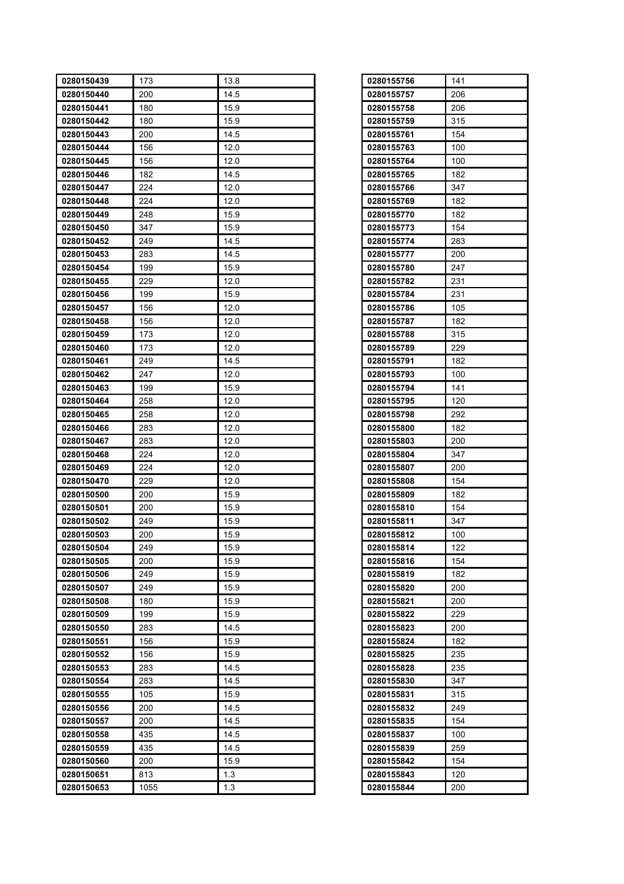| 0280150439               | 173         | 13.8       | 0280155756               | 141        |
|--------------------------|-------------|------------|--------------------------|------------|
| 0280150440               | 200         | 14.5       | 0280155757               | 206        |
| 0280150441               | 180         | 15.9       | 0280155758               | 206        |
| 0280150442               | 180         | 15.9       | 0280155759               | 315        |
| 0280150443               | 200         | 14.5       | 0280155761               | 154        |
| 0280150444               | 156         | 12.0       | 0280155763               | 100        |
| 0280150445               | 156         | 12.0       | 0280155764               | 100        |
| 0280150446               | 182         | 14.5       | 0280155765               | 182        |
| 0280150447               | 224         | 12.0       | 0280155766               | 347        |
| 0280150448               | 224         | 12.0       | 0280155769               | 182        |
| 0280150449               | 248         | 15.9       | 0280155770               | 182        |
| 0280150450               | 347         | 15.9       | 0280155773               | 154        |
| 0280150452               | 249         | 14.5       | 0280155774               | 283        |
| 0280150453               | 283         | 14.5       | 0280155777               | 200        |
| 0280150454               | 199         | 15.9       | 0280155780               | 247        |
| 0280150455               | 229         | 12.0       | 0280155782               | 231        |
| 0280150456               | 199         | 15.9       | 0280155784               | 231        |
| 0280150457               | 156         | 12.0       | 0280155786               | 105        |
| 0280150458               | 156         | 12.0       | 0280155787               | 182        |
| 0280150459               | 173         | 12.0       | 0280155788               | 315        |
| 0280150460               | 173         | 12.0       | 0280155789               | 229        |
| 0280150461               | 249         | 14.5       | 0280155791               | 182        |
| 0280150462               | 247         | 12.0       | 0280155793               | 100        |
| 0280150463               | 199         | 15.9       | 0280155794               | 141        |
| 0280150464               | 258         | 12.0       | 0280155795               | 120        |
| 0280150465               | 258         | 12.0       | 0280155798               | 292        |
| 0280150466               | 283         | 12.0       | 0280155800               | 182        |
| 0280150467               | 283         | 12.0       | 0280155803               | 200        |
| 0280150468               | 224         | 12.0       | 0280155804               | 347        |
| 0280150469               | 224         | 12.0       | 0280155807               | 200        |
| 0280150470               | 229         | 12.0       | 0280155808               | 154        |
| 0280150500               | 200         | 15.9       | 0280155809               | 182        |
| 0280150501               | 200         | 15.9       | 0280155810               | 154        |
| 0280150502               | 249         | 15.9       | 0280155811               | 347        |
| 0280150503               | 200         | 15.9       | 0280155812               | 100        |
| 0280150504               | 249         | 15.9       | 0280155814               | 122        |
| 0280150505               | 200         | 15.9       | 0280155816               | 154        |
| 0280150506               | 249         | 15.9       | 0280155819               | 182        |
| 0280150507               | 249         | 15.9       | 0280155820               | 200        |
| 0280150508               | 180         | 15.9       | 0280155821               | 200        |
| 0280150509               | 199         | 15.9       | 0280155822               | 229        |
| 0280150550               | 283         | 14.5       | 0280155823               | 200        |
| 0280150551               | 156         | 15.9       | 0280155824               | 182        |
| 0280150552               | 156         | 15.9       | 0280155825               | 235        |
| 0280150553               | 283         | 14.5       | 0280155828               | 235        |
| 0280150554               | 283         | 14.5       | 0280155830               | 347        |
| 0280150555               | 105         | 15.9       | 0280155831               | 315        |
| 0280150556               | 200         | 14.5       | 0280155832               | 249        |
| 0280150557               | 200         | 14.5       | 0280155835               | 154        |
| 0280150558               | 435         | 14.5       | 0280155837               | 100        |
| 0280150559               | 435         | 14.5       | 0280155839               | 259        |
| 0280150560               | 200         | 15.9       | 0280155842               | 154        |
| 0280150651<br>0280150653 | 813<br>1055 | 1.3<br>1.3 | 0280155843<br>0280155844 | 120<br>200 |
|                          |             |            |                          |            |

 $\overline{a}$ 

| 0280155756               | 141        |
|--------------------------|------------|
| 0280155757               | 206        |
| 0280155758               | 206        |
| 0280155759               | 315        |
| 0280155761               | 154        |
| 0280155763               | 100        |
| 0280155764               | 100        |
| 0280155765               | 182        |
| 0280155766               | 347        |
| 0280155769               | 182        |
| 0280155770               | 182        |
| 0280155773               | 154        |
| 0280155774               | 283        |
| 0280155777               | 200        |
| 0280155780               | 247        |
| 0280155782               | 231        |
| 0280155784               | 231        |
| 0280155786               | 105        |
| 0280155787               | 182        |
| 0280155788               | 315        |
| 0280155789               | 229        |
| 0280155791               | 182        |
| 0280155793               | 100        |
| 0280155794               | 141        |
| 0280155795               | 120        |
| 0280155798               | 292        |
| 0280155800               | 182        |
| 0280155803               | 200        |
| 0280155804               | 347        |
| 0280155807               | 200        |
| 0280155808               | 154        |
| 0280155809               | 182        |
| 0280155810               | 154        |
| 0280155811               | 347        |
| 0280155812               | 100        |
| 0280155814               | 122        |
| 0280155816               | 154        |
| 0280155819               | 182        |
| 0280155820<br>0280155821 | 200<br>200 |
| 0280155822               | 229        |
| 0280155823               | 200        |
| 0280155824               | 182        |
| 0280155825               | 235        |
| 0280155828               | 235        |
| 0280155830               | 347        |
| 0280155831               | 315        |
| 0280155832               | 249        |
| 0280155835               | 154        |
| 0280155837               | 100        |
| 0280155839               | 259        |
| 0280155842               | 154        |
|                          |            |
| 0280155843               | 120        |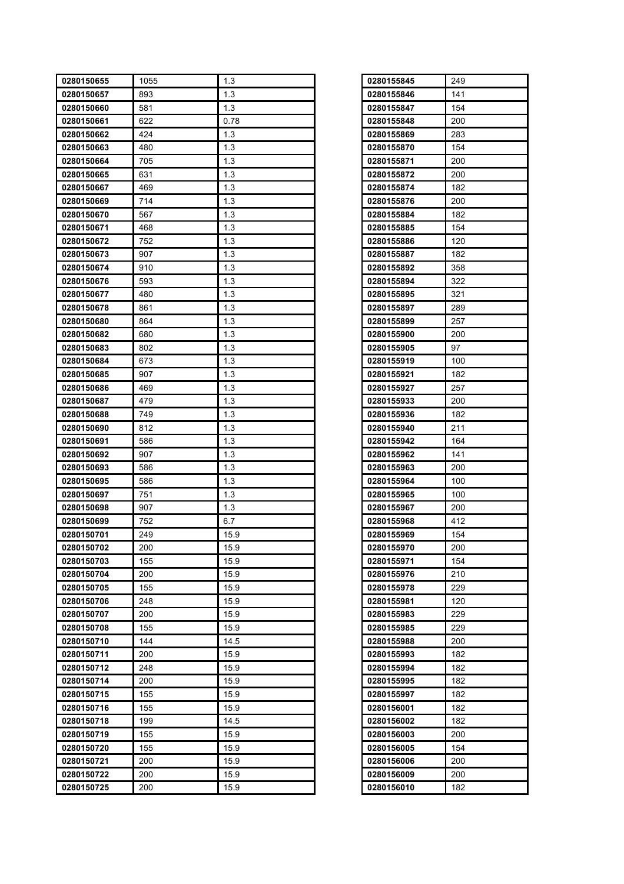| 0280150655 | 1055 | 1.3  | 0280155845 | 249 |
|------------|------|------|------------|-----|
| 0280150657 | 893  | 1.3  | 0280155846 | 141 |
| 0280150660 | 581  | 1.3  | 0280155847 | 154 |
| 0280150661 | 622  | 0.78 | 0280155848 | 200 |
| 0280150662 | 424  | 1.3  | 0280155869 | 283 |
| 0280150663 | 480  | 1.3  | 0280155870 | 154 |
| 0280150664 | 705  | 1.3  | 0280155871 | 200 |
| 0280150665 | 631  | 1.3  | 0280155872 | 200 |
| 0280150667 | 469  | 1.3  | 0280155874 | 182 |
| 0280150669 | 714  | 1.3  | 0280155876 | 200 |
| 0280150670 | 567  | 1.3  | 0280155884 | 182 |
| 0280150671 | 468  | 1.3  | 0280155885 | 154 |
| 0280150672 | 752  | 1.3  | 0280155886 | 120 |
| 0280150673 | 907  | 1.3  | 0280155887 | 182 |
| 0280150674 | 910  | 1.3  | 0280155892 | 358 |
| 0280150676 | 593  | 1.3  | 0280155894 | 322 |
| 0280150677 | 480  | 1.3  | 0280155895 | 321 |
| 0280150678 | 861  | 1.3  | 0280155897 | 289 |
| 0280150680 | 864  | 1.3  | 0280155899 | 257 |
| 0280150682 | 680  | 1.3  | 0280155900 | 200 |
| 0280150683 | 802  | 1.3  | 0280155905 | 97  |
| 0280150684 | 673  | 1.3  | 0280155919 | 100 |
| 0280150685 | 907  | 1.3  | 0280155921 | 182 |
| 0280150686 | 469  | 1.3  | 0280155927 | 257 |
| 0280150687 | 479  | 1.3  | 0280155933 | 200 |
| 0280150688 | 749  | 1.3  | 0280155936 | 182 |
| 0280150690 | 812  | 1.3  | 0280155940 | 211 |
| 0280150691 | 586  | 1.3  | 0280155942 | 164 |
| 0280150692 | 907  | 1.3  | 0280155962 | 141 |
| 0280150693 | 586  | 1.3  | 0280155963 | 200 |
| 0280150695 | 586  | 1.3  | 0280155964 | 100 |
| 0280150697 | 751  | 1.3  | 0280155965 | 100 |
| 0280150698 | 907  | 1.3  | 0280155967 | 200 |
| 0280150699 | 752  | 6.7  | 0280155968 | 412 |
| 0280150701 | 249  | 15.9 | 0280155969 | 154 |
| 0280150702 | 200  | 15.9 | 0280155970 | 200 |
| 0280150703 | 155  | 15.9 | 0280155971 | 154 |
| 0280150704 | 200  | 15.9 | 0280155976 | 210 |
| 0280150705 | 155  | 15.9 | 0280155978 | 229 |
| 0280150706 | 248  | 15.9 | 0280155981 | 120 |
| 0280150707 | 200  | 15.9 | 0280155983 | 229 |
| 0280150708 | 155  | 15.9 | 0280155985 | 229 |
| 0280150710 | 144  | 14.5 | 0280155988 | 200 |
| 0280150711 | 200  | 15.9 | 0280155993 | 182 |
| 0280150712 | 248  | 15.9 | 0280155994 | 182 |
| 0280150714 | 200  | 15.9 | 0280155995 | 182 |
| 0280150715 | 155  | 15.9 | 0280155997 | 182 |
| 0280150716 | 155  | 15.9 | 0280156001 | 182 |
| 0280150718 | 199  | 14.5 | 0280156002 | 182 |
| 0280150719 | 155  | 15.9 | 0280156003 | 200 |
| 0280150720 | 155  | 15.9 | 0280156005 | 154 |
| 0280150721 | 200  | 15.9 | 0280156006 | 200 |
| 0280150722 | 200  | 15.9 | 0280156009 | 200 |
| 0280150725 | 200  | 15.9 | 0280156010 | 182 |

| 0280155845               | 249        |
|--------------------------|------------|
| 0280155846               | 141        |
| 0280155847               | 154        |
| 0280155848               | 200        |
| 0280155869               | 283        |
| 0280155870               | 154        |
| 0280155871               | 200        |
| 0280155872               | 200        |
| 0280155874               | 182        |
| 0280155876               | 200        |
| 0280155884               | 182        |
| 0280155885               | 154        |
| 0280155886               | 120        |
| 0280155887               | 182        |
| 0280155892               | 358        |
| 0280155894               | 322        |
| 0280155895               | 321        |
| 0280155897               | 289        |
| 0280155899               | 257        |
| 0280155900               | 200        |
| 0280155905               | 97         |
| 0280155919               | 100        |
| 0280155921               | 182        |
| 0280155927               | 257        |
| 0280155933               | 200        |
| 0280155936               | 182        |
| 0280155940               | 211        |
| 0280155942               | 164        |
| 0280155962               | 141        |
| 0280155963               | 200        |
| 0280155964               | 100        |
| 0280155965               | 100        |
| 0280155967               | 200        |
| 0280155968               | 412        |
| 0280155969               | 154        |
| 0280155970               | 200        |
| 0280155971               | 154        |
| 0280155976               | 210        |
| 0280155978<br>0280155981 | 229<br>120 |
| 0280155983               | 229        |
| 0280155985               | 229        |
| 0280155988               | 200        |
| 0280155993               | 182        |
| 0280155994               | 182        |
| 0280155995               | 182        |
| 0280155997               | 182        |
| 0280156001               | 182        |
| 0280156002               | 182        |
| 0280156003               | 200        |
| 0280156005               | 154        |
| 0280156006               | 200        |
| 0280156009               | 200        |
| 0280156010               | 182        |
|                          |            |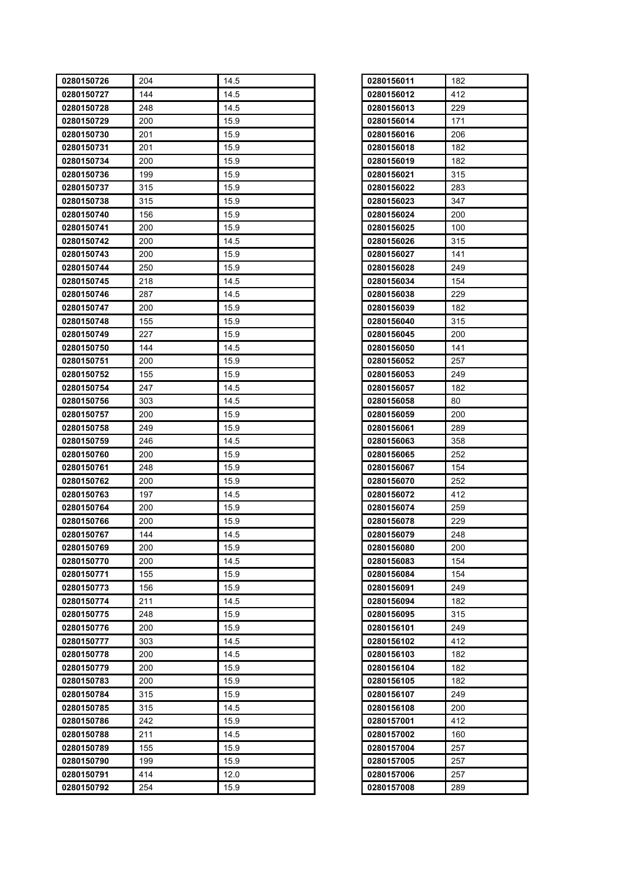| 0280150726 | 204 | 14.5 | 0280156011        | 182 |
|------------|-----|------|-------------------|-----|
| 0280150727 | 144 | 14.5 | 0280156012        | 412 |
| 0280150728 | 248 | 14.5 | 0280156013        | 229 |
| 0280150729 | 200 | 15.9 | 0280156014        | 171 |
| 0280150730 | 201 | 15.9 | 0280156016        | 206 |
| 0280150731 | 201 | 15.9 | 0280156018        | 182 |
| 0280150734 | 200 | 15.9 | 0280156019        | 182 |
| 0280150736 | 199 | 15.9 | 0280156021        | 315 |
| 0280150737 | 315 | 15.9 | 0280156022        | 283 |
| 0280150738 | 315 | 15.9 | 0280156023        | 347 |
| 0280150740 | 156 | 15.9 | 0280156024        | 200 |
| 0280150741 | 200 | 15.9 | 0280156025        | 100 |
| 0280150742 | 200 | 14.5 | 0280156026        | 315 |
| 0280150743 | 200 | 15.9 | 0280156027        | 141 |
| 0280150744 | 250 | 15.9 | 0280156028        | 249 |
| 0280150745 | 218 | 14.5 | 0280156034        | 154 |
| 0280150746 | 287 | 14.5 | 0280156038        | 229 |
| 0280150747 | 200 | 15.9 | 0280156039        | 182 |
| 0280150748 | 155 | 15.9 | 0280156040        | 315 |
| 0280150749 | 227 | 15.9 | 0280156045        | 200 |
| 0280150750 | 144 | 14.5 | 0280156050        | 141 |
| 0280150751 | 200 | 15.9 | 0280156052        | 257 |
| 0280150752 | 155 | 15.9 | 0280156053        | 249 |
| 0280150754 | 247 | 14.5 | 0280156057        | 182 |
| 0280150756 | 303 | 14.5 | 0280156058        | 80  |
| 0280150757 | 200 | 15.9 | 0280156059        | 200 |
| 0280150758 | 249 | 15.9 | 0280156061        | 289 |
| 0280150759 | 246 | 14.5 | 0280156063        | 358 |
| 0280150760 | 200 | 15.9 | 0280156065        | 252 |
| 0280150761 | 248 | 15.9 | 0280156067        | 154 |
| 0280150762 | 200 | 15.9 | 0280156070        | 252 |
| 0280150763 | 197 | 14.5 | 0280156072        | 412 |
| 0280150764 | 200 | 15.9 | 0280156074        | 259 |
| 0280150766 | 200 | 15.9 | 0280156078        | 229 |
| 0280150767 | 144 | 14.5 | 0280156079        | 248 |
| 0280150769 | 200 | 15.9 | <b>0280156080</b> | 200 |
| 0280150770 | 200 | 14.5 | 0280156083        | 154 |
| 0280150771 | 155 | 15.9 | 0280156084        | 154 |
| 0280150773 | 156 | 15.9 | 0280156091        | 249 |
| 0280150774 | 211 | 14.5 | 0280156094        | 182 |
| 0280150775 | 248 | 15.9 | 0280156095        | 315 |
| 0280150776 | 200 | 15.9 | 0280156101        | 249 |
| 0280150777 | 303 | 14.5 | 0280156102        | 412 |
| 0280150778 | 200 | 14.5 | 0280156103        | 182 |
| 0280150779 | 200 | 15.9 | 0280156104        | 182 |
| 0280150783 | 200 | 15.9 | 0280156105        | 182 |
| 0280150784 | 315 | 15.9 | 0280156107        | 249 |
| 0280150785 | 315 | 14.5 | 0280156108        | 200 |
| 0280150786 | 242 | 15.9 | 0280157001        | 412 |
| 0280150788 | 211 | 14.5 | 0280157002        | 160 |
| 0280150789 | 155 | 15.9 | 0280157004        | 257 |
| 0280150790 | 199 | 15.9 | 0280157005        | 257 |
| 0280150791 | 414 | 12.0 | 0280157006        | 257 |
| 0280150792 | 254 | 15.9 | 0280157008        | 289 |

 $\overline{a}$ 

| 0280156011 | 182 |
|------------|-----|
| 0280156012 | 412 |
| 0280156013 | 229 |
| 0280156014 | 171 |
| 0280156016 | 206 |
| 0280156018 | 182 |
| 0280156019 | 182 |
| 0280156021 | 315 |
| 0280156022 | 283 |
| 0280156023 | 347 |
| 0280156024 | 200 |
| 0280156025 | 100 |
| 0280156026 | 315 |
| 0280156027 | 141 |
| 0280156028 | 249 |
| 0280156034 | 154 |
| 0280156038 | 229 |
| 0280156039 | 182 |
| 0280156040 | 315 |
| 0280156045 | 200 |
| 0280156050 | 141 |
| 0280156052 | 257 |
| 0280156053 | 249 |
| 0280156057 | 182 |
| 0280156058 | 80  |
| 0280156059 | 200 |
| 0280156061 | 289 |
| 0280156063 | 358 |
| 0280156065 | 252 |
| 0280156067 | 154 |
| 0280156070 | 252 |
| 0280156072 | 412 |
| 0280156074 | 259 |
| 0280156078 | 229 |
| 0280156079 | 248 |
| 0280156080 | 200 |
| 0280156083 | 154 |
| 0280156084 | 154 |
| 0280156091 | 249 |
| 0280156094 | 182 |
| 0280156095 | 315 |
| 0280156101 | 249 |
| 0280156102 | 412 |
| 0280156103 | 182 |
| 0280156104 | 182 |
| 0280156105 | 182 |
| 0280156107 | 249 |
| 0280156108 | 200 |
| 0280157001 | 412 |
| 0280157002 | 160 |
| 0280157004 | 257 |
| 0280157005 | 257 |
| 0280157006 | 257 |
| 0280157008 | 289 |
|            |     |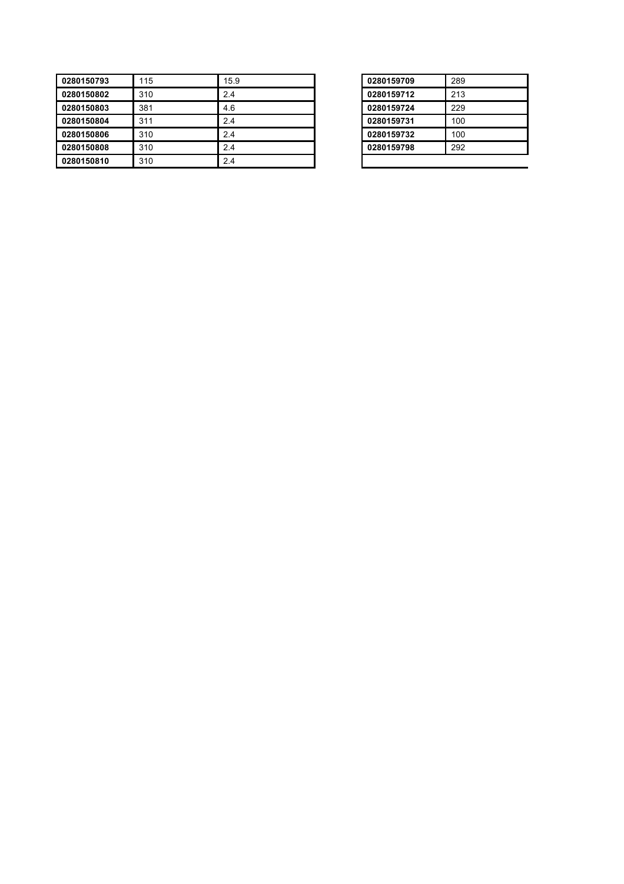| 0280150793 | 115 | 15.9 | 0280159709 | 289 |
|------------|-----|------|------------|-----|
| 0280150802 | 310 | 2.4  | 0280159712 | 213 |
| 0280150803 | 381 | 4.6  | 0280159724 | 229 |
| 0280150804 | 311 | 2.4  | 0280159731 | 100 |
| 0280150806 | 310 | 2.4  | 0280159732 | 100 |
| 0280150808 | 310 | 2.4  | 0280159798 | 292 |
| 0280150810 | 310 | 2.4  |            |     |

| 0280159709 | 289 |
|------------|-----|
| 0280159712 | 213 |
| 0280159724 | 229 |
| 0280159731 | 100 |
| 0280159732 | 100 |
| 0280159798 | 292 |
|            |     |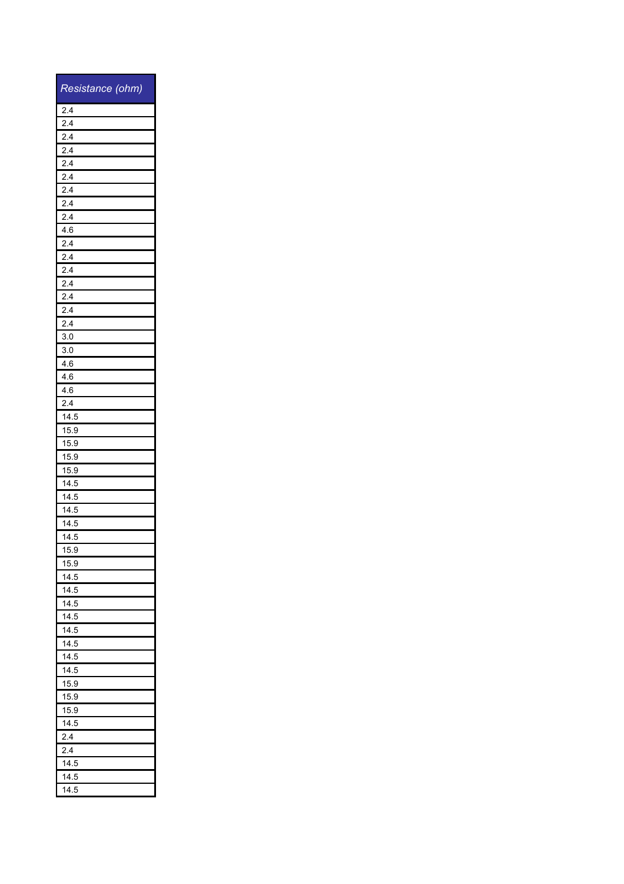| Resistance (ohm) |
|------------------|
| 2.4              |
| 2.4              |
| 2.4              |
| 2.4              |
| 2.4              |
| 2.4              |
| 2.4              |
| 2.4              |
| 2.4              |
| 4.6              |
| 2.4              |
| 2.4              |
| 2.4              |
| 2.4              |
| 2.4              |
| 2.4              |
| 2.4              |
| 3.0              |
| 3.0              |
| 4.6              |
| 4.6              |
| 4.6              |
| 2.4              |
| 14.5             |
| 15.9             |
| 15.9             |
| 15.9             |
| 15.9             |
| 14.5             |
| 14.5             |
| 14.5             |
| 14.5             |
|                  |
| 14.5<br>15.9     |
| 15.9             |
|                  |
| 14.5             |
| 14.5             |
| 14.5             |
| 14.5             |
| 14.5             |
| 14.5             |
| 14.5             |
| 14.5             |
| 15.9             |
| 15.9             |
| 15.9             |
| 14.5             |
| 2.4              |
| 2.4              |
| 14.5             |
| 14.5             |
| 14.5             |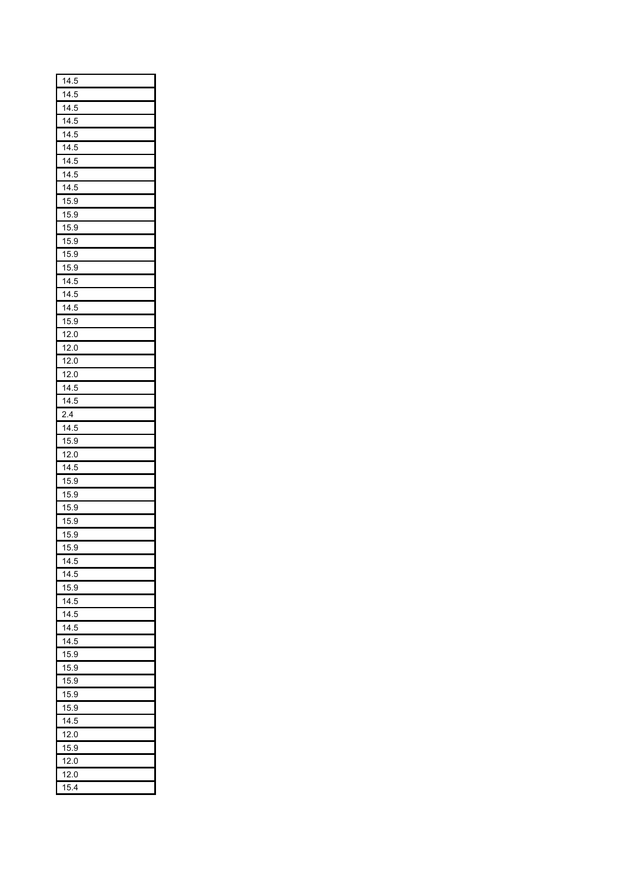| 14.5 |
|------|
| 14.5 |
| 14.5 |
| 14.5 |
| 14.5 |
| 14.5 |
| 14.5 |
| 14.5 |
| 14.5 |
| 15.9 |
| 15.9 |
| 15.9 |
| 15.9 |
| 15.9 |
| 15.9 |
| 14.5 |
| 14.5 |
| 14.5 |
| 15.9 |
| 12.0 |
| 12.0 |
| 12.0 |
| 12.0 |
| 14.5 |
| 14.5 |
| 2.4  |
| 14.5 |
| 15.9 |
| 12.0 |
|      |
| 14.5 |
| 15.9 |
| 15.9 |
| 15.9 |
| 15.9 |
| 15.9 |
| 15.9 |
| 14.5 |
| 14.5 |
| 15.9 |
| 14.5 |
| 14.5 |
| 14.5 |
| 14.5 |
| 15.9 |
| 15.9 |
| 15.9 |
| 15.9 |
| 15.9 |
| 14.5 |
| 12.0 |
| 15.9 |
| 12.0 |
|      |
| 12.0 |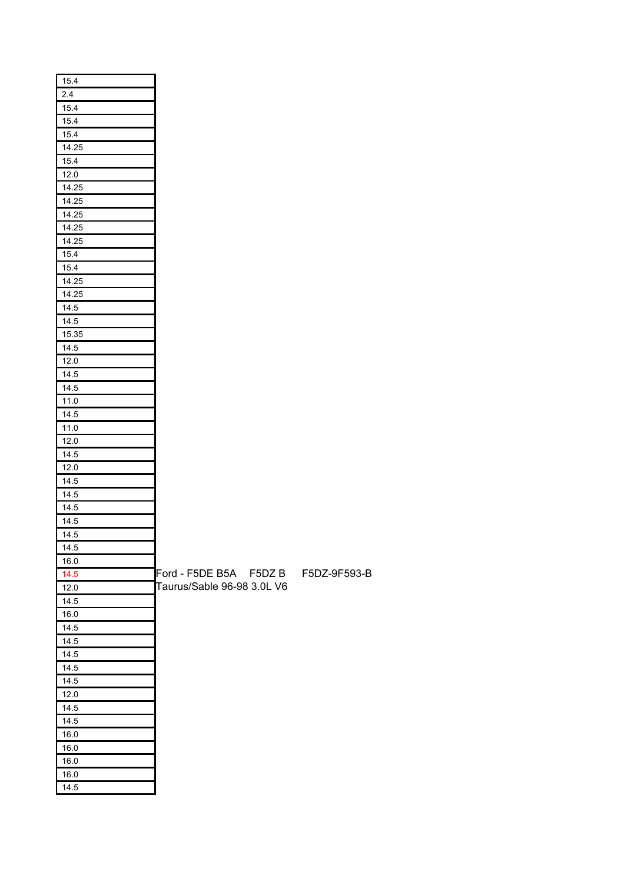| 15.4   |                            |              |
|--------|----------------------------|--------------|
| 2.4    |                            |              |
| 15.4   |                            |              |
| 15.4   |                            |              |
| 15.4   |                            |              |
| 14.25  |                            |              |
| 15.4   |                            |              |
| 12.0   |                            |              |
| 14.25  |                            |              |
| 14.25  |                            |              |
| 14.25  |                            |              |
| 14.25  |                            |              |
| 14.25  |                            |              |
| 15.4   |                            |              |
| 15.4   |                            |              |
| 14.25  |                            |              |
| 14.25  |                            |              |
| 14.5   |                            |              |
| 14.5   |                            |              |
| 15.35  |                            |              |
| 14.5   |                            |              |
| 12.0   |                            |              |
| 14.5   |                            |              |
| 14.5   |                            |              |
| 11.0   |                            |              |
| 14.5   |                            |              |
| 11.0   |                            |              |
| 12.0   |                            |              |
| 14.5   |                            |              |
| 12.0   |                            |              |
| 14.5   |                            |              |
| 14.5   |                            |              |
| 14.5   |                            |              |
| 14.5   |                            |              |
| 14.5   |                            |              |
| 14.5   |                            |              |
| 16.0   |                            |              |
| $14.5$ |                            | F5DZ-9F593-B |
| 12.0   | Taurus/Sable 96-98 3.0L V6 |              |
| 14.5   |                            |              |
| 16.0   |                            |              |
| 14.5   |                            |              |
| 14.5   |                            |              |
| 14.5   |                            |              |
| 14.5   |                            |              |
| 14.5   |                            |              |
| 12.0   |                            |              |
| 14.5   |                            |              |
| 14.5   |                            |              |
| 16.0   |                            |              |
| 16.0   |                            |              |
| 16.0   |                            |              |
| 16.0   |                            |              |
| 14.5   |                            |              |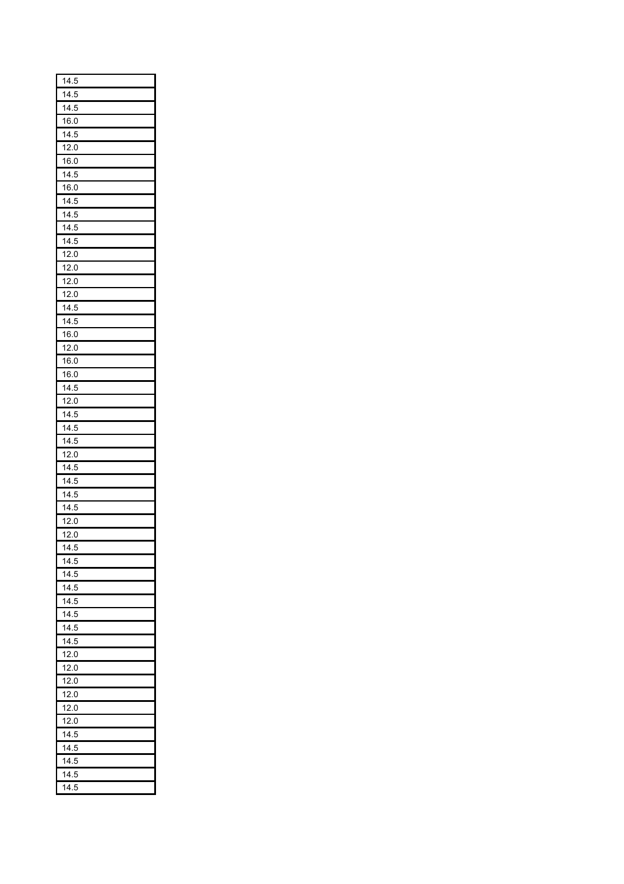| 14.5 |
|------|
| 14.5 |
| 14.5 |
| 16.0 |
| 14.5 |
| 12.0 |
| 16.0 |
| 14.5 |
| 16.0 |
| 14.5 |
| 14.5 |
| 14.5 |
| 14.5 |
| 12.0 |
| 12.0 |
| 12.0 |
|      |
| 12.0 |
| 14.5 |
| 14.5 |
| 16.0 |
| 12.0 |
| 16.0 |
| 16.0 |
| 14.5 |
| 12.0 |
| 14.5 |
| 14.5 |
| 14.5 |
| 12.0 |
| 14.5 |
| 14.5 |
| 14.5 |
| 14.5 |
| 12.0 |
| 12.0 |
| 14.5 |
| 14.5 |
| 14.5 |
| 14.5 |
| 14.5 |
| 14.5 |
| 14.5 |
| 14.5 |
| 12.0 |
| 12.0 |
| 12.0 |
| 12.0 |
| 12.0 |
| 12.0 |
|      |
| 14.5 |
| 14.5 |
| 14.5 |
| 14.5 |
| 14.5 |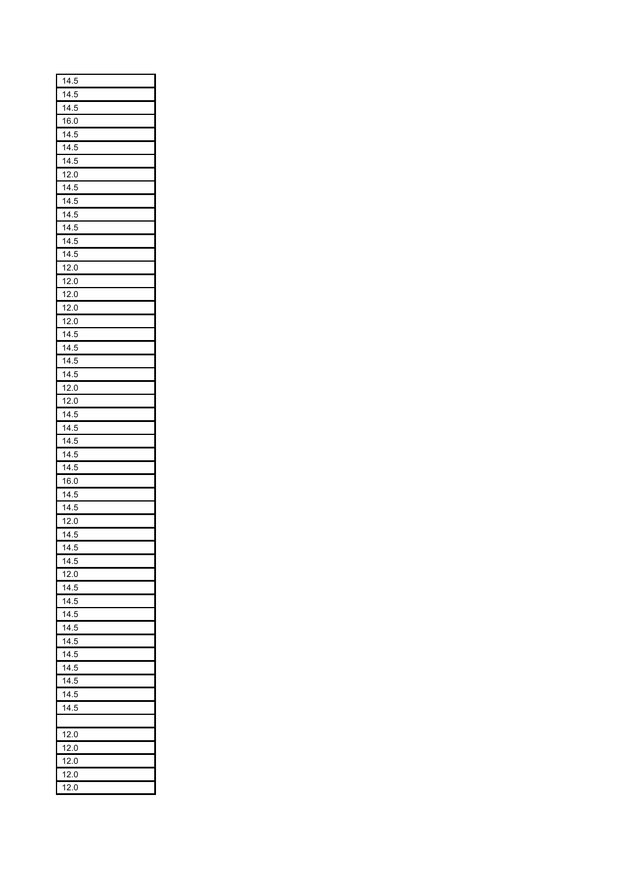| 14.5 |
|------|
| 14.5 |
| 14.5 |
| 16.0 |
| 14.5 |
| 14.5 |
| 14.5 |
| 12.0 |
| 14.5 |
| 14.5 |
| 14.5 |
| 14.5 |
| 14.5 |
| 14.5 |
| 12.0 |
|      |
| 12.0 |
| 12.0 |
| 12.0 |
| 12.0 |
| 14.5 |
| 14.5 |
| 14.5 |
| 14.5 |
| 12.0 |
| 12.0 |
| 14.5 |
| 14.5 |
| 14.5 |
| 14.5 |
| 14.5 |
| 16.0 |
| 14.5 |
| 14.5 |
| 12.0 |
| 14.5 |
| 14.5 |
| 14.5 |
| 12.0 |
|      |
| 14.5 |
| 14.5 |
| 14.5 |
| 14.5 |
| 14.5 |
| 14.5 |
| 14.5 |
| 14.5 |
| 14.5 |
| 14.5 |
|      |
| 12.0 |
| 12.0 |
| 12.0 |
|      |
| 12.0 |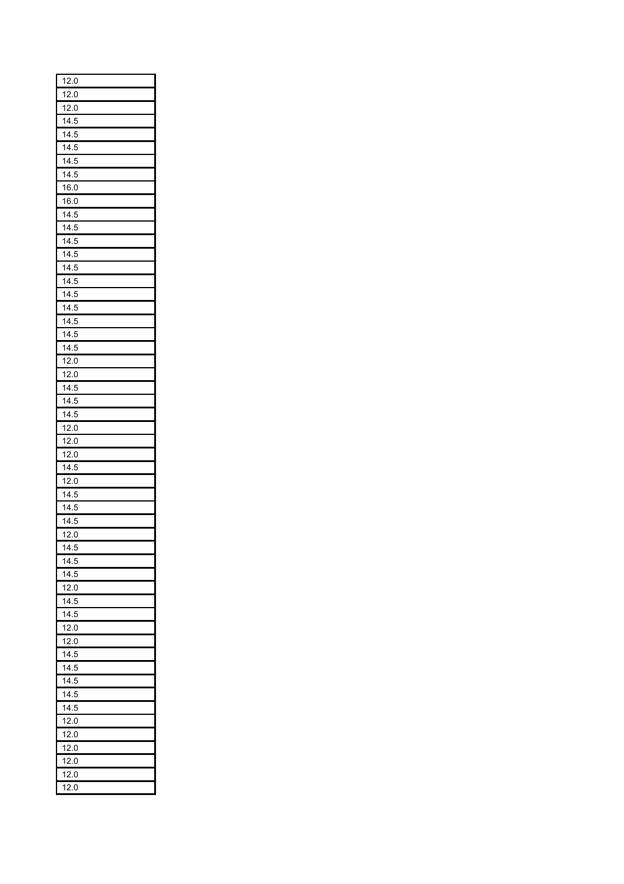| 12.0 |
|------|
| 12.0 |
| 12.0 |
| 14.5 |
| 14.5 |
| 14.5 |
| 14.5 |
| 14.5 |
|      |
| 16.0 |
| 16.0 |
| 14.5 |
| 14.5 |
| 14.5 |
| 14.5 |
| 14.5 |
| 14.5 |
| 14.5 |
| 14.5 |
| 14.5 |
| 14.5 |
| 14.5 |
| 12.0 |
| 12.0 |
|      |
| 14.5 |
| 14.5 |
| 14.5 |
| 12.0 |
| 12.0 |
| 12.0 |
| 14.5 |
| 12.0 |
| 14.5 |
| 14.5 |
| 14.5 |
| 12.0 |
| 14.5 |
| 14.5 |
| 14.5 |
| 12.0 |
|      |
| 14.5 |
| 14.5 |
| 12.0 |
| 12.0 |
| 14.5 |
| 14.5 |
| 14.5 |
| 14.5 |
| 14.5 |
| 12.0 |
| 12.0 |
| 12.0 |
| 12.0 |
| 12.0 |
|      |
| 12.0 |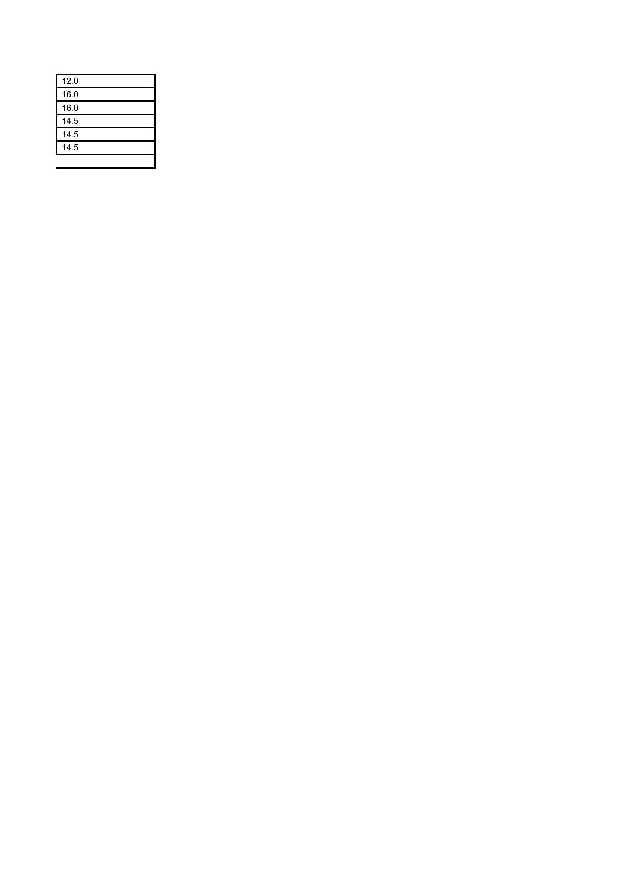| 12.0 |  |
|------|--|
| 16.0 |  |
| 16.0 |  |
| 14.5 |  |
| 14.5 |  |
| 14.5 |  |
|      |  |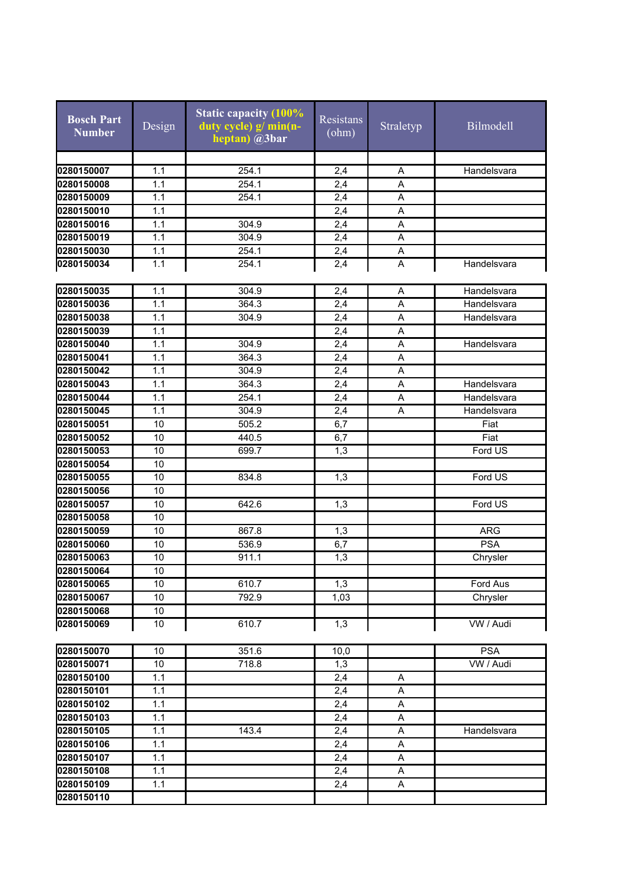| <b>Bosch Part</b><br><b>Number</b> | Design          | <b>Static capacity (100%</b><br>duty cycle) g/ min(n-<br>heptan) @3bar | Resistans<br>(ohm) | Straletyp | Bilmodell   |
|------------------------------------|-----------------|------------------------------------------------------------------------|--------------------|-----------|-------------|
|                                    |                 |                                                                        |                    |           |             |
| 0280150007                         | 1.1             | 254.1                                                                  | 2,4                | A         | Handelsvara |
| 0280150008                         | 1.1             | 254.1                                                                  | 2,4                | A         |             |
| 0280150009                         | 1.1             | 254.1                                                                  | 2,4                | A         |             |
| 0280150010                         | 1.1             |                                                                        | 2,4                | A         |             |
| 0280150016                         | 1.1             | 304.9                                                                  | 2,4                | A         |             |
| 0280150019                         | 1.1             | 304.9                                                                  | 2,4                | A         |             |
| 0280150030                         | 1.1             | 254.1                                                                  | 2,4                | A         |             |
| 0280150034                         | 1.1             | 254.1                                                                  | 2,4                | A         | Handelsvara |
| 0280150035                         | 1.1             | 304.9                                                                  | 2,4                | A         | Handelsvara |
| 0280150036                         | 1.1             | 364.3                                                                  | 2,4                | A         | Handelsvara |
| 0280150038                         | 1.1             | 304.9                                                                  | 2,4                | A         | Handelsvara |
| 0280150039                         | 1.1             |                                                                        | 2,4                | A         |             |
| 0280150040                         | 1.1             | 304.9                                                                  | 2,4                | A         | Handelsvara |
| 0280150041                         | 1.1             | 364.3                                                                  | 2,4                | A         |             |
| 0280150042                         | 1.1             | 304.9                                                                  | 2,4                | A         |             |
| 0280150043                         | 1.1             | 364.3                                                                  | 2,4                | A         | Handelsvara |
| 0280150044                         | 1.1             | 254.1                                                                  | 2,4                | A         | Handelsvara |
| 0280150045                         | 1.1             | 304.9                                                                  | 2,4                | A         | Handelsvara |
| 0280150051                         | 10              | 505.2                                                                  | 6,7                |           | Fiat        |
| 0280150052                         | 10              | 440.5                                                                  | 6,7                |           | Fiat        |
| 0280150053                         | 10              | 699.7                                                                  | 1,3                |           | Ford US     |
| 0280150054                         | 10              |                                                                        |                    |           |             |
| 0280150055                         | 10              | 834.8                                                                  | 1,3                |           | Ford US     |
| 0280150056                         | 10              |                                                                        |                    |           |             |
| 0280150057                         | 10              | 642.6                                                                  | 1,3                |           | Ford US     |
| 0280150058                         | 10              |                                                                        |                    |           |             |
| 0280150059                         | 10              | 867.8                                                                  | 1,3                |           | <b>ARG</b>  |
| 0280150060                         | 10              | 536.9                                                                  | 6,7                |           | <b>PSA</b>  |
| 0280150063                         | 10              | 911.1                                                                  | 1,3                |           | Chrysler    |
| 0280150064                         | $\overline{10}$ |                                                                        |                    |           |             |
| 0280150065                         | 10              | 610.7                                                                  | 1,3                |           | Ford Aus    |
| 0280150067                         | 10              | 792.9                                                                  | 1,03               |           | Chrysler    |
| 0280150068                         | 10              |                                                                        |                    |           |             |
| 0280150069                         | 10              | 610.7                                                                  | 1,3                |           | VW / Audi   |
| 0280150070                         | 10              | 351.6                                                                  | 10,0               |           | <b>PSA</b>  |
| 0280150071                         | 10              | 718.8                                                                  | 1,3                |           | VW / Audi   |
| 0280150100                         | 1.1             |                                                                        | 2,4                | A         |             |
| 0280150101                         | 1.1             |                                                                        | 2,4                | Α         |             |
| 0280150102                         | 1.1             |                                                                        | 2,4                | Α         |             |
| 0280150103                         | 1.1             |                                                                        | 2,4                | Α         |             |
| 0280150105                         | 1.1             | 143.4                                                                  | 2,4                | Α         | Handelsvara |
| 0280150106                         | 1.1             |                                                                        | 2,4                | A         |             |
| 0280150107                         | 1.1             |                                                                        | 2,4                | A         |             |
| 0280150108                         | 1.1             |                                                                        | 2,4                | A         |             |
| 0280150109                         | 1.1             |                                                                        | 2,4                | Α         |             |
| 0280150110                         |                 |                                                                        |                    |           |             |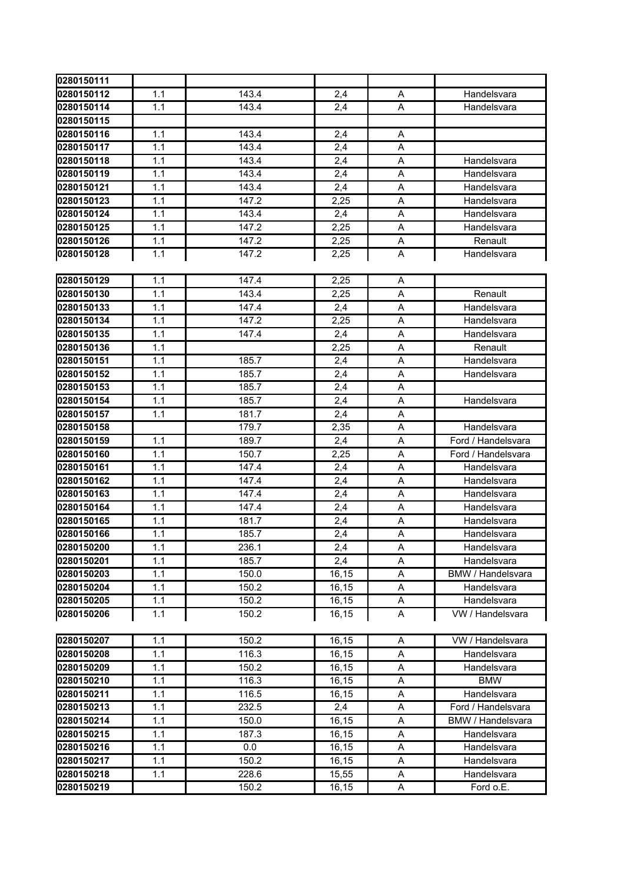| 0280150111 |     |       |       |                |                    |
|------------|-----|-------|-------|----------------|--------------------|
| 0280150112 | 1.1 | 143.4 | 2,4   | Α              | Handelsvara        |
| 0280150114 | 1.1 | 143.4 | 2,4   | A              | Handelsvara        |
| 0280150115 |     |       |       |                |                    |
| 0280150116 | 1.1 | 143.4 | 2,4   | Α              |                    |
| 0280150117 | 1.1 | 143.4 | 2,4   | A              |                    |
| 0280150118 | 1.1 | 143.4 | 2,4   | $\overline{A}$ | Handelsvara        |
| 0280150119 | 1.1 | 143.4 | 2,4   | A              | Handelsvara        |
| 0280150121 | 1.1 | 143.4 | 2,4   | A              | Handelsvara        |
| 0280150123 | 1.1 | 147.2 | 2,25  | A              | Handelsvara        |
| 0280150124 | 1.1 | 143.4 | 2,4   | A              | Handelsvara        |
| 0280150125 | 1.1 | 147.2 | 2,25  | A              | Handelsvara        |
| 0280150126 | 1.1 | 147.2 | 2,25  | A              | Renault            |
| 0280150128 | 1.1 | 147.2 | 2,25  | A              | Handelsvara        |
|            |     |       |       |                |                    |
| 0280150129 | 1.1 | 147.4 | 2,25  | A              |                    |
| 0280150130 | 1.1 | 143.4 | 2,25  | Α              | Renault            |
| 0280150133 | 1.1 | 147.4 | 2,4   | A              | Handelsvara        |
| 0280150134 | 1.1 | 147.2 | 2,25  | Α              | Handelsvara        |
| 0280150135 | 1.1 | 147.4 | 2,4   | A              | Handelsvara        |
| 0280150136 | 1.1 |       | 2,25  | A              | Renault            |
| 0280150151 | 1.1 | 185.7 | 2,4   | A              | Handelsvara        |
| 0280150152 | 1.1 | 185.7 | 2,4   | A              | Handelsvara        |
| 0280150153 | 1.1 | 185.7 | 2,4   | A              |                    |
| 0280150154 | 1.1 | 185.7 | 2,4   | A              | Handelsvara        |
| 0280150157 | 1.1 | 181.7 | 2,4   | A              |                    |
| 0280150158 |     | 179.7 | 2,35  | Α              | Handelsvara        |
| 0280150159 | 1.1 | 189.7 | 2,4   | A              | Ford / Handelsvara |
| 0280150160 | 1.1 | 150.7 | 2,25  | A              | Ford / Handelsvara |
| 0280150161 | 1.1 | 147.4 | 2,4   | A              | Handelsvara        |
| 0280150162 | 1.1 | 147.4 | 2,4   | A              | Handelsvara        |
| 0280150163 | 1.1 | 147.4 | 2,4   | A              | Handelsvara        |
| 0280150164 | 1.1 | 147.4 | 2,4   | $\overline{A}$ | Handelsvara        |
| 0280150165 | 1.1 | 181.7 | 2,4   | Α              | Handelsvara        |
| 0280150166 | 1.1 | 185.7 | 2,4   | A              | Handelsvara        |
| 0280150200 | 1.1 | 236.1 | 2,4   | A              | Handelsvara        |
| 0280150201 | 1.1 | 185.7 | 2,4   | A              | Handelsvara        |
| 0280150203 | 1.1 | 150.0 | 16,15 | Α              | BMW / Handelsvara  |
| 0280150204 | 1.1 | 150.2 | 16,15 | A              | Handelsvara        |
| 0280150205 | 1.1 | 150.2 | 16,15 | Α              | Handelsvara        |
| 0280150206 | 1.1 | 150.2 | 16,15 | A              | VW / Handelsvara   |
|            |     |       |       |                |                    |
| 0280150207 | 1.1 | 150.2 | 16,15 | Α              | VW / Handelsvara   |
| 0280150208 | 1.1 | 116.3 | 16,15 | A              | Handelsvara        |
| 0280150209 | 1.1 | 150.2 | 16,15 | Α              | Handelsvara        |
| 0280150210 | 1.1 | 116.3 | 16,15 | Α              | <b>BMW</b>         |
| 0280150211 | 1.1 | 116.5 | 16,15 | Α              | Handelsvara        |
| 0280150213 | 1.1 | 232.5 | 2,4   | Α              | Ford / Handelsvara |
| 0280150214 | 1.1 | 150.0 | 16,15 | Α              | BMW / Handelsvara  |
| 0280150215 | 1.1 | 187.3 | 16,15 | A              | Handelsvara        |
| 0280150216 | 1.1 | 0.0   | 16,15 | Α              | Handelsvara        |
| 0280150217 | 1.1 | 150.2 | 16,15 | Α              | Handelsvara        |
| 0280150218 | 1.1 | 228.6 | 15,55 | Α              | Handelsvara        |
| 0280150219 |     | 150.2 | 16,15 | A              | Ford o.E.          |
|            |     |       |       |                |                    |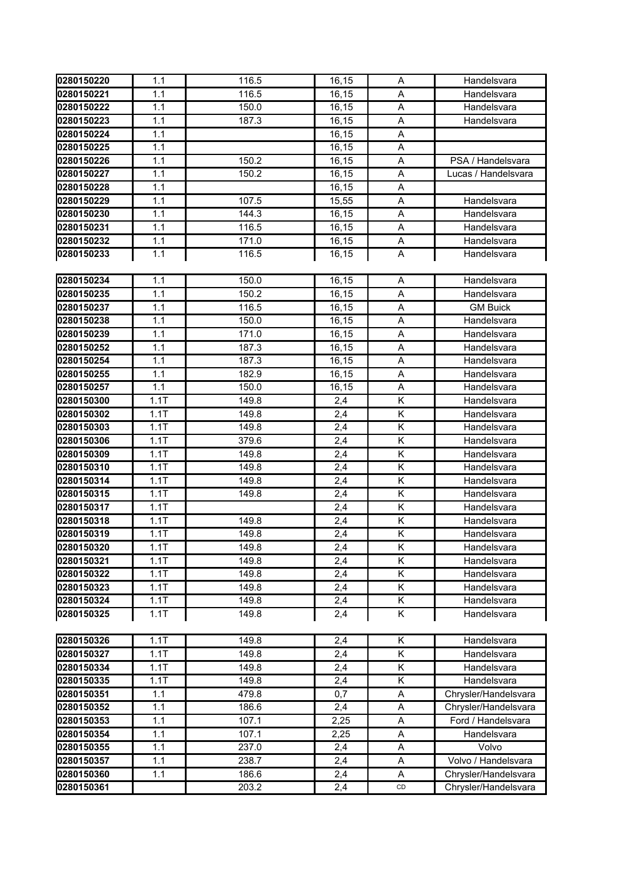| 0280150220               | 1.1          | 116.5          | 16,15      | Α                       | Handelsvara                                  |
|--------------------------|--------------|----------------|------------|-------------------------|----------------------------------------------|
| 0280150221               | 1.1          | 116.5          | 16,15      | Α                       | Handelsvara                                  |
| 0280150222               | 1.1          | 150.0          | 16,15      | Α                       | Handelsvara                                  |
| 0280150223               | 1.1          | 187.3          | 16,15      | Α                       | Handelsvara                                  |
| 0280150224               | 1.1          |                | 16,15      | Α                       |                                              |
| 0280150225               | 1.1          |                | 16,15      | Α                       |                                              |
| 0280150226               | 1.1          | 150.2          | 16,15      | A                       | PSA / Handelsvara                            |
| 0280150227               | 1.1          | 150.2          | 16,15      | A                       | Lucas / Handelsvara                          |
| 0280150228               | 1.1          |                | 16,15      | A                       |                                              |
| 0280150229               | 1.1          | 107.5          | 15,55      | Α                       | Handelsvara                                  |
| 0280150230               | 1.1          | 144.3          | 16,15      | A                       | Handelsvara                                  |
| 0280150231               | 1.1          | 116.5          | 16,15      | A                       | Handelsvara                                  |
| 0280150232               | 1.1          | 171.0          | 16,15      | A                       | Handelsvara                                  |
| 0280150233               | 1.1          | 116.5          | 16,15      | Α                       | Handelsvara                                  |
|                          |              |                |            |                         |                                              |
| 0280150234               | 1.1          | 150.0          | 16,15      | A                       | Handelsvara                                  |
| 0280150235               | 1.1          | 150.2          | 16,15      | Α                       | Handelsvara                                  |
| 0280150237               | 1.1          | 116.5          | 16,15      | Α                       | <b>GM Buick</b>                              |
| 0280150238               | 1.1          | 150.0          | 16,15      | Α                       | Handelsvara                                  |
| 0280150239               | 1.1          | 171.0          | 16,15      | A                       | Handelsvara                                  |
| 0280150252               | 1.1          | 187.3          | 16,15      | A                       | Handelsvara                                  |
| 0280150254               | 1.1          | 187.3          | 16,15      | A                       | Handelsvara                                  |
| 0280150255               | 1.1          | 182.9          | 16,15      | A                       | Handelsvara                                  |
| 0280150257               | 1.1          | 150.0          | 16,15      | A                       | Handelsvara                                  |
| 0280150300               | 1.1T         | 149.8          | 2,4        | Κ                       | Handelsvara                                  |
| 0280150302               | 1.1T         | 149.8          | 2,4        | Κ                       | Handelsvara                                  |
| 0280150303               | 1.1T         | 149.8          | 2,4        | Κ                       | Handelsvara                                  |
| 0280150306               | 1.1T         | 379.6          | 2,4        | Κ                       | Handelsvara                                  |
| 0280150309               | 1.1T         | 149.8          | 2,4        | Κ                       | Handelsvara                                  |
| 0280150310               | 1.1T         | 149.8          | 2,4        | Κ                       | Handelsvara                                  |
| 0280150314               | 1.1T         | 149.8          | 2,4        | Κ                       | Handelsvara                                  |
| 0280150315               | 1.1T         | 149.8          | 2,4        | Κ                       | Handelsvara                                  |
| 0280150317               | 1.1T         |                | 2,4        | Κ                       | Handelsvara                                  |
| 0280150318               | 1.1T         | 149.8          | 2,4        | Κ                       | Handelsvara                                  |
| 0280150319               | 1.1T         | 149.8          | 2,4        | Κ                       | Handelsvara                                  |
| 0280150320               | 1.1T         | 149.8          | 2,4        | Κ                       | Handelsvara                                  |
| 0280150321               | 1.1T         | 149.8          | 2,4        | $\overline{\mathsf{K}}$ | Handelsvara                                  |
| 0280150322               | 1.1T         | 149.8          | 2,4        | Κ                       | Handelsvara                                  |
| 0280150323               | 1.1T         | 149.8          | 2,4        | K                       | Handelsvara                                  |
| 0280150324               | 1.1T         | 149.8          | 2,4        | Κ                       | Handelsvara                                  |
| 0280150325               | 1.1T         | 149.8          | 2,4        | Κ                       | Handelsvara                                  |
|                          |              |                |            |                         |                                              |
| 0280150326               | 1.1T         | 149.8          | 2,4        | Κ                       | Handelsvara                                  |
| 0280150327<br>0280150334 | 1.1T<br>1.1T | 149.8<br>149.8 | 2,4<br>2,4 | Κ<br>Κ                  | Handelsvara<br>Handelsvara                   |
| 0280150335               | 1.1T         | 149.8          |            | Κ                       | Handelsvara                                  |
|                          |              |                | 2,4        |                         |                                              |
| 0280150351<br>0280150352 | 1.1<br>1.1   | 479.8<br>186.6 | 0,7<br>2,4 | Α<br>Α                  | Chrysler/Handelsvara<br>Chrysler/Handelsvara |
| 0280150353               | 1.1          | 107.1          | 2,25       | Α                       | Ford / Handelsvara                           |
| 0280150354               | 1.1          | 107.1          | 2,25       | A                       | Handelsvara                                  |
| 0280150355               | 1.1          | 237.0          | 2,4        | Α                       | Volvo                                        |
| 0280150357               | 1.1          | 238.7          | 2,4        | Α                       | Volvo / Handelsvara                          |
| 0280150360               | 1.1          | 186.6          | 2,4        | Α                       | Chrysler/Handelsvara                         |
| 0280150361               |              | 203.2          | 2,4        | CD                      | Chrysler/Handelsvara                         |
|                          |              |                |            |                         |                                              |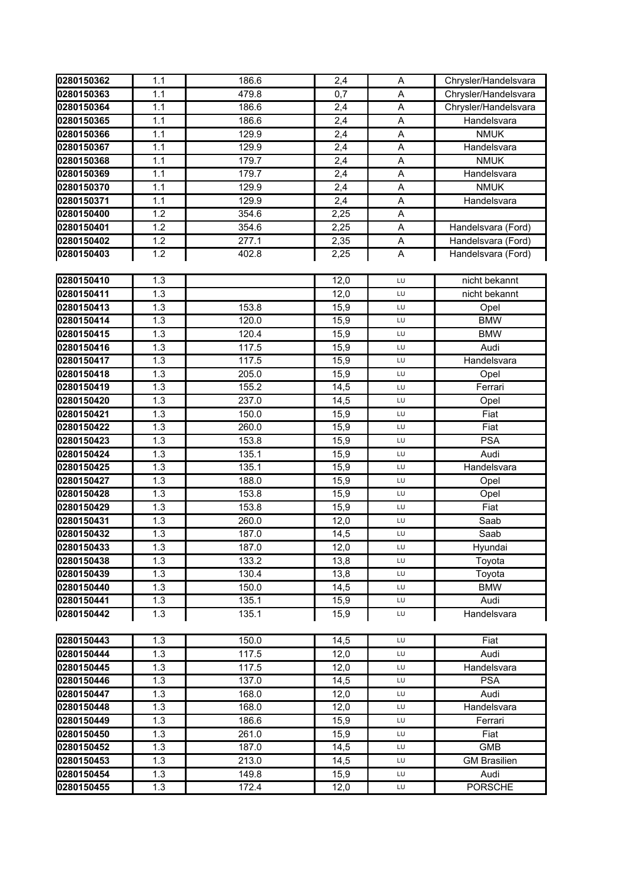| 0280150362               | 1.1        | 186.6          | 2,4          | A        | Chrysler/Handelsvara |
|--------------------------|------------|----------------|--------------|----------|----------------------|
| 0280150363               | 1.1        | 479.8          | 0,7          | A        | Chrysler/Handelsvara |
| 0280150364               | 1.1        | 186.6          | 2,4          | A        | Chrysler/Handelsvara |
| 0280150365               | 1.1        | 186.6          | 2,4          | A        | Handelsvara          |
| 0280150366               | 1.1        | 129.9          | 2,4          | A        | <b>NMUK</b>          |
| 0280150367               | 1.1        | 129.9          | 2,4          | A        | Handelsvara          |
| 0280150368               | 1.1        | 179.7          | 2,4          | A        | <b>NMUK</b>          |
| 0280150369               | 1.1        | 179.7          | 2,4          | A        | Handelsvara          |
| 0280150370               | 1.1        | 129.9          | 2,4          | A        | <b>NMUK</b>          |
| 0280150371               | 1.1        | 129.9          | 2,4          | A        | Handelsvara          |
| 0280150400               | 1.2        | 354.6          | 2,25         | Α        |                      |
| 0280150401               | 1.2        | 354.6          | 2,25         | Α        | Handelsvara (Ford)   |
| 0280150402               | 1.2        | 277.1          | 2,35         | Α        | Handelsvara (Ford)   |
| 0280150403               | 1.2        | 402.8          | 2,25         | A        | Handelsvara (Ford)   |
|                          |            |                |              |          |                      |
| 0280150410               | 1.3        |                | 12,0         | LU       | nicht bekannt        |
| 0280150411               | 1.3        |                | 12,0         | LU       | nicht bekannt        |
| 0280150413               | 1.3        | 153.8          | 15,9         | LU       | Opel                 |
| 0280150414               | 1.3        | 120.0          | 15,9         | LU       | <b>BMW</b>           |
| 0280150415               | 1.3        | 120.4          | 15,9         | LU       | <b>BMW</b>           |
| 0280150416               | 1.3        | 117.5          | 15,9         | LU       | Audi                 |
| 0280150417               | 1.3        | 117.5          | 15,9         | LU       | Handelsvara          |
| 0280150418               | 1.3        | 205.0          | 15,9         | LU       | Opel                 |
| 0280150419               | 1.3        | 155.2          | 14,5         | LU       | Ferrari              |
| 0280150420               | 1.3        | 237.0          | 14,5         | LU       | Opel                 |
| 0280150421               | 1.3        | 150.0          | 15,9         | LU       | Fiat                 |
| 0280150422               | 1.3        | 260.0          | 15,9         | LU       | Fiat                 |
| 0280150423               | 1.3        | 153.8          | 15,9         | LU       | <b>PSA</b>           |
| 0280150424               | 1.3        | 135.1          | 15,9         | LU       | Audi                 |
| 0280150425               | 1.3        | 135.1          | 15,9         | LU       | Handelsvara          |
| 0280150427               | 1.3        | 188.0          | 15,9         | LU       | Opel                 |
| 0280150428<br>0280150429 | 1.3<br>1.3 | 153.8<br>153.8 | 15,9<br>15,9 | LU       | Opel<br>Fiat         |
| 0280150431               | 1.3        | 260.0          | 12,0         | LU<br>LU | Saab                 |
| 0280150432               | 1.3        | 187.0          | 14,5         | LU       | Saab                 |
| 0280150433               | 1.3        | 187.0          | 12,0         | LU       | Hyundai              |
| 0280150438               | 1.3        | 133.2          | 13,8         | LU       | Toyota               |
| 0280150439               | 1.3        | 130.4          | 13,8         | LU       | Toyota               |
| 0280150440               | 1.3        | 150.0          | 14,5         | LU       | <b>BMW</b>           |
| 0280150441               | 1.3        | 135.1          | 15,9         | LU       | Audi                 |
| 0280150442               | 1.3        | 135.1          | 15,9         | LU       | Handelsvara          |
|                          |            |                |              |          |                      |
| 0280150443               | 1.3        | 150.0          | 14,5         | LU       | Fiat                 |
| 0280150444               | 1.3        | 117.5          | 12,0         | LU       | Audi                 |
| 0280150445               | 1.3        | 117.5          | 12,0         | LU       | Handelsvara          |
| 0280150446               | 1.3        | 137.0          | 14,5         | LU       | <b>PSA</b>           |
| 0280150447               | 1.3        | 168.0          | 12,0         | LU       | Audi                 |
| 0280150448               | 1.3        | 168.0          | 12,0         | LU       | Handelsvara          |
| 0280150449               | 1.3        | 186.6          | 15,9         | LU       | Ferrari              |
| 0280150450               | 1.3        | 261.0          | 15,9         | LU       | Fiat                 |
| 0280150452               | 1.3        | 187.0          | 14,5         | LU       | GMB                  |
| 0280150453               | 1.3        | 213.0          | 14,5         | LU       | <b>GM Brasilien</b>  |
| 0280150454               | 1.3        | 149.8          | 15,9         | LU       | Audi                 |
| 0280150455               | 1.3        | 172.4          | 12,0         | LU       | <b>PORSCHE</b>       |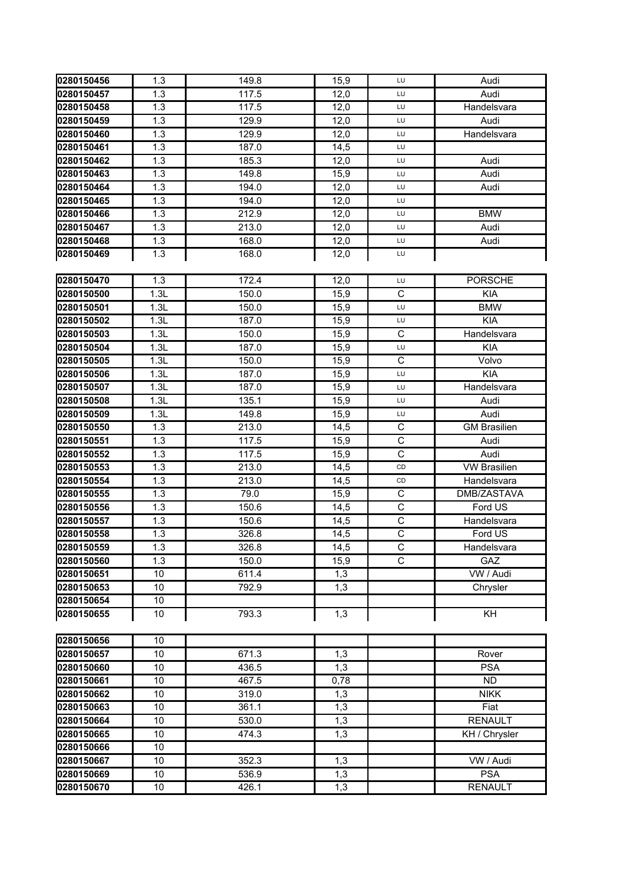| 0280150456 | 1.3  | 149.8 | 15,9 | LU                      | Audi                |
|------------|------|-------|------|-------------------------|---------------------|
| 0280150457 | 1.3  | 117.5 | 12,0 | LU                      | Audi                |
| 0280150458 | 1.3  | 117.5 | 12,0 | LU                      | Handelsvara         |
| 0280150459 | 1.3  | 129.9 | 12,0 | LU                      | Audi                |
| 0280150460 | 1.3  | 129.9 | 12,0 | LU                      | Handelsvara         |
| 0280150461 | 1.3  | 187.0 | 14,5 | LU                      |                     |
| 0280150462 | 1.3  | 185.3 | 12,0 | LU                      | Audi                |
| 0280150463 | 1.3  | 149.8 | 15,9 | LU                      | Audi                |
| 0280150464 | 1.3  | 194.0 | 12,0 | LU                      | Audi                |
| 0280150465 | 1.3  | 194.0 | 12,0 | LU                      |                     |
| 0280150466 | 1.3  | 212.9 | 12,0 | LU                      | <b>BMW</b>          |
| 0280150467 | 1.3  | 213.0 | 12,0 | LU                      | Audi                |
| 0280150468 | 1.3  | 168.0 | 12,0 | LU                      | Audi                |
| 0280150469 | 1.3  | 168.0 | 12,0 | LU                      |                     |
|            |      |       |      |                         |                     |
| 0280150470 | 1.3  | 172.4 | 12,0 | LU                      | <b>PORSCHE</b>      |
| 0280150500 | 1.3L | 150.0 | 15,9 | $\mathsf C$             | <b>KIA</b>          |
| 0280150501 | 1.3L | 150.0 | 15,9 | LU                      | <b>BMW</b>          |
| 0280150502 | 1.3L | 187.0 | 15,9 | LU                      | <b>KIA</b>          |
| 0280150503 | 1.3L | 150.0 | 15,9 | C                       | Handelsvara         |
| 0280150504 | 1.3L | 187.0 | 15,9 | LU                      | <b>KIA</b>          |
| 0280150505 | 1.3L | 150.0 | 15,9 | $\mathsf C$             | Volvo               |
| 0280150506 | 1.3L | 187.0 | 15,9 | LU                      | <b>KIA</b>          |
| 0280150507 | 1.3L | 187.0 | 15,9 | LU                      | Handelsvara         |
| 0280150508 | 1.3L | 135.1 | 15,9 | LU                      | Audi                |
| 0280150509 | 1.3L | 149.8 | 15,9 | LU                      | Audi                |
| 0280150550 | 1.3  | 213.0 | 14,5 | С                       | <b>GM Brasilien</b> |
| 0280150551 | 1.3  | 117.5 | 15,9 | $\mathsf C$             | Audi                |
| 0280150552 | 1.3  | 117.5 | 15,9 | $\mathsf C$             | Audi                |
| 0280150553 | 1.3  | 213.0 | 14,5 | CD                      | <b>VW Brasilien</b> |
| 0280150554 | 1.3  | 213.0 | 14,5 | CD                      | Handelsvara         |
| 0280150555 | 1.3  | 79.0  | 15,9 | $\mathsf C$             | DMB/ZASTAVA         |
| 0280150556 | 1.3  | 150.6 | 14,5 | $\overline{C}$          | Ford US             |
| 0280150557 | 1.3  | 150.6 | 14,5 | C                       | Handelsvara         |
| 0280150558 | 1.3  | 326.8 | 14,5 | $\overline{\mathrm{c}}$ | Ford US             |
| 0280150559 | 1.3  | 326.8 | 14,5 | C                       | Handelsvara         |
| 0280150560 | 1.3  | 150.0 | 15,9 | $\overline{C}$          | <b>GAZ</b>          |
| 0280150651 | 10   | 611.4 | 1,3  |                         | VW / Audi           |
| 0280150653 | 10   | 792.9 | 1,3  |                         | Chrysler            |
| 0280150654 | 10   |       |      |                         |                     |
| 0280150655 | 10   | 793.3 | 1,3  |                         | KH                  |
| 0280150656 | 10   |       |      |                         |                     |
| 0280150657 | 10   | 671.3 | 1,3  |                         | Rover               |
| 0280150660 | 10   | 436.5 | 1,3  |                         | <b>PSA</b>          |
| 0280150661 | 10   | 467.5 | 0,78 |                         | <b>ND</b>           |
| 0280150662 | 10   | 319.0 | 1,3  |                         | <b>NIKK</b>         |
| 0280150663 | 10   | 361.1 | 1,3  |                         | Fiat                |
| 0280150664 | 10   | 530.0 | 1,3  |                         | <b>RENAULT</b>      |
| 0280150665 | 10   | 474.3 | 1,3  |                         | KH / Chrysler       |
| 0280150666 | 10   |       |      |                         |                     |
| 0280150667 | 10   | 352.3 | 1,3  |                         | VW / Audi           |
| 0280150669 | 10   | 536.9 | 1,3  |                         | <b>PSA</b>          |
| 0280150670 | 10   | 426.1 | 1,3  |                         | <b>RENAULT</b>      |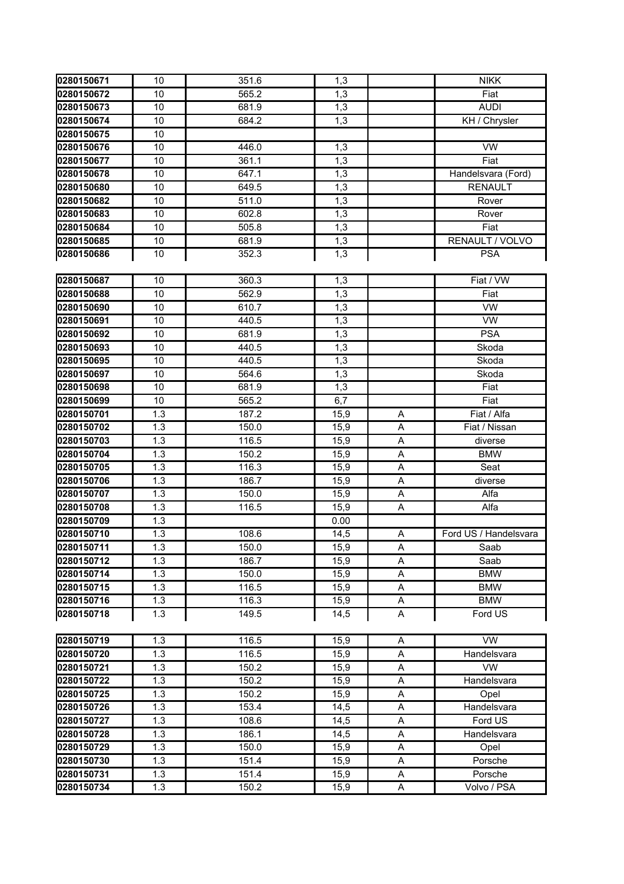| 0280150671 | 10               | 351.6 | 1,3  |         | <b>NIKK</b>           |
|------------|------------------|-------|------|---------|-----------------------|
| 0280150672 | 10               | 565.2 | 1,3  |         | Fiat                  |
| 0280150673 | 10               | 681.9 | 1,3  |         | <b>AUDI</b>           |
| 0280150674 | 10               | 684.2 | 1,3  |         | KH / Chrysler         |
| 0280150675 | 10               |       |      |         |                       |
| 0280150676 | 10               | 446.0 | 1,3  |         | <b>VW</b>             |
| 0280150677 | 10               | 361.1 | 1,3  |         | Fiat                  |
| 0280150678 | 10               | 647.1 | 1,3  |         | Handelsvara (Ford)    |
| 0280150680 | 10               | 649.5 | 1,3  |         | <b>RENAULT</b>        |
| 0280150682 | 10               | 511.0 | 1,3  |         | Rover                 |
| 0280150683 | 10               | 602.8 | 1,3  |         | Rover                 |
| 0280150684 | 10               | 505.8 | 1,3  |         | Fiat                  |
| 0280150685 | 10               | 681.9 | 1,3  |         | RENAULT / VOLVO       |
| 0280150686 | 10               | 352.3 | 1,3  |         | <b>PSA</b>            |
|            |                  |       |      |         |                       |
| 0280150687 | 10               | 360.3 | 1,3  |         | Fiat / VW             |
| 0280150688 | 10               | 562.9 | 1,3  |         | Fiat                  |
| 0280150690 | 10               | 610.7 | 1,3  |         | <b>VW</b>             |
| 0280150691 | 10               | 440.5 | 1,3  |         | <b>VW</b>             |
| 0280150692 | 10               | 681.9 | 1,3  |         | <b>PSA</b>            |
| 0280150693 | 10               | 440.5 | 1,3  |         | Skoda                 |
| 0280150695 | 10               | 440.5 | 1,3  |         | Skoda                 |
| 0280150697 | 10               | 564.6 | 1,3  |         | Skoda                 |
| 0280150698 | 10               | 681.9 | 1,3  |         | Fiat                  |
| 0280150699 | 10               | 565.2 | 6,7  |         | Fiat                  |
| 0280150701 | 1.3              | 187.2 | 15,9 | Α       | Fiat / Alfa           |
| 0280150702 | 1.3              | 150.0 | 15,9 | A       | Fiat / Nissan         |
| 0280150703 | 1.3              | 116.5 | 15,9 | A       | diverse               |
| 0280150704 | 1.3              | 150.2 | 15,9 | A       | <b>BMW</b>            |
| 0280150705 | 1.3              | 116.3 | 15,9 | A       | Seat                  |
| 0280150706 | 1.3              | 186.7 | 15,9 | A       | diverse               |
| 0280150707 | 1.3              | 150.0 | 15,9 | A       | Alfa                  |
| 0280150708 | 1.3              | 116.5 | 15,9 | A       | Alfa                  |
| 0280150709 | 1.3              |       | 0.00 |         |                       |
| 0280150710 | 1.3              | 108.6 | 14,5 | Α       | Ford US / Handelsvara |
| 0280150711 | $\overline{1.3}$ | 150.0 | 15,9 | $\sf A$ | Saab                  |
| 0280150712 | 1.3              | 186.7 | 15,9 | Α       | Saab                  |
| 0280150714 | 1.3              | 150.0 | 15,9 | Α       | <b>BMW</b>            |
| 0280150715 | 1.3              | 116.5 | 15,9 | A       | <b>BMW</b>            |
| 0280150716 | 1.3              | 116.3 | 15,9 | Α       | <b>BMW</b>            |
| 0280150718 | 1.3              | 149.5 | 14,5 | A       | Ford US               |
|            |                  |       |      |         |                       |
| 0280150719 | 1.3              | 116.5 | 15,9 | A       | <b>VW</b>             |
| 0280150720 | 1.3              | 116.5 | 15,9 | Α       | Handelsvara           |
| 0280150721 | 1.3              | 150.2 | 15,9 | A       | <b>VW</b>             |
| 0280150722 | 1.3              | 150.2 | 15,9 | Α       | Handelsvara           |
| 0280150725 | 1.3              | 150.2 | 15,9 | Α       | Opel                  |
| 0280150726 | 1.3              | 153.4 | 14,5 | Α       | Handelsvara           |
| 0280150727 | 1.3              | 108.6 | 14,5 | A       | Ford US               |
| 0280150728 | 1.3              | 186.1 | 14,5 | Α       | Handelsvara           |
| 0280150729 | 1.3              | 150.0 | 15,9 | A       | Opel                  |
| 0280150730 | 1.3              | 151.4 | 15,9 | Α       | Porsche               |
| 0280150731 | 1.3              | 151.4 | 15,9 | A       | Porsche               |
| 0280150734 | 1.3              | 150.2 | 15,9 | A       | Volvo / PSA           |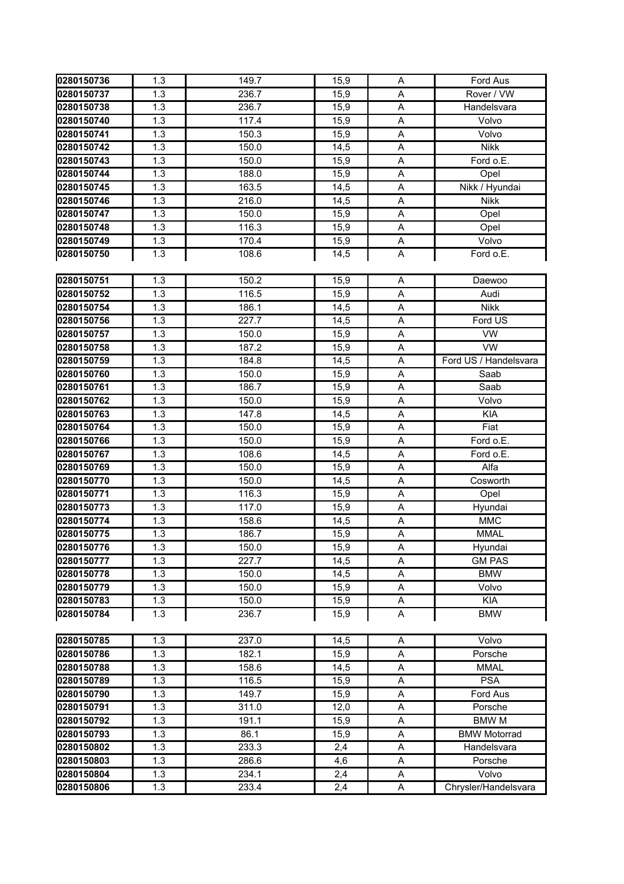| 0280150736               | 1.3        | 149.7          | 15,9         | Α      | Ford Aus              |
|--------------------------|------------|----------------|--------------|--------|-----------------------|
| 0280150737               | 1.3        | 236.7          | 15,9         | Α      | Rover / VW            |
| 0280150738               | 1.3        | 236.7          | 15,9         | Α      | Handelsvara           |
| 0280150740               | 1.3        | 117.4          | 15,9         | A      | Volvo                 |
| 0280150741               | 1.3        | 150.3          | 15,9         | Α      | Volvo                 |
| 0280150742               | 1.3        | 150.0          | 14,5         | Α      | <b>Nikk</b>           |
| 0280150743               | 1.3        | 150.0          | 15,9         | Α      | Ford o.E.             |
| 0280150744               | 1.3        | 188.0          | 15,9         | A      | Opel                  |
| 0280150745               | 1.3        | 163.5          | 14,5         | A      | Nikk / Hyundai        |
| 0280150746               | 1.3        | 216.0          | 14,5         | A      | <b>Nikk</b>           |
| 0280150747               | 1.3        | 150.0          | 15,9         | A      | Opel                  |
| 0280150748               | 1.3        | 116.3          | 15,9         | Α      | Opel                  |
| 0280150749               | 1.3        | 170.4          | 15,9         | A      | Volvo                 |
| 0280150750               | 1.3        | 108.6          | 14,5         | Α      | Ford o.E.             |
|                          |            |                |              |        |                       |
| 0280150751               | 1.3        | 150.2          | 15,9         | Α      | Daewoo                |
| 0280150752               | 1.3        | 116.5          | 15,9         | A      | Audi                  |
| 0280150754               | 1.3        | 186.1          | 14,5         | Α      | <b>Nikk</b>           |
| 0280150756               | 1.3        | 227.7          | 14,5         | Α      | Ford US               |
| 0280150757               | 1.3        | 150.0          | 15,9         | Α      | <b>VW</b>             |
| 0280150758               | 1.3        | 187.2          | 15,9         | A      | <b>VW</b>             |
| 0280150759               | 1.3        | 184.8          | 14,5         | Α      | Ford US / Handelsvara |
| 0280150760               | 1.3        | 150.0          | 15,9         | Α      | Saab                  |
| 0280150761               | 1.3        | 186.7          | 15,9         | Α      | Saab                  |
| 0280150762               | 1.3        | 150.0          | 15,9         | Α      | Volvo                 |
| 0280150763               | 1.3        | 147.8          | 14,5         | A      | <b>KIA</b>            |
| 0280150764               | 1.3        | 150.0          | 15,9         | A      | Fiat                  |
| 0280150766               | 1.3        | 150.0          | 15,9         | A      | Ford o.E.             |
| 0280150767               | 1.3        | 108.6          | 14,5         | A      | Ford o.E.             |
| 0280150769               | 1.3        | 150.0          | 15,9         | A      | Alfa                  |
| 0280150770               | 1.3        | 150.0          | 14,5         | A      | Cosworth              |
| 0280150771               | 1.3        | 116.3          | 15,9         | A      | Opel                  |
| 0280150773               | 1.3        | 117.0          | 15,9         | Α      | Hyundai               |
| 0280150774               | 1.3        | 158.6          | 14,5         | A      | <b>MMC</b>            |
| 0280150775               | 1.3        | 186.7          | 15,9         | Α      | <b>MMAL</b>           |
| 0280150776               | 1.3        | 150.0          | 15,9         | A      | Hyundai               |
| 0280150777               | 1.3        | 227.7          | 14,5         | A      | <b>GM PAS</b>         |
| 0280150778<br>0280150779 | 1.3<br>1.3 | 150.0<br>150.0 | 14,5<br>15,9 | Α<br>Α | <b>BMW</b><br>Volvo   |
| 0280150783               | 1.3        | 150.0          | 15,9         | Α      | <b>KIA</b>            |
| 0280150784               | 1.3        | 236.7          | 15,9         | Α      | <b>BMW</b>            |
|                          |            |                |              |        |                       |
| 0280150785               | 1.3        | 237.0          | 14,5         | Α      | Volvo                 |
| 0280150786               | 1.3        | 182.1          | 15,9         | Α      | Porsche               |
| 0280150788               | 1.3        | 158.6          | 14,5         | Α      | <b>MMAL</b>           |
| 0280150789               | 1.3        | 116.5          | 15,9         | Α      | <b>PSA</b>            |
| 0280150790               | 1.3        | 149.7          | 15,9         | A      | Ford Aus              |
| 0280150791               | 1.3        | 311.0          | 12,0         | Α      | Porsche               |
| 0280150792               | 1.3        | 191.1          | 15,9         | Α      | <b>BMW M</b>          |
| 0280150793               | 1.3        | 86.1           | 15,9         | Α      | <b>BMW Motorrad</b>   |
| 0280150802               | 1.3        | 233.3          | 2,4          | Α      | Handelsvara           |
| 0280150803               | 1.3        | 286.6          | 4,6          | Α      | Porsche               |
| 0280150804               | 1.3        | 234.1          | 2,4          | Α      | Volvo                 |
| 0280150806               | 1.3        | 233.4          | 2,4          | Α      | Chrysler/Handelsvara  |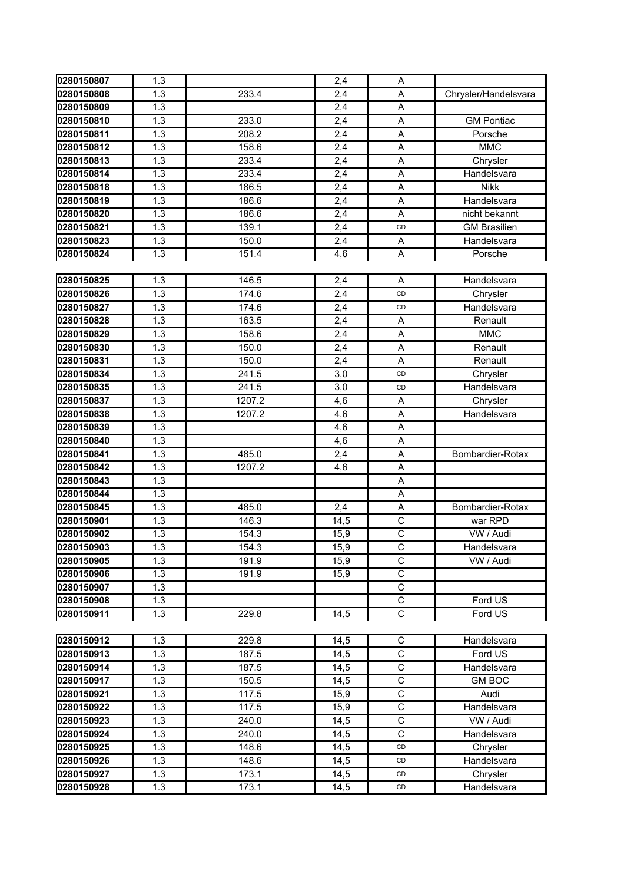| 0280150807               | 1.3              |        | 2,4              | A                             |                      |
|--------------------------|------------------|--------|------------------|-------------------------------|----------------------|
| 0280150808               | 1.3              | 233.4  | 2,4              | Α                             | Chrysler/Handelsvara |
| 0280150809               | 1.3              |        | 2,4              | A                             |                      |
| 0280150810               | 1.3              | 233.0  | 2,4              | A                             | <b>GM Pontiac</b>    |
| 0280150811               | 1.3              | 208.2  | 2,4              | A                             | Porsche              |
| 0280150812               | 1.3              | 158.6  | 2,4              | A                             | <b>MMC</b>           |
| 0280150813               | 1.3              | 233.4  | 2,4              | A                             | Chrysler             |
| 0280150814               | 1.3              | 233.4  | 2,4              | A                             | Handelsvara          |
| 0280150818               | 1.3              | 186.5  | 2,4              | A                             | <b>Nikk</b>          |
| 0280150819               | 1.3              | 186.6  | 2,4              | Α                             | Handelsvara          |
| 0280150820               | 1.3              | 186.6  | 2,4              | A                             | nicht bekannt        |
| 0280150821               | 1.3              | 139.1  | 2,4              | CD                            | <b>GM Brasilien</b>  |
| 0280150823               | 1.3              | 150.0  | $\overline{2,4}$ | A                             | Handelsvara          |
| 0280150824               | 1.3              | 151.4  | 4,6              | A                             | Porsche              |
|                          |                  |        |                  |                               |                      |
| 0280150825               | 1.3              | 146.5  | 2,4              | A                             | Handelsvara          |
| 0280150826               | $\overline{1.3}$ | 174.6  | 2,4              | CD                            | Chrysler             |
| 0280150827               | 1.3              | 174.6  | 2,4              | CD                            | Handelsvara          |
| 0280150828               | 1.3              | 163.5  | 2,4              | A                             | Renault              |
| 0280150829               | 1.3              | 158.6  | 2,4              | A                             | <b>MMC</b>           |
| 0280150830               | 1.3              | 150.0  | 2,4              | A                             | Renault              |
| 0280150831               | 1.3              | 150.0  | 2,4              | A                             | Renault              |
| 0280150834               | 1.3              | 241.5  | 3,0              | CD                            | Chrysler             |
| 0280150835               | 1.3              | 241.5  | 3,0              | CD                            | Handelsvara          |
| 0280150837               | 1.3              | 1207.2 | 4,6              | A                             | Chrysler             |
| 0280150838               | 1.3              | 1207.2 | 4,6              | A                             | Handelsvara          |
| 0280150839               | 1.3              |        | 4,6              | Α                             |                      |
|                          |                  |        |                  |                               |                      |
|                          |                  |        |                  |                               |                      |
| 0280150840               | 1.3              |        | 4,6              | A                             |                      |
| 0280150841               | 1.3              | 485.0  | 2,4              | A                             | Bombardier-Rotax     |
| 0280150842<br>0280150843 | 1.3              | 1207.2 | 4,6              | A                             |                      |
|                          | 1.3              |        |                  | A                             |                      |
| 0280150844               | 1.3<br>1.3       |        |                  | A<br>A                        | Bombardier-Rotax     |
| 0280150845               |                  | 485.0  | 2,4              |                               |                      |
| 0280150901               | 1.3              | 146.3  | 14,5             | $\mathsf{C}$                  | war RPD              |
| 0280150902               | 1.3              | 154.3  | 15,9             | $\mathsf C$                   | VW / Audi            |
| 0280150903               | 1.3              | 154.3  | 15,9             | С<br>C                        | Handelsvara          |
| 0280150905               | 1.3              | 191.9  | 15,9             |                               | VW / Audi            |
| 0280150906               | 1.3              | 191.9  | 15,9             | C                             |                      |
| 0280150907               | 1.3              |        |                  | $\mathsf C$                   |                      |
| 0280150908<br>0280150911 | 1.3<br>1.3       | 229.8  | 14,5             | $\mathsf C$<br>$\overline{C}$ | Ford US<br>Ford US   |
|                          |                  |        |                  |                               |                      |
| 0280150912               | 1.3              | 229.8  | 14,5             | $\mathsf C$                   | Handelsvara          |
| 0280150913               | 1.3              | 187.5  | 14,5             | $\mathbf C$                   | Ford US              |
| 0280150914               | 1.3              | 187.5  | 14,5             | $\mathsf C$                   | Handelsvara          |
| 0280150917               | 1.3              | 150.5  | 14,5             | C                             | <b>GM BOC</b>        |
| 0280150921               | 1.3              | 117.5  | 15,9             | $\overline{\text{C}}$         | Audi                 |
| 0280150922               | 1.3              | 117.5  | 15,9             | $\mathsf C$                   | Handelsvara          |
| 0280150923               | 1.3              | 240.0  | 14,5             | $\mathsf C$                   | VW / Audi            |
| 0280150924               | 1.3              | 240.0  | 14,5             | C                             | Handelsvara          |
| 0280150925               | 1.3              | 148.6  | 14,5             | CD                            | Chrysler             |
| 0280150926               | 1.3              | 148.6  | 14,5             | CD                            | Handelsvara          |
| 0280150927               | 1.3              | 173.1  | 14,5             | CD                            | Chrysler             |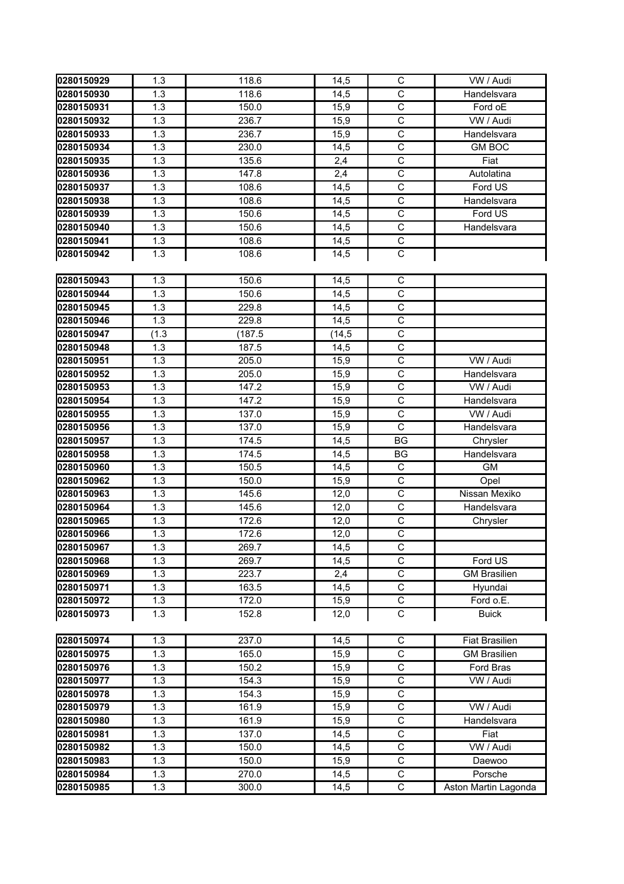| 0280150929               | 1.3        | 118.6          | 14,5         | С                             | VW / Audi                       |
|--------------------------|------------|----------------|--------------|-------------------------------|---------------------------------|
| 0280150930               | 1.3        | 118.6          | 14,5         | $\overline{\text{c}}$         | Handelsvara                     |
| 0280150931               | 1.3        | 150.0          | 15,9         | $\mathsf C$                   | Ford oE                         |
| 0280150932               | 1.3        | 236.7          | 15,9         | $\mathsf C$                   | VW / Audi                       |
| 0280150933               | 1.3        | 236.7          | 15,9         | $\mathsf C$                   | Handelsvara                     |
| 0280150934               | 1.3        | 230.0          | 14,5         | $\mathsf C$                   | <b>GM BOC</b>                   |
| 0280150935               | 1.3        | 135.6          | 2,4          | $\overline{C}$                | Fiat                            |
| 0280150936               | 1.3        | 147.8          | 2,4          | $\mathsf C$                   | Autolatina                      |
| 0280150937               | 1.3        | 108.6          | 14,5         | $\overline{C}$                | Ford US                         |
| 0280150938               | 1.3        | 108.6          | 14,5         | $\overline{\mathrm{c}}$       | Handelsvara                     |
| 0280150939               | 1.3        | 150.6          | 14,5         | $\overline{\mathrm{c}}$       | Ford US                         |
| 0280150940               | 1.3        | 150.6          | 14,5         | $\mathsf C$                   | Handelsvara                     |
| 0280150941               | 1.3        | 108.6          | 14,5         | $\mathsf C$                   |                                 |
| 0280150942               | 1.3        | 108.6          | 14,5         | $\overline{C}$                |                                 |
| 0280150943               | 1.3        | 150.6          | 14,5         | $\mathbf C$                   |                                 |
| 0280150944               | 1.3        | 150.6          | 14,5         | $\overline{c}$                |                                 |
| 0280150945               | 1.3        | 229.8          | 14,5         | $\mathsf C$                   |                                 |
| 0280150946               | 1.3        | 229.8          | 14,5         | $\overline{\mathrm{c}}$       |                                 |
| 0280150947               | (1.3)      | (187.5)        | (14, 5)      | $\mathsf C$                   |                                 |
| 0280150948               | 1.3        | 187.5          | 14,5         | $\mathsf C$                   |                                 |
| 0280150951               | 1.3        | 205.0          | 15,9         | $\mathsf C$                   | VW / Audi                       |
| 0280150952               | 1.3        | 205.0          | 15,9         | $\mathsf C$                   | Handelsvara                     |
| 0280150953               | 1.3        | 147.2          | 15,9         | $\mathsf C$                   | VW / Audi                       |
| 0280150954               | 1.3        | 147.2          | 15,9         | $\mathsf C$                   | Handelsvara                     |
| 0280150955               | 1.3        | 137.0          | 15,9         | $\overline{\mathrm{c}}$       | VW / Audi                       |
| 0280150956               | 1.3        | 137.0          | 15,9         | $\overline{\mathrm{c}}$       | Handelsvara                     |
|                          |            |                |              |                               |                                 |
| 0280150957               | 1.3        | 174.5          | 14,5         | <b>BG</b>                     | Chrysler                        |
| 0280150958               | 1.3        | 174.5          | 14,5         | BG                            | Handelsvara                     |
| 0280150960               | 1.3        | 150.5          | 14,5         | $\mathsf C$                   | <b>GM</b>                       |
| 0280150962               | 1.3        | 150.0          | 15,9         | $\mathsf C$                   | Opel                            |
| 0280150963               | 1.3        | 145.6          | 12,0         | $\mathsf{C}$                  | Nissan Mexiko                   |
| 0280150964               | 1.3        | 145.6          | 12,0         | $\overline{C}$                | Handelsvara                     |
| 0280150965               | 1.3        | 172.6          | 12,0         | $\overline{\mathrm{c}}$       | Chrysler                        |
| 0280150966               | 1.3        | 172.6          | 12,0         | $\mathsf C$                   |                                 |
| 0280150967               | 1.3        | 269.7          | 14,5         | $\overline{C}$                |                                 |
| 0280150968               | 1.3        | 269.7          | 14,5         | $\mathsf C$                   | Ford US                         |
| 0280150969               | 1.3        | 223.7          | 2,4          | $\mathsf C$                   | <b>GM Brasilien</b>             |
| 0280150971               | 1.3        | 163.5          | 14,5         | $\mathsf C$                   | Hyundai                         |
| 0280150972               | 1.3        | 172.0          | 15,9         | $\mathsf C$                   | Ford o.E.                       |
| 0280150973               | 1.3        | 152.8          | 12,0         | $\mathsf C$                   | <b>Buick</b>                    |
| 0280150974               | 1.3        | 237.0          | 14,5         | $\mathsf C$                   | <b>Fiat Brasilien</b>           |
| 0280150975               | 1.3        | 165.0          | 15,9         | $\overline{\mathrm{c}}$       | <b>GM Brasilien</b>             |
| 0280150976               | 1.3        | 150.2          | 15,9         | $\overline{C}$                | Ford Bras                       |
| 0280150977               | 1.3        | 154.3          | 15,9         | $\mathsf C$                   | VW / Audi                       |
| 0280150978               | 1.3        | 154.3          | 15,9         | $\mathsf C$                   |                                 |
| 0280150979               | 1.3        | 161.9          | 15,9         | C                             | VW / Audi                       |
| 0280150980               | 1.3        | 161.9          | 15,9         | $\mathsf C$                   | Handelsvara                     |
| 0280150981               | 1.3        | 137.0          | 14,5         | $\mathsf C$                   | Fiat                            |
| 0280150982               | 1.3        | 150.0          | 14,5         | $\mathsf C$                   | VW / Audi                       |
| 0280150983               | 1.3        | 150.0          | 15,9         | $\mathsf C$                   | Daewoo                          |
| 0280150984<br>0280150985 | 1.3<br>1.3 | 270.0<br>300.0 | 14,5<br>14,5 | $\mathsf C$<br>$\overline{C}$ | Porsche<br>Aston Martin Lagonda |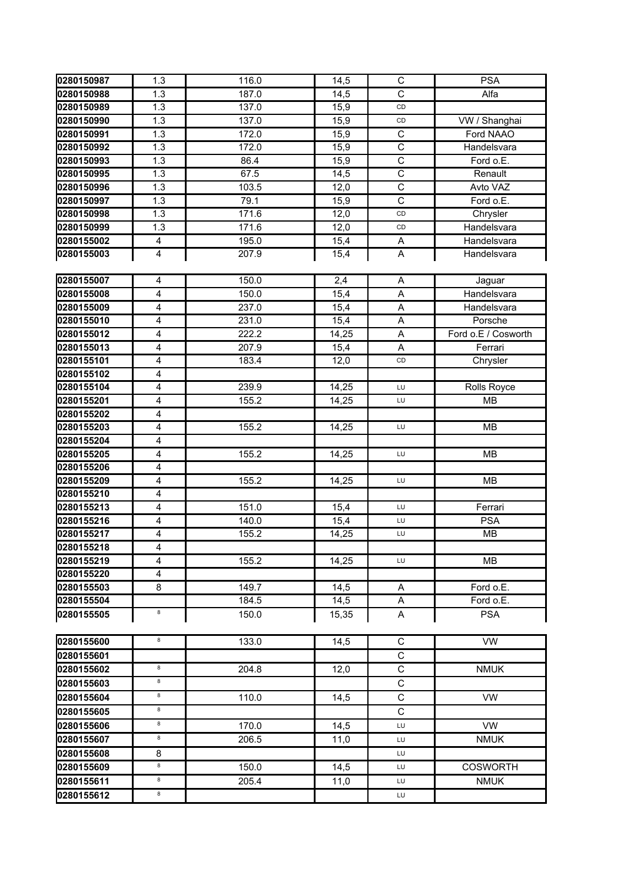| 0280150987 | 1.3                     | 116.0 | 14,5  | C              | <b>PSA</b>          |
|------------|-------------------------|-------|-------|----------------|---------------------|
| 0280150988 | 1.3                     | 187.0 | 14,5  | C              | Alfa                |
| 0280150989 | 1.3                     | 137.0 | 15,9  | CD             |                     |
| 0280150990 | 1.3                     | 137.0 | 15,9  | CD             | VW / Shanghai       |
| 0280150991 | 1.3                     | 172.0 | 15,9  | $\mathsf C$    | Ford NAAO           |
| 0280150992 | 1.3                     | 172.0 | 15,9  | $\mathsf C$    | Handelsvara         |
| 0280150993 | 1.3                     | 86.4  | 15,9  | C              | Ford o.E.           |
| 0280150995 | 1.3                     | 67.5  | 14,5  | $\mathsf{C}$   | Renault             |
| 0280150996 | 1.3                     | 103.5 | 12,0  | $\overline{C}$ | Avto VAZ            |
| 0280150997 | 1.3                     | 79.1  | 15,9  | $\mathsf C$    | Ford o.E.           |
| 0280150998 | 1.3                     | 171.6 | 12,0  | CD             | Chrysler            |
| 0280150999 | 1.3                     | 171.6 | 12,0  | CD             | Handelsvara         |
| 0280155002 | $\overline{\mathbf{4}}$ | 195.0 | 15,4  | A              | Handelsvara         |
| 0280155003 | 4                       | 207.9 | 15,4  | A              | Handelsvara         |
|            |                         |       |       |                |                     |
| 0280155007 | 4                       | 150.0 | 2,4   | Α              | Jaguar              |
| 0280155008 | $\overline{4}$          | 150.0 | 15,4  | A              | Handelsvara         |
| 0280155009 | $\overline{\mathbf{4}}$ | 237.0 | 15,4  | A              | Handelsvara         |
| 0280155010 | $\overline{\mathbf{4}}$ | 231.0 | 15,4  | A              | Porsche             |
| 0280155012 | 4                       | 222.2 | 14,25 | A              | Ford o.E / Cosworth |
| 0280155013 | $\overline{\mathbf{4}}$ | 207.9 | 15,4  | A              | Ferrari             |
| 0280155101 | 4                       | 183.4 | 12,0  | CD             | Chrysler            |
| 0280155102 | $\overline{\mathbf{4}}$ |       |       |                |                     |
| 0280155104 | 4                       | 239.9 | 14,25 | LU             | Rolls Royce         |
| 0280155201 | 4                       | 155.2 | 14,25 | LU             | MB                  |
| 0280155202 | $\overline{\mathbf{4}}$ |       |       |                |                     |
| 0280155203 | $\overline{\mathbf{4}}$ | 155.2 | 14,25 | LU             | MB                  |
| 0280155204 | $\overline{\mathbf{4}}$ |       |       |                |                     |
| 0280155205 | 4                       | 155.2 | 14,25 | LU             | MB                  |
| 0280155206 | $\overline{\mathbf{4}}$ |       |       |                |                     |
| 0280155209 | 4                       | 155.2 | 14,25 | LU             | MB                  |
| 0280155210 | 4                       |       |       |                |                     |
| 0280155213 | 4                       | 151.0 | 15,4  | LU             | Ferrari             |
| 0280155216 | $\overline{\mathbf{4}}$ | 140.0 | 15,4  | LU             | <b>PSA</b>          |
| 0280155217 | $\overline{\mathbf{4}}$ | 155.2 | 14,25 | LU             | <b>MB</b>           |
| 0280155218 | 4                       |       |       |                |                     |
| 0280155219 | $\overline{4}$          | 155.2 | 14,25 | LU             | <b>MB</b>           |
| 0280155220 | $\overline{4}$          |       |       |                |                     |
| 0280155503 | 8                       | 149.7 | 14,5  | Α              | Ford o.E.           |
| 0280155504 |                         | 184.5 | 14,5  | Α              | Ford o.E.           |
| 0280155505 | 8                       | 150.0 | 15,35 | Α              | <b>PSA</b>          |
|            |                         |       |       |                |                     |
| 0280155600 | 8                       | 133.0 | 14,5  | C              | VW                  |
| 0280155601 |                         |       |       | C              |                     |
| 0280155602 | 8                       | 204.8 | 12,0  | $\mathsf C$    | <b>NMUK</b>         |
| 0280155603 | 8                       |       |       | C              |                     |
| 0280155604 | 8                       | 110.0 | 14,5  | $\mathsf C$    | VW                  |
| 0280155605 | 8                       |       |       | $\mathsf{C}$   |                     |
| 0280155606 | 8                       | 170.0 | 14,5  | LU             | <b>VW</b>           |
| 0280155607 | 8                       | 206.5 | 11,0  | LU             | <b>NMUK</b>         |
| 0280155608 | 8                       |       |       | LU             |                     |
| 0280155609 | 8                       | 150.0 | 14,5  | LU             | <b>COSWORTH</b>     |
| 0280155611 | 8                       | 205.4 | 11,0  | LU             | <b>NMUK</b>         |
| 0280155612 | 8                       |       |       | LU             |                     |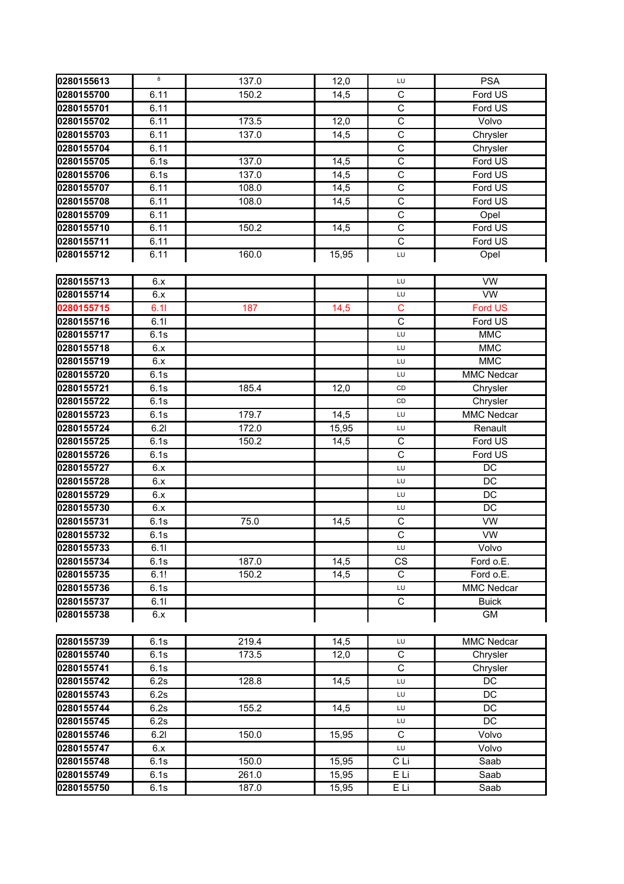| 0280155613 | 8    | 137.0 | 12,0  | LU                      | <b>PSA</b>   |
|------------|------|-------|-------|-------------------------|--------------|
| 0280155700 | 6.11 | 150.2 | 14,5  | $\mathsf C$             | Ford US      |
| 0280155701 | 6.11 |       |       | $\mathsf C$             | Ford US      |
| 0280155702 | 6.11 | 173.5 | 12,0  | $\mathsf C$             | Volvo        |
| 0280155703 | 6.11 | 137.0 | 14,5  | $\overline{\mathrm{c}}$ | Chrysler     |
| 0280155704 | 6.11 |       |       | $\mathsf C$             | Chrysler     |
| 0280155705 | 6.1s | 137.0 | 14,5  | $\overline{C}$          | Ford US      |
| 0280155706 | 6.1s | 137.0 | 14,5  | $\mathsf C$             | Ford US      |
| 0280155707 | 6.11 | 108.0 | 14,5  | $\mathsf C$             | Ford US      |
| 0280155708 | 6.11 | 108.0 | 14,5  | C                       | Ford US      |
| 0280155709 | 6.11 |       |       | $\overline{\mathrm{c}}$ | Opel         |
| 0280155710 | 6.11 | 150.2 | 14,5  | $\mathsf C$             | Ford US      |
| 0280155711 | 6.11 |       |       | $\overline{\mathrm{c}}$ | Ford US      |
| 0280155712 | 6.11 | 160.0 | 15,95 | LU                      | Opel         |
|            |      |       |       |                         |              |
| 0280155713 | 6.x  |       |       | LU                      | <b>VW</b>    |
| 0280155714 | 6.x  |       |       | LU                      | <b>VW</b>    |
| 0280155715 | 6.11 | 187   | 14,5  | C                       | Ford US      |
| 0280155716 | 6.11 |       |       | C                       | Ford US      |
| 0280155717 | 6.1s |       |       | LU                      | <b>MMC</b>   |
| 0280155718 | 6.x  |       |       | LU                      | <b>MMC</b>   |
| 0280155719 | 6.x  |       |       | LU                      | <b>MMC</b>   |
| 0280155720 | 6.1s |       |       | LU                      | MMC Nedcar   |
| 0280155721 | 6.1s | 185.4 | 12,0  | CD                      | Chrysler     |
| 0280155722 | 6.1s |       |       | CD                      | Chrysler     |
| 0280155723 | 6.1s | 179.7 | 14,5  | LU                      | MMC Nedcar   |
| 0280155724 | 6.21 | 172.0 | 15,95 | LU                      | Renault      |
| 0280155725 | 6.1s | 150.2 | 14,5  | $\mathsf C$             | Ford US      |
| 0280155726 | 6.1s |       |       | $\mathsf{C}$            | Ford US      |
| 0280155727 | 6.x  |       |       | LU                      | DC           |
| 0280155728 | 6.x  |       |       | LU                      | DC           |
| 0280155729 | 6.x  |       |       | LU                      | DC           |
| 0280155730 | 6.x  |       |       | LU                      | DC           |
| 0280155731 | 6.1s | 75.0  | 14,5  | C                       | <b>VW</b>    |
| 0280155732 | 6.1s |       |       | $\overline{\mathrm{c}}$ | <b>VW</b>    |
| 0280155733 | 6.11 |       |       | LU                      | Volvo        |
| 0280155734 | 6.1s | 187.0 | 14,5  | <b>CS</b>               | Ford o.E.    |
| 0280155735 | 6.1! | 150.2 | 14,5  | $\mathsf C$             | Ford o.E.    |
| 0280155736 | 6.1s |       |       | LU                      | MMC Nedcar   |
| 0280155737 | 6.11 |       |       | $\mathbf C$             | <b>Buick</b> |
| 0280155738 | 6.x  |       |       |                         | <b>GM</b>    |
|            |      |       |       |                         |              |
| 0280155739 | 6.1s | 219.4 | 14,5  | LU                      | MMC Nedcar   |
| 0280155740 | 6.1s | 173.5 | 12,0  | $\mathbf C$             | Chrysler     |
| 0280155741 | 6.1s |       |       | C                       | Chrysler     |
| 0280155742 | 6.2s | 128.8 | 14,5  | LU                      | DC           |
| 0280155743 | 6.2s |       |       | LU                      | DC           |
| 0280155744 | 6.2s | 155.2 | 14,5  | LU                      | DC           |
| 0280155745 | 6.2s |       |       | LU                      | DC           |
| 0280155746 | 6.21 | 150.0 | 15,95 | C                       | Volvo        |
| 0280155747 | 6.x  |       |       | LU                      | Volvo        |
| 0280155748 | 6.1s | 150.0 | 15,95 | C Li                    | Saab         |
| 0280155749 | 6.1s | 261.0 | 15,95 | E Li                    | Saab         |
| 0280155750 | 6.1s | 187.0 | 15,95 | E Li                    | Saab         |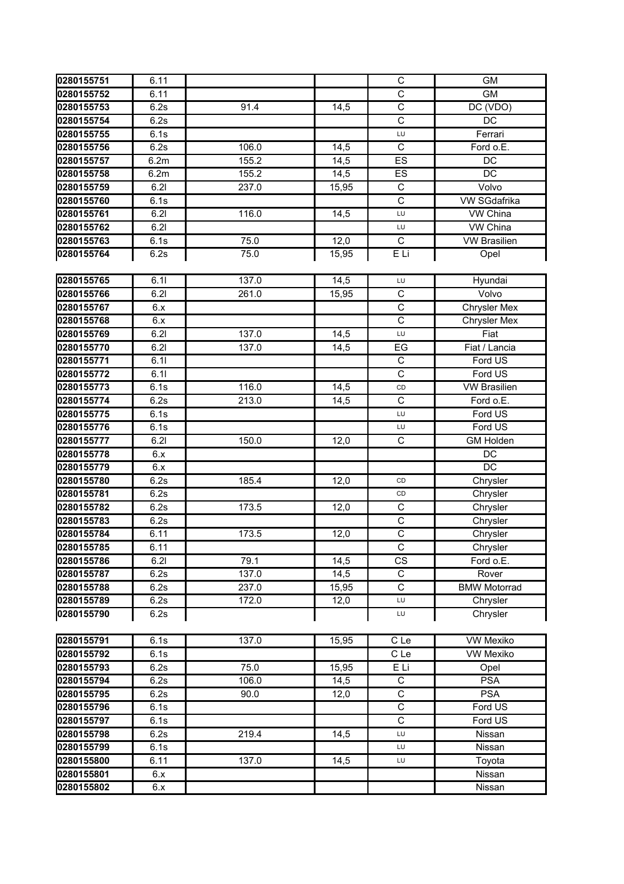| 0280155751 | 6.11 |       |       | $\mathsf C$                           | <b>GM</b>           |
|------------|------|-------|-------|---------------------------------------|---------------------|
| 0280155752 | 6.11 |       |       | $\mathsf{C}$                          | <b>GM</b>           |
| 0280155753 | 6.2s | 91.4  | 14,5  | $\mathsf C$                           | DC (VDO)            |
| 0280155754 | 6.2s |       |       | $\overline{c}$                        | DC                  |
| 0280155755 | 6.1s |       |       | LU                                    | Ferrari             |
| 0280155756 | 6.2s | 106.0 | 14,5  | $\mathsf C$                           | Ford o.E.           |
| 0280155757 | 6.2m | 155.2 | 14,5  | ES                                    | DC                  |
| 0280155758 | 6.2m | 155.2 | 14,5  | ES                                    | DC                  |
| 0280155759 | 6.21 | 237.0 | 15,95 | $\mathsf C$                           | Volvo               |
| 0280155760 | 6.1s |       |       | $\overline{\mathrm{c}}$               | VW SGdafrika        |
| 0280155761 | 6.21 | 116.0 | 14,5  | LU                                    | VW China            |
| 0280155762 | 6.21 |       |       | LU                                    | VW China            |
| 0280155763 | 6.1s | 75.0  | 12,0  | $\overline{C}$                        | <b>VW Brasilien</b> |
| 0280155764 | 6.2s | 75.0  | 15,95 | E Li                                  | Opel                |
|            |      |       |       |                                       |                     |
| 0280155765 | 6.11 | 137.0 | 14,5  | LU                                    | Hyundai             |
| 0280155766 | 6.21 | 261.0 | 15,95 | C                                     | Volvo               |
| 0280155767 | 6.x  |       |       | C                                     | <b>Chrysler Mex</b> |
| 0280155768 | 6.x  |       |       | $\mathsf{C}$                          | Chrysler Mex        |
| 0280155769 | 6.21 | 137.0 | 14,5  | LU                                    | Fiat                |
| 0280155770 | 6.21 | 137.0 | 14,5  | EG                                    | Fiat / Lancia       |
| 0280155771 | 6.11 |       |       | $\mathsf C$                           | Ford US             |
| 0280155772 | 6.11 |       |       | $\overline{c}$                        | Ford US             |
| 0280155773 | 6.1s | 116.0 | 14,5  | CD                                    | <b>VW Brasilien</b> |
| 0280155774 | 6.2s | 213.0 | 14,5  | $\mathsf C$                           | Ford o.E.           |
| 0280155775 | 6.1s |       |       | LU                                    | Ford US             |
| 0280155776 | 6.1s |       |       | LU                                    | Ford US             |
| 0280155777 | 6.21 | 150.0 | 12,0  | $\mathsf{C}$                          | <b>GM Holden</b>    |
| 0280155778 | 6.x  |       |       |                                       | DC                  |
| 0280155779 | 6.x  |       |       |                                       | $\overline{DC}$     |
| 0280155780 | 6.2s | 185.4 | 12,0  | CD                                    | Chrysler            |
| 0280155781 | 6.2s |       |       | CD                                    | Chrysler            |
| 0280155782 | 6.2s | 173.5 | 12,0  | $\mathsf C$                           | Chrysler            |
| 0280155783 | 6.2s |       |       | $\mathsf C$                           | Chrysler            |
| 0280155784 | 6.11 | 173.5 | 12,0  | $\overline{\mathrm{c}}$               | Chrysler            |
| 0280155785 | 6.11 |       |       | $\mathsf C$                           | Chrysler            |
| 0280155786 | 6.21 | 79.1  | 14,5  | CS                                    | Ford o.E.           |
| 0280155787 | 6.2s | 137.0 | 14,5  | $\overline{C}$                        | Rover               |
| 0280155788 | 6.2s | 237.0 | 15,95 | $\mathsf{C}$                          | <b>BMW Motorrad</b> |
| 0280155789 | 6.2s | 172.0 | 12,0  | LU                                    | Chrysler            |
| 0280155790 | 6.2s |       |       | LU                                    | Chrysler            |
|            |      |       |       |                                       |                     |
| 0280155791 | 6.1s | 137.0 | 15,95 | $\mathtt{C}\ \mathtt{Le}$             | <b>VW Mexiko</b>    |
| 0280155792 | 6.1s |       |       | C Le                                  | <b>VW Mexiko</b>    |
| 0280155793 | 6.2s | 75.0  | 15,95 | E Li                                  | Opel                |
| 0280155794 | 6.2s | 106.0 | 14,5  | $\mathbf C$                           | <b>PSA</b>          |
| 0280155795 | 6.2s | 90.0  | 12,0  | $\overline{\text{C}}$<br>$\mathsf{C}$ | <b>PSA</b>          |
| 0280155796 | 6.1s |       |       | $\overline{C}$                        | Ford US             |
| 0280155797 | 6.1s |       |       |                                       | Ford US             |
| 0280155798 | 6.2s | 219.4 | 14,5  | LU                                    | Nissan              |
| 0280155799 | 6.1s |       |       | LU                                    | Nissan              |
| 0280155800 | 6.11 | 137.0 | 14,5  | LU                                    | Toyota              |
| 0280155801 | 6.x  |       |       |                                       | Nissan              |
| 0280155802 | 6.x  |       |       |                                       | Nissan              |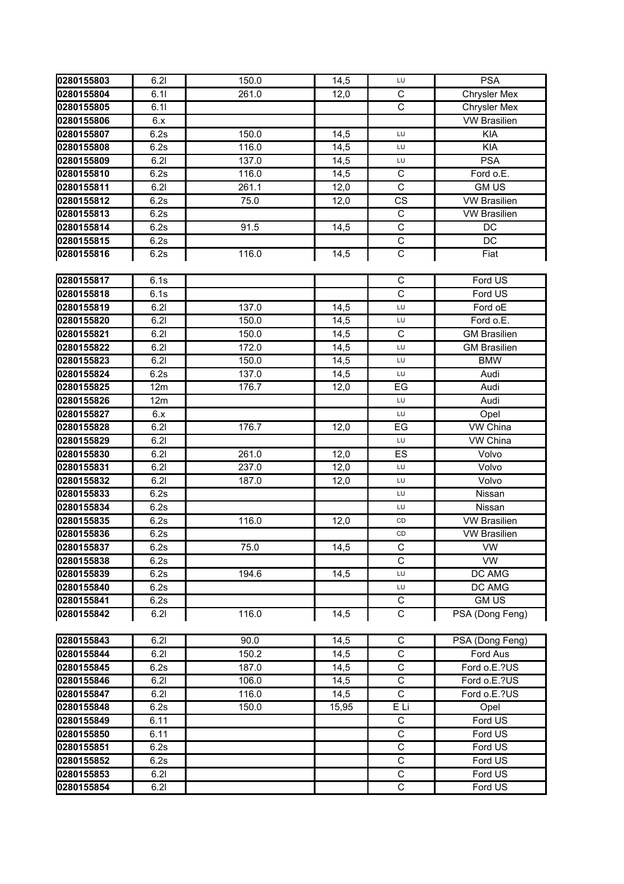| 0280155803 | 6.21 | 150.0 | 14,5  | LU                      | <b>PSA</b>          |
|------------|------|-------|-------|-------------------------|---------------------|
| 0280155804 | 6.11 | 261.0 | 12,0  | С                       | <b>Chrysler Mex</b> |
| 0280155805 | 6.11 |       |       | $\mathsf{C}$            | Chrysler Mex        |
| 0280155806 | 6.x  |       |       |                         | <b>VW Brasilien</b> |
| 0280155807 | 6.2s | 150.0 | 14,5  | LU                      | <b>KIA</b>          |
| 0280155808 | 6.2s | 116.0 | 14,5  | LU                      | <b>KIA</b>          |
| 0280155809 | 6.21 | 137.0 | 14,5  | LU                      | <b>PSA</b>          |
| 0280155810 | 6.2s | 116.0 | 14,5  | $\mathsf C$             | Ford o.E.           |
| 0280155811 | 6.21 | 261.1 | 12,0  | $\mathsf C$             | <b>GM US</b>        |
| 0280155812 | 6.2s | 75.0  | 12,0  | CS                      | <b>VW Brasilien</b> |
| 0280155813 | 6.2s |       |       | $\mathsf C$             | <b>VW Brasilien</b> |
| 0280155814 | 6.2s | 91.5  | 14,5  | $\overline{\mathrm{c}}$ | DC                  |
| 0280155815 | 6.2s |       |       | $\mathsf C$             | DC                  |
| 0280155816 | 6.2s | 116.0 | 14,5  | $\overline{C}$          | Fiat                |
|            |      |       |       |                         |                     |
| 0280155817 | 6.1s |       |       | $\mathsf{C}$            | Ford US             |
| 0280155818 | 6.1s |       |       | $\mathsf{C}$            | Ford US             |
| 0280155819 | 6.21 | 137.0 | 14,5  | LU                      | Ford oE             |
| 0280155820 | 6.21 | 150.0 | 14,5  | LU                      | Ford o.E.           |
| 0280155821 | 6.21 | 150.0 | 14,5  | $\mathsf C$             | <b>GM Brasilien</b> |
| 0280155822 | 6.21 | 172.0 | 14,5  | LU                      | <b>GM Brasilien</b> |
| 0280155823 | 6.21 | 150.0 | 14,5  | LU                      | <b>BMW</b>          |
| 0280155824 | 6.2s | 137.0 | 14,5  | LU                      | Audi                |
| 0280155825 | 12m  | 176.7 | 12,0  | EG                      | Audi                |
| 0280155826 | 12m  |       |       | LU                      | Audi                |
| 0280155827 | 6.x  |       |       | LU                      | Opel                |
| 0280155828 | 6.21 | 176.7 | 12,0  | EG                      | VW China            |
| 0280155829 | 6.21 |       |       | LU                      | VW China            |
| 0280155830 | 6.21 | 261.0 | 12,0  | <b>ES</b>               | Volvo               |
| 0280155831 | 6.21 | 237.0 | 12,0  | LU                      | Volvo               |
| 0280155832 | 6.21 | 187.0 | 12,0  | LU                      | Volvo               |
| 0280155833 | 6.2s |       |       | LU                      | Nissan              |
| 0280155834 | 6.2s |       |       | LU                      | Nissan              |
| 0280155835 | 6.2s | 116.0 | 12,0  | CD                      | <b>VW Brasilien</b> |
| 0280155836 | 6.2s |       |       | CD                      | <b>VW Brasilien</b> |
| 0280155837 | 6.2s | 75.0  | 14,5  | С                       | VW                  |
| 0280155838 | 6.2s |       |       | $\mathsf{C}$            | <b>VW</b>           |
| 0280155839 | 6.2s | 194.6 | 14,5  | LU                      | DC AMG              |
| 0280155840 | 6.2s |       |       | LU                      | DC AMG              |
| 0280155841 | 6.2s |       |       | $\mathsf C$             | <b>GM US</b>        |
| 0280155842 | 6.21 | 116.0 | 14,5  | $\mathbf C$             | PSA (Dong Feng)     |
|            |      |       |       |                         |                     |
| 0280155843 | 6.21 | 90.0  | 14,5  | C                       | PSA (Dong Feng)     |
| 0280155844 | 6.21 | 150.2 | 14,5  | $\mathsf C$             | Ford Aus            |
| 0280155845 | 6.2s | 187.0 | 14,5  | C                       | Ford o.E.?US        |
| 0280155846 | 6.21 | 106.0 | 14,5  | $\mathsf C$             | Ford o.E.?US        |
| 0280155847 | 6.21 | 116.0 | 14,5  | $\mathbf C$             | Ford o.E.?US        |
| 0280155848 | 6.2s | 150.0 | 15,95 | E Li                    | Opel                |
| 0280155849 | 6.11 |       |       | С                       | Ford US             |
| 0280155850 | 6.11 |       |       | $\overline{C}$          | Ford US             |
| 0280155851 | 6.2s |       |       | $\mathbf C$             | Ford US             |
| 0280155852 | 6.2s |       |       | $\mathbf C$             | Ford US             |
| 0280155853 | 6.21 |       |       | $\mathsf C$             | Ford US             |
| 0280155854 | 6.21 |       |       | $\mathsf C$             | Ford US             |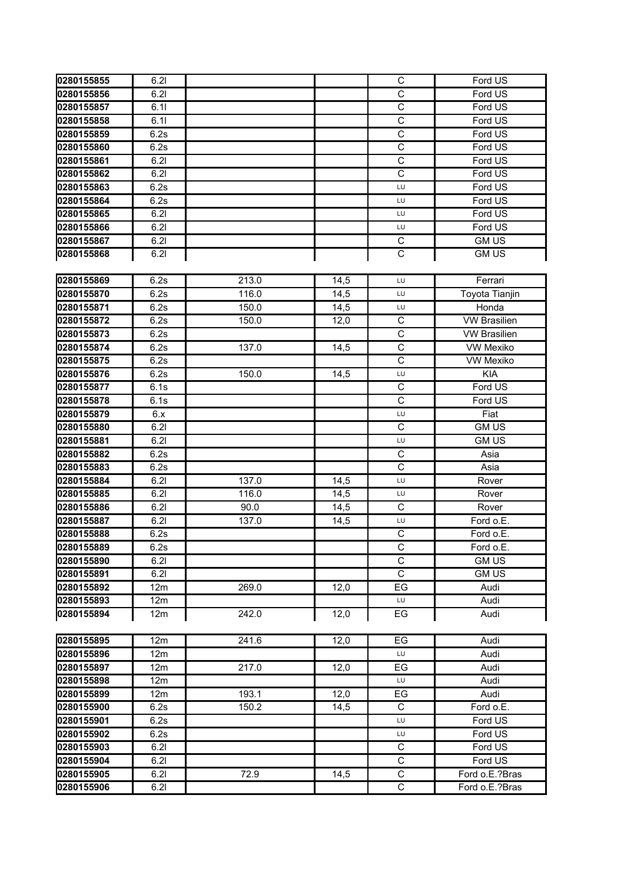| 0280155855               | 6.21         |       |      | $\mathsf C$             | Ford US                      |
|--------------------------|--------------|-------|------|-------------------------|------------------------------|
| 0280155856               | 6.21         |       |      | C                       | Ford US                      |
| 0280155857               | 6.11         |       |      | $\mathsf{C}$            | Ford US                      |
| 0280155858               | 6.11         |       |      | $\mathsf C$             | Ford US                      |
| 0280155859               | 6.2s         |       |      | $\mathsf C$             | Ford US                      |
| 0280155860               | 6.2s         |       |      | $\mathsf C$             | Ford US                      |
| 0280155861               | 6.21         |       |      | $\overline{C}$          | Ford US                      |
| 0280155862               | 6.21         |       |      | $\mathbf C$             | Ford US                      |
| 0280155863               | 6.2s         |       |      | LU                      | Ford US                      |
| 0280155864               | 6.2s         |       |      | LU                      | Ford US                      |
| 0280155865               | 6.21         |       |      | LU                      | Ford US                      |
| 0280155866               | 6.21         |       |      | LU                      | Ford US                      |
| 0280155867               | 6.21         |       |      | $\mathsf C$             | <b>GM US</b>                 |
| 0280155868               | 6.21         |       |      | $\mathsf C$             | <b>GM US</b>                 |
|                          |              |       |      |                         |                              |
| 0280155869               | 6.2s         | 213.0 | 14,5 | LU                      | Ferrari                      |
| 0280155870               | 6.2s         | 116.0 | 14,5 | LU                      | Toyota Tianjin               |
| 0280155871               | 6.2s         | 150.0 | 14,5 | LU                      | Honda                        |
| 0280155872               | 6.2s         | 150.0 | 12,0 | $\mathbf C$             | <b>VW Brasilien</b>          |
| 0280155873               | 6.2s         |       |      | $\mathsf{C}$            | <b>VW Brasilien</b>          |
| 0280155874               | 6.2s         | 137.0 | 14,5 | $\mathsf C$             | <b>VW Mexiko</b>             |
| 0280155875               | 6.2s         |       |      | $\mathsf{C}$            | <b>VW Mexiko</b>             |
| 0280155876               | 6.2s         | 150.0 | 14,5 | LU                      | <b>KIA</b>                   |
| 0280155877               | 6.1s         |       |      | $\mathsf C$             | Ford US                      |
| 0280155878               | 6.1s         |       |      | $\mathbf C$             | Ford US                      |
| 0280155879               | 6.x          |       |      | LU                      | Fiat                         |
| 0280155880               | 6.21<br>6.21 |       |      | $\mathsf C$<br>LU       | <b>GM US</b><br><b>GM US</b> |
| 0280155881<br>0280155882 | 6.2s         |       |      | $\mathsf C$             | Asia                         |
| 0280155883               | 6.2s         |       |      | C                       | Asia                         |
| 0280155884               | 6.21         | 137.0 | 14,5 | LU                      | Rover                        |
| 0280155885               | 6.21         | 116.0 | 14,5 | LU                      | Rover                        |
| 0280155886               | 6.21         | 90.0  | 14,5 | $\mathsf{C}$            | Rover                        |
| 0280155887               | 6.21         | 137.0 | 14,5 | LU                      | Ford o.E.                    |
| 0280155888               | 6.2s         |       |      | $\mathsf C$             | Ford o.E.                    |
| 0280155889               | 6.2s         |       |      | С                       | Ford o.E.                    |
| 0280155890               | 6.21         |       |      | $\overline{\mathrm{c}}$ | <b>GM US</b>                 |
| 0280155891               | 6.21         |       |      | $\mathsf C$             | <b>GM US</b>                 |
| 0280155892               | 12m          | 269.0 | 12,0 | EG                      | Audi                         |
| 0280155893               | 12m          |       |      | LU                      | Audi                         |
| 0280155894               | 12m          | 242.0 | 12,0 | EG                      | Audi                         |
|                          |              |       |      |                         |                              |
| 0280155895               | 12m          | 241.6 | 12,0 | EG                      | Audi                         |
| 0280155896               | 12m          |       |      | LU                      | Audi                         |
| 0280155897               | 12m          | 217.0 | 12,0 | EG                      | Audi                         |
| 0280155898               | 12m          |       |      | LU                      | Audi                         |
| 0280155899               | 12m          | 193.1 | 12,0 | EG                      | Audi                         |
| 0280155900               | 6.2s         | 150.2 | 14,5 | C                       | Ford o.E.                    |
| 0280155901               | 6.2s         |       |      | LU                      | Ford US                      |
| 0280155902               | 6.2s         |       |      | LU                      | Ford US                      |
| 0280155903               | 6.21         |       |      | C                       | Ford US                      |
| 0280155904               | 6.21         |       |      | $\mathsf C$             | Ford US                      |
| 0280155905               | 6.21         | 72.9  | 14,5 | $\mathbf C$             | Ford o.E.?Bras               |
| 0280155906               | 6.21         |       |      | $\mathbf C$             | Ford o.E.?Bras               |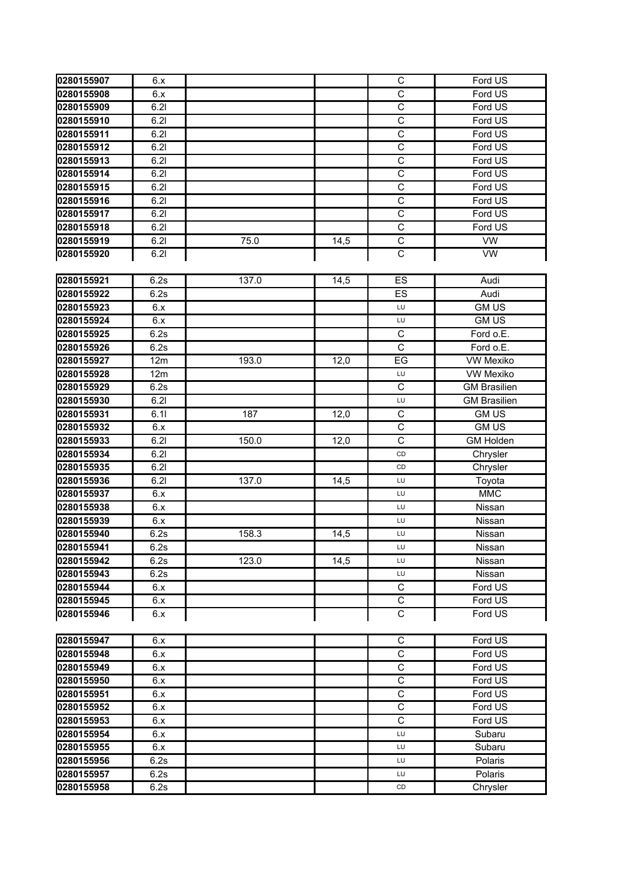| 0280155907 | 6.x  |       |      | $\mathsf C$    | Ford US             |
|------------|------|-------|------|----------------|---------------------|
| 0280155908 | 6.x  |       |      | $\mathsf C$    | Ford US             |
| 0280155909 | 6.21 |       |      | $\mathsf C$    | Ford US             |
| 0280155910 | 6.21 |       |      | $\mathsf C$    | Ford US             |
| 0280155911 | 6.21 |       |      | $\mathsf C$    | Ford US             |
| 0280155912 | 6.21 |       |      | $\overline{C}$ | Ford US             |
| 0280155913 | 6.21 |       |      | $\overline{C}$ | Ford US             |
| 0280155914 | 6.21 |       |      | C              | Ford US             |
| 0280155915 | 6.21 |       |      | $\overline{C}$ | Ford US             |
| 0280155916 | 6.21 |       |      | C              | Ford US             |
| 0280155917 | 6.21 |       |      | $\mathsf C$    | Ford US             |
| 0280155918 | 6.21 |       |      | $\mathsf C$    | Ford US             |
| 0280155919 | 6.21 | 75.0  | 14,5 | $\mathsf C$    | <b>VW</b>           |
| 0280155920 | 6.21 |       |      | $\overline{C}$ | <b>VW</b>           |
|            |      |       |      |                |                     |
| 0280155921 | 6.2s | 137.0 | 14,5 | ES             | Audi                |
| 0280155922 | 6.2s |       |      | ES             | Audi                |
| 0280155923 | 6.x  |       |      | LU             | <b>GM US</b>        |
| 0280155924 | 6.x  |       |      | LU             | <b>GM US</b>        |
| 0280155925 | 6.2s |       |      | $\mathsf C$    | Ford o.E.           |
| 0280155926 | 6.2s |       |      | $\mathsf{C}$   | Ford o.E.           |
| 0280155927 | 12m  | 193.0 | 12,0 | EG             | <b>VW Mexiko</b>    |
| 0280155928 | 12m  |       |      | LU             | <b>VW Mexiko</b>    |
| 0280155929 | 6.2s |       |      | $\mathsf C$    | <b>GM Brasilien</b> |
| 0280155930 | 6.21 |       |      | LU             | <b>GM Brasilien</b> |
| 0280155931 | 6.11 | 187   | 12,0 | C              | <b>GM US</b>        |
| 0280155932 | 6.x  |       |      | $\mathsf C$    | <b>GM US</b>        |
| 0280155933 | 6.21 | 150.0 | 12,0 | $\mathsf{C}$   | <b>GM Holden</b>    |
| 0280155934 | 6.21 |       |      | CD             | Chrysler            |
| 0280155935 | 6.21 |       |      | CD             | Chrysler            |
| 0280155936 | 6.21 | 137.0 | 14,5 | LU             | Toyota              |
| 0280155937 | 6.x  |       |      | LU             | <b>MMC</b>          |
| 0280155938 | 6.x  |       |      | LU             | Nissan              |
| 0280155939 | 6.x  |       |      | LU             | Nissan              |
| 0280155940 | 6.2s | 158.3 | 14,5 | LU             | Nissan              |
| 0280155941 | 6.2s |       |      | LU             | Nissan              |
| 0280155942 | 6.2s | 123.0 | 14,5 | LU             | Nissan              |
| 0280155943 | 6.2s |       |      | LU             | Nissan              |
| 0280155944 | 6.x  |       |      | $\mathsf C$    | Ford US             |
| 0280155945 | 6.x  |       |      | $\mathsf C$    | Ford US             |
| 0280155946 | 6.x  |       |      | $\mathsf C$    | Ford US             |
|            |      |       |      |                |                     |
| 0280155947 | 6.x  |       |      | $\mathsf C$    | Ford US             |
| 0280155948 | 6.x  |       |      | С              | Ford US             |
| 0280155949 | 6.x  |       |      | $\mathsf C$    | Ford US             |
| 0280155950 | 6.x  |       |      | $\mathsf C$    | Ford US             |
| 0280155951 | 6.x  |       |      | C              | Ford US             |
| 0280155952 | 6.x  |       |      | $\overline{C}$ | Ford US             |
| 0280155953 | 6.x  |       |      | $\mathsf{C}$   | Ford US             |
| 0280155954 | 6.x  |       |      | LU             | Subaru              |
| 0280155955 | 6.x  |       |      | LU             | Subaru              |
| 0280155956 | 6.2s |       |      | LU             | Polaris             |
| 0280155957 | 6.2s |       |      | LU             | Polaris             |
| 0280155958 | 6.2s |       |      | CD             | Chrysler            |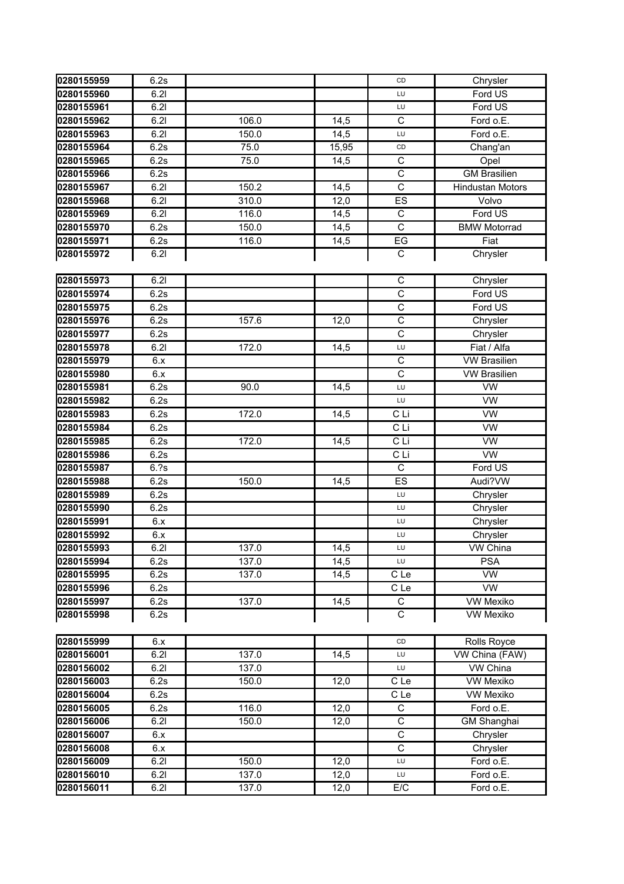| 0280155959 | 6.2s |       |       | CD             | Chrysler                |
|------------|------|-------|-------|----------------|-------------------------|
| 0280155960 | 6.21 |       |       | LU             | Ford US                 |
| 0280155961 | 6.21 |       |       | LU             | Ford US                 |
| 0280155962 | 6.21 | 106.0 | 14,5  | $\mathsf{C}$   | Ford o.E.               |
| 0280155963 | 6.21 | 150.0 | 14,5  | LU             | Ford o.E.               |
| 0280155964 | 6.2s | 75.0  | 15,95 | CD             | Chang'an                |
| 0280155965 | 6.2s | 75.0  | 14,5  | $\mathsf C$    | Opel                    |
| 0280155966 | 6.2s |       |       | $\mathsf C$    | <b>GM Brasilien</b>     |
| 0280155967 | 6.21 | 150.2 | 14,5  | $\mathsf C$    | <b>Hindustan Motors</b> |
| 0280155968 | 6.21 | 310.0 | 12,0  | ES             | Volvo                   |
| 0280155969 | 6.21 | 116.0 | 14,5  | $\mathsf C$    | Ford US                 |
| 0280155970 | 6.2s | 150.0 | 14,5  | $\overline{C}$ | <b>BMW Motorrad</b>     |
| 0280155971 | 6.2s | 116.0 | 14,5  | EG             | Fiat                    |
| 0280155972 | 6.21 |       |       | $\mathsf C$    | Chrysler                |
|            |      |       |       |                |                         |
| 0280155973 | 6.21 |       |       | $\mathsf C$    | Chrysler                |
| 0280155974 | 6.2s |       |       | C              | Ford US                 |
| 0280155975 | 6.2s |       |       | $\mathsf C$    | Ford US                 |
| 0280155976 | 6.2s | 157.6 | 12,0  | C              | Chrysler                |
| 0280155977 | 6.2s |       |       | $\mathsf{C}$   | Chrysler                |
| 0280155978 | 6.21 | 172.0 | 14,5  | LU             | Fiat / Alfa             |
| 0280155979 | 6.x  |       |       | $\mathsf C$    | <b>VW Brasilien</b>     |
| 0280155980 | 6.x  |       |       | $\overline{C}$ | <b>VW Brasilien</b>     |
| 0280155981 | 6.2s | 90.0  | 14,5  | LU             | VW                      |
| 0280155982 | 6.2s |       |       | LU             | VW                      |
| 0280155983 | 6.2s | 172.0 | 14,5  | C Li           | $\overline{vw}$         |
| 0280155984 | 6.2s |       |       | C Li           | <b>VW</b>               |
| 0280155985 | 6.2s | 172.0 | 14,5  | C Li           | <b>VW</b>               |
| 0280155986 | 6.2s |       |       | C Li           | $\overline{\text{vw}}$  |
| 0280155987 | 6.7s |       |       | $\mathsf{C}$   | Ford US                 |
| 0280155988 | 6.2s | 150.0 | 14,5  | ES             | Audi?VW                 |
| 0280155989 | 6.2s |       |       | LU             | Chrysler                |
| 0280155990 | 6.2s |       |       | LU             | Chrysler                |
| 0280155991 | 6.x  |       |       | LU             | Chrysler                |
| 0280155992 | 6.x  |       |       | LU             | Chrysler                |
| 0280155993 | 6.21 | 137.0 | 14,5  | LU             | VW China                |
| 0280155994 | 6.2s | 137.0 | 14,5  | LU             | <b>PSA</b>              |
| 0280155995 | 6.2s | 137.0 | 14,5  | C Le           | <b>VW</b>               |
| 0280155996 | 6.2s |       |       | C Le           | <b>VW</b>               |
| 0280155997 | 6.2s | 137.0 | 14,5  | $\mathbf C$    | VW Mexiko               |
| 0280155998 | 6.2s |       |       | C              | <b>VW Mexiko</b>        |
|            |      |       |       |                |                         |
| 0280155999 | 6.x  |       |       | CD             | Rolls Royce             |
| 0280156001 | 6.21 | 137.0 | 14,5  | LU             | VW China (FAW)          |
| 0280156002 | 6.21 | 137.0 |       | LU             | VW China                |
| 0280156003 | 6.2s | 150.0 | 12,0  | C Le           | <b>VW Mexiko</b>        |
| 0280156004 | 6.2s |       |       | C Le           | <b>VW Mexiko</b>        |
| 0280156005 | 6.2s | 116.0 | 12,0  | $\mathsf C$    | Ford o.E.               |
| 0280156006 | 6.21 | 150.0 | 12,0  | $\overline{C}$ | <b>GM Shanghai</b>      |
| 0280156007 | 6.x  |       |       | $\mathbf C$    | Chrysler                |
| 0280156008 | 6.x  |       |       | $\mathsf{C}$   | Chrysler                |
| 0280156009 | 6.21 | 150.0 | 12,0  | LU             | Ford o.E.               |
| 0280156010 | 6.21 | 137.0 | 12,0  | LU             | Ford o.E.               |
| 0280156011 | 6.21 | 137.0 | 12,0  | E/C            | Ford o.E.               |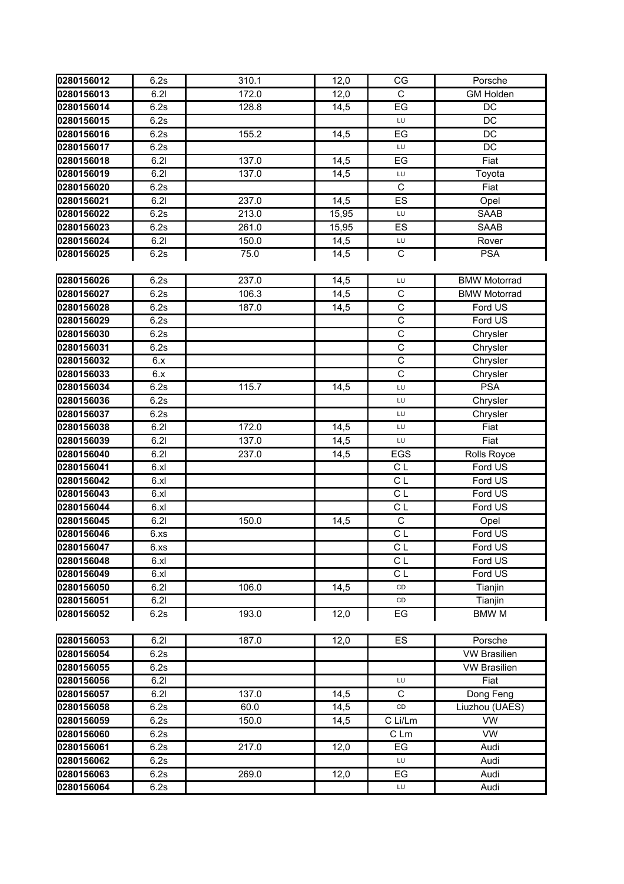| 0280156012 | 6.2s | 310.1 | 12,0  | CG                      | Porsche             |
|------------|------|-------|-------|-------------------------|---------------------|
| 0280156013 | 6.21 | 172.0 | 12,0  | C                       | <b>GM Holden</b>    |
| 0280156014 | 6.2s | 128.8 | 14,5  | EG                      | DC                  |
| 0280156015 | 6.2s |       |       | LU                      | DC                  |
| 0280156016 | 6.2s | 155.2 | 14,5  | EG                      | DC                  |
| 0280156017 | 6.2s |       |       | LU                      | $DC$                |
| 0280156018 | 6.21 | 137.0 | 14,5  | EG                      | Fiat                |
| 0280156019 | 6.21 | 137.0 | 14,5  | LU                      | Toyota              |
| 0280156020 | 6.2s |       |       | $\mathbf C$             | Fiat                |
| 0280156021 | 6.21 | 237.0 | 14,5  | ES                      | Opel                |
| 0280156022 | 6.2s | 213.0 | 15,95 | LU                      | <b>SAAB</b>         |
| 0280156023 | 6.2s | 261.0 | 15,95 | ES                      | <b>SAAB</b>         |
| 0280156024 | 6.21 | 150.0 | 14,5  | LU                      | Rover               |
| 0280156025 | 6.2s | 75.0  | 14,5  | $\overline{C}$          | <b>PSA</b>          |
|            |      |       |       |                         |                     |
| 0280156026 | 6.2s | 237.0 | 14,5  | LU                      | <b>BMW Motorrad</b> |
| 0280156027 | 6.2s | 106.3 | 14,5  | C                       | <b>BMW Motorrad</b> |
| 0280156028 | 6.2s | 187.0 | 14,5  | C                       | Ford US             |
| 0280156029 | 6.2s |       |       | $\mathsf C$             | Ford US             |
| 0280156030 | 6.2s |       |       | $\overline{\mathrm{c}}$ | Chrysler            |
| 0280156031 | 6.2s |       |       | $\mathsf C$             | Chrysler            |
| 0280156032 | 6.x  |       |       | $\overline{C}$          | Chrysler            |
| 0280156033 | 6.x  |       |       | $\overline{C}$          | Chrysler            |
| 0280156034 | 6.2s | 115.7 | 14,5  | LU                      | <b>PSA</b>          |
| 0280156036 | 6.2s |       |       | LU                      | Chrysler            |
| 0280156037 | 6.2s |       |       | LU                      | Chrysler            |
| 0280156038 | 6.21 | 172.0 | 14,5  | LU                      | Fiat                |
| 0280156039 | 6.21 | 137.0 | 14,5  | LU                      | Fiat                |
| 0280156040 | 6.21 | 237.0 | 14,5  | EGS                     | Rolls Royce         |
| 0280156041 | 6.x  |       |       | C L                     | Ford US             |
| 0280156042 | 6.x  |       |       | C <sub>L</sub>          | Ford US             |
| 0280156043 | 6.x  |       |       | C L                     | Ford US             |
| 0280156044 | 6.x  |       |       | C L                     | Ford US             |
| 0280156045 | 6.21 | 150.0 | 14,5  | C                       | Opel                |
| 0280156046 | 6.xs |       |       | $\overline{CL}$         | Ford US             |
| 0280156047 | 6.xs |       |       | СL                      | Ford US             |
| 0280156048 | 6.x  |       |       | C L                     | Ford US             |
| 0280156049 | 6.x  |       |       | C L                     | Ford US             |
| 0280156050 | 6.21 | 106.0 | 14,5  | CD                      | Tianjin             |
| 0280156051 | 6.21 |       |       | CD                      | Tianjin             |
| 0280156052 | 6.2s | 193.0 | 12,0  | EG                      | <b>BMW M</b>        |
| 0280156053 | 6.21 | 187.0 | 12,0  | <b>ES</b>               | Porsche             |
| 0280156054 | 6.2s |       |       |                         | <b>VW Brasilien</b> |
| 0280156055 | 6.2s |       |       |                         | <b>VW Brasilien</b> |
| 0280156056 | 6.21 |       |       | LU                      | Fiat                |
| 0280156057 | 6.21 | 137.0 | 14,5  | C                       | Dong Feng           |
| 0280156058 | 6.2s | 60.0  | 14,5  | CD                      | Liuzhou (UAES)      |
| 0280156059 | 6.2s | 150.0 | 14,5  | C Li/Lm                 | <b>VW</b>           |
| 0280156060 | 6.2s |       |       | C Lm                    | <b>VW</b>           |
| 0280156061 | 6.2s | 217.0 | 12,0  | $\mathsf{E}\mathsf{G}$  | Audi                |
| 0280156062 | 6.2s |       |       | LU                      | Audi                |
| 0280156063 | 6.2s | 269.0 | 12,0  | EG                      | Audi                |
| 0280156064 | 6.2s |       |       | LU                      | Audi                |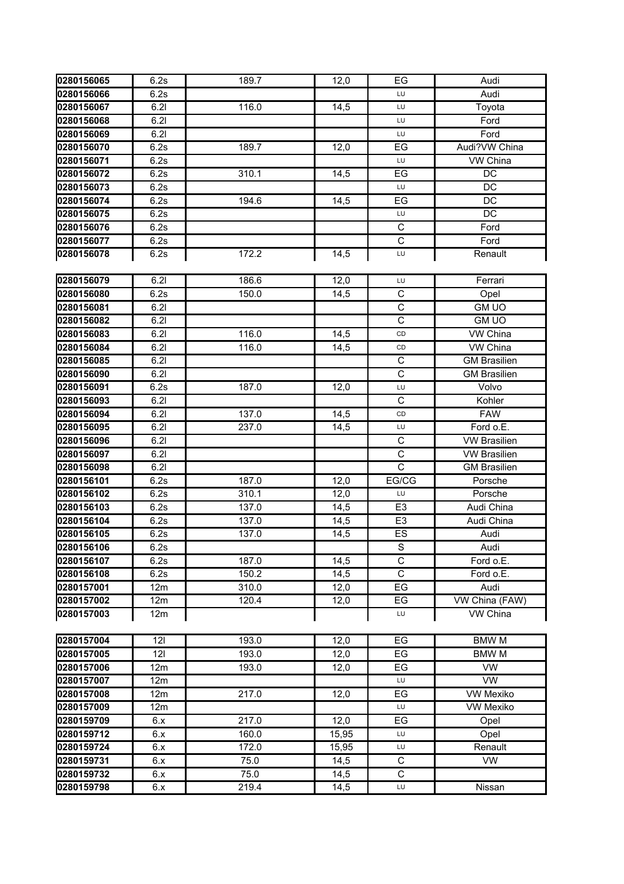| 0280156065               | 6.2s         | 189.7 | 12,0  | EG                      | Audi                             |
|--------------------------|--------------|-------|-------|-------------------------|----------------------------------|
| 0280156066               | 6.2s         |       |       | LU                      | Audi                             |
| 0280156067               | 6.21         | 116.0 | 14,5  | LU                      | Toyota                           |
| 0280156068               | 6.21         |       |       | LU                      | Ford                             |
| 0280156069               | 6.21         |       |       | LU                      | Ford                             |
| 0280156070               | 6.2s         | 189.7 | 12,0  | EG                      | Audi?VW China                    |
| 0280156071               | 6.2s         |       |       | LU                      | VW China                         |
| 0280156072               | 6.2s         | 310.1 | 14,5  | EG                      | DC                               |
| 0280156073               | 6.2s         |       |       | LU                      | DC                               |
| 0280156074               | 6.2s         | 194.6 | 14,5  | EG                      | DC                               |
| 0280156075               | 6.2s         |       |       | LU                      | DC                               |
| 0280156076               | 6.2s         |       |       | $\mathsf C$             | Ford                             |
| 0280156077               | 6.2s         |       |       | $\mathsf{C}$            | Ford                             |
| 0280156078               | 6.2s         | 172.2 | 14,5  | LU                      |                                  |
|                          |              |       |       |                         | Renault                          |
| 0280156079               | 6.21         | 186.6 | 12,0  | LU                      | Ferrari                          |
| 0280156080               | 6.2s         | 150.0 | 14,5  | С                       | Opel                             |
| 0280156081               | 6.21         |       |       | С                       | <b>GM UO</b>                     |
| 0280156082               | 6.21         |       |       | $\mathsf C$             | <b>GM UO</b>                     |
| 0280156083               | 6.21         | 116.0 | 14,5  | CD                      | VW China                         |
| 0280156084               | 6.21         | 116.0 | 14,5  | CD                      | VW China                         |
| 0280156085               | 6.21         |       |       | $\mathsf{C}$            | <b>GM Brasilien</b>              |
| 0280156090               | 6.21         |       |       | $\mathsf{C}$            | <b>GM Brasilien</b>              |
|                          | 6.2s         | 187.0 |       | LU                      | Volvo                            |
| 0280156091<br>0280156093 | 6.21         |       | 12,0  | $\mathsf C$             | Kohler                           |
| 0280156094               | 6.21         | 137.0 | 14,5  |                         | <b>FAW</b>                       |
|                          |              |       |       | CD                      |                                  |
| 0280156095<br>0280156096 | 6.21<br>6.21 | 237.0 | 14,5  | LU<br>$\mathsf{C}$      | Ford o.E.<br><b>VW Brasilien</b> |
|                          |              |       |       | $\mathsf C$             | <b>VW Brasilien</b>              |
| 0280156097               | 6.21<br>6.21 |       |       | $\mathsf{C}$            |                                  |
| 0280156098<br>0280156101 | 6.2s         | 187.0 | 12,0  | EG/CG                   | <b>GM Brasilien</b><br>Porsche   |
| 0280156102               | 6.2s         | 310.1 | 12,0  | LU                      | Porsche                          |
| 0280156103               | 6.2s         | 137.0 | 14,5  | E <sub>3</sub>          | Audi China                       |
| 0280156104               | 6.2s         | 137.0 | 14,5  | E <sub>3</sub>          | Audi China                       |
| 0280156105               | 6.2s         | 137.0 | 14,5  | <b>ES</b>               | Audi                             |
| 0280156106               | 6.2s         |       |       | $\mathbf S$             | Audi                             |
| 0280156107               | 6.2s         | 187.0 | 14,5  | $\overline{\mathrm{c}}$ | Ford o.E.                        |
| 0280156108               | 6.2s         | 150.2 | 14,5  | $\overline{C}$          | Ford o.E.                        |
| 0280157001               | 12m          | 310.0 | 12,0  | EG                      | Audi                             |
| 0280157002               | 12m          | 120.4 | 12,0  | EG                      | VW China (FAW)                   |
| 0280157003               | 12m          |       |       | LU                      | VW China                         |
|                          |              |       |       |                         |                                  |
| 0280157004               | 121          | 193.0 | 12,0  | EG                      | <b>BMW M</b>                     |
| 0280157005               | 121          | 193.0 | 12,0  | EG                      | <b>BMW M</b>                     |
| 0280157006               | 12m          | 193.0 | 12,0  | EG                      | <b>VW</b>                        |
| 0280157007               | 12m          |       |       | LU                      | <b>VW</b>                        |
| 0280157008               | 12m          | 217.0 | 12,0  | EG                      | <b>VW Mexiko</b>                 |
| 0280157009               | 12m          |       |       | LU                      | <b>VW Mexiko</b>                 |
| 0280159709               | 6.x          | 217.0 | 12,0  | EG                      | Opel                             |
| 0280159712               | 6.x          | 160.0 | 15,95 | LU                      | Opel                             |
| 0280159724               | 6.x          | 172.0 | 15,95 | LU                      | Renault                          |
| 0280159731               | 6.x          | 75.0  | 14,5  | С                       | VW.                              |
| 0280159732               | 6.x          | 75.0  | 14,5  | $\mathsf C$             |                                  |
| 0280159798               | 6.x          | 219.4 | 14,5  | LU                      | Nissan                           |
|                          |              |       |       |                         |                                  |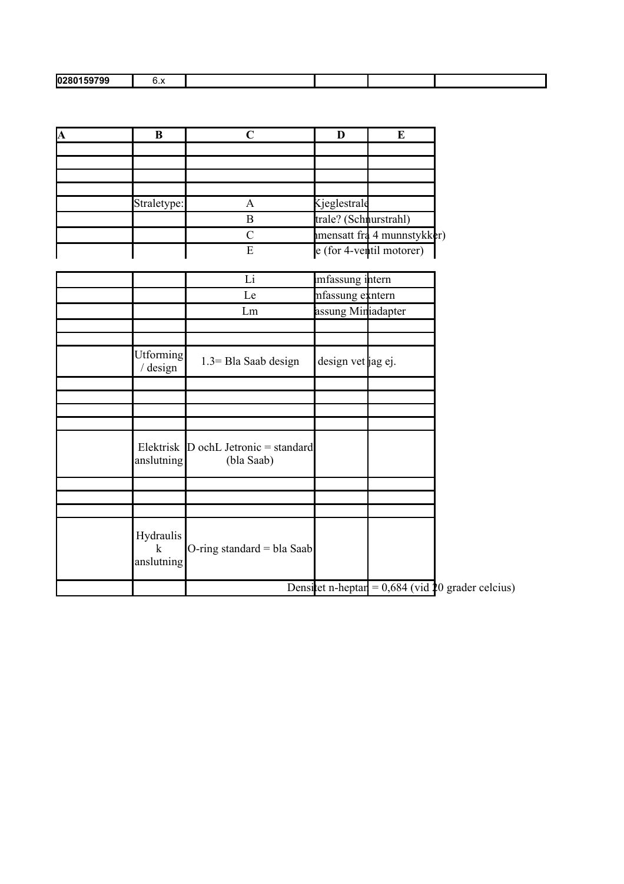| 10280<br>59799<br>. 337<br>∪.∧ |
|--------------------------------|
|--------------------------------|

| $\overline{\mathbf{A}}$ | B                            | $\mathbf C$                                                | D                     | E                                                     |  |
|-------------------------|------------------------------|------------------------------------------------------------|-----------------------|-------------------------------------------------------|--|
|                         |                              |                                                            |                       |                                                       |  |
|                         |                              |                                                            |                       |                                                       |  |
|                         |                              |                                                            |                       |                                                       |  |
|                         | Straletype:                  | $\mathbf{A}$                                               | Kjeglestrale          |                                                       |  |
|                         |                              | $\mathbf B$                                                | trale? (Schnurstrahl) |                                                       |  |
|                         |                              | $\mathcal{C}$                                              |                       | mensatt fra 4 munnstykker)                            |  |
|                         |                              | E                                                          |                       | e (for 4-ventil motorer)                              |  |
|                         |                              | Li                                                         | mfassung intern       |                                                       |  |
|                         |                              | Le                                                         | nfassung exntern      |                                                       |  |
|                         |                              | Lm                                                         | assung Miniadapter    |                                                       |  |
|                         |                              |                                                            |                       |                                                       |  |
|                         | <b>Utforming</b>             |                                                            |                       |                                                       |  |
|                         | / design                     | 1.3 = Bla Saab design                                      | design vet jag ej.    |                                                       |  |
|                         |                              |                                                            |                       |                                                       |  |
|                         |                              |                                                            |                       |                                                       |  |
|                         |                              |                                                            |                       |                                                       |  |
|                         | anslutning                   | Elektrisk $\vert$ D ochL Jetronic = standard<br>(bla Saab) |                       |                                                       |  |
|                         |                              |                                                            |                       |                                                       |  |
|                         |                              |                                                            |                       |                                                       |  |
|                         | Hydraulis<br>k<br>anslutning | O-ring standard = bla Saab                                 |                       |                                                       |  |
|                         |                              |                                                            |                       |                                                       |  |
|                         |                              |                                                            |                       | Densite in-heptan = $0,684$ (vid $20$ grader celcius) |  |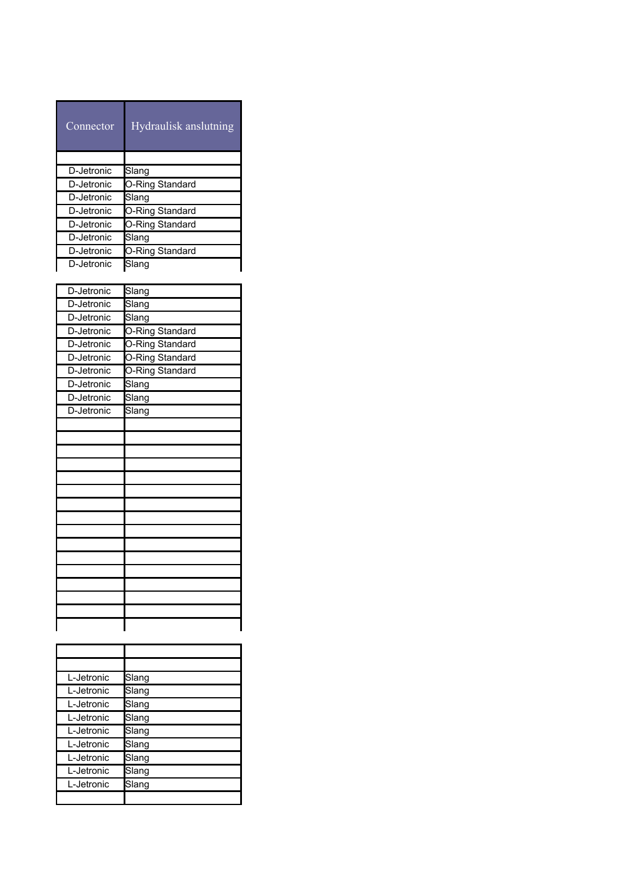| Connector  | Hydraulisk anslutning |
|------------|-----------------------|
|            |                       |
| D-Jetronic | Slang                 |
| D-Jetronic | O-Ring Standard       |
| D-Jetronic | Slang                 |
| D-Jetronic | O-Ring Standard       |
| D-Jetronic | O-Ring Standard       |
| D-Jetronic | Slang                 |
| D-Jetronic | O-Ring Standard       |
| D-Jetronic | Slang                 |

| D-Jetronic | Slang           |
|------------|-----------------|
| D-Jetronic | Slang           |
| D-Jetronic | Slang           |
| D-Jetronic | O-Ring Standard |
| D-Jetronic | O-Ring Standard |
| D-Jetronic | O-Ring Standard |
| D-Jetronic | O-Ring Standard |
| D-Jetronic | Slang           |
| D-Jetronic | Slang           |
| D-Jetronic | Slang           |
|            |                 |
|            |                 |
|            |                 |
|            |                 |
|            |                 |
|            |                 |
|            |                 |
|            |                 |
|            |                 |
|            |                 |
|            |                 |
|            |                 |
|            |                 |
|            |                 |
|            |                 |
|            |                 |

| L-Jetronic | Slang |
|------------|-------|
| L-Jetronic | Slang |
| L-Jetronic | Slang |
| L-Jetronic | Slang |
| L-Jetronic | Slang |
| L-Jetronic | Slang |
| L-Jetronic | Slang |
| L-Jetronic | Slang |
| L-Jetronic | Slang |
|            |       |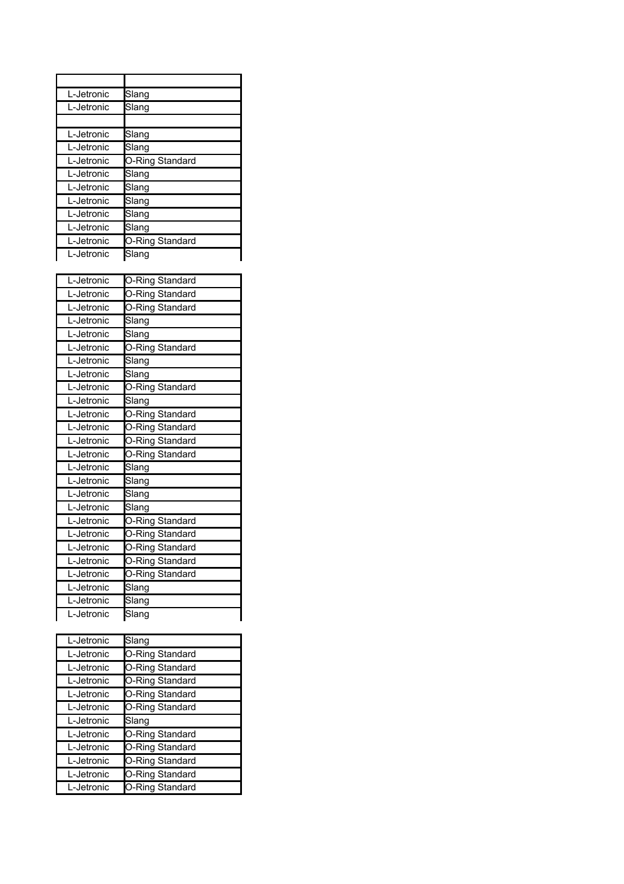| L-Jetronic | Slang           |
|------------|-----------------|
| L-Jetronic | Slang           |
|            |                 |
| L-Jetronic | Slang           |
| L-Jetronic | Slang           |
| L-Jetronic | O-Ring Standard |
| L-Jetronic | Slang           |
| L-Jetronic | Slang           |
| L-Jetronic | Slang           |
| L-Jetronic | Slang           |
| L-Jetronic | Slang           |
| L-Jetronic | O-Ring Standard |
| L-Jetronic | Slang           |
|            |                 |
| L-Jetronic | O-Ring Standard |
| L-Jetronic | O-Ring Standard |
| L-Jetronic | O-Ring Standard |
| L-Jetronic | Slang           |
| L-Jetronic | Slang           |
| L-Jetronic | O-Ring Standard |
| L-Jetronic | Slang           |
| L-Jetronic | Slang           |
| L-Jetronic | O-Ring Standard |
| L-Jetronic | Slang           |
| L-Jetronic | O-Ring Standard |
| L-Jetronic | O-Ring Standard |
| L-Jetronic | O-Ring Standard |
| L-Jetronic | O-Ring Standard |
| L-Jetronic | Slang           |
| L-Jetronic | Slang           |
| L-Jetronic | Slang           |
| L-Jetronic | Slang           |
| L-Jetronic | O-Ring Standard |
| L-Jetronic | O-Ring Standard |
| L-Jetronic | O-Ring Standard |
| L-Jetronic | O-Ring Standard |
| L-Jetronic | O-Ring Standard |
| L-Jetronic | Slang           |
| L-Jetronic | Slang           |
| L-Jetronic | Slang           |

| L-Jetronic | Slang           |
|------------|-----------------|
| L-Jetronic | O-Ring Standard |
| L-Jetronic | O-Ring Standard |
| L-Jetronic | O-Ring Standard |
| L-Jetronic | O-Ring Standard |
| L-Jetronic | O-Ring Standard |
| L-Jetronic | Slang           |
| L-Jetronic | O-Ring Standard |
| L-Jetronic | O-Ring Standard |
| L-Jetronic | O-Ring Standard |
|            |                 |
| L-Jetronic | O-Ring Standard |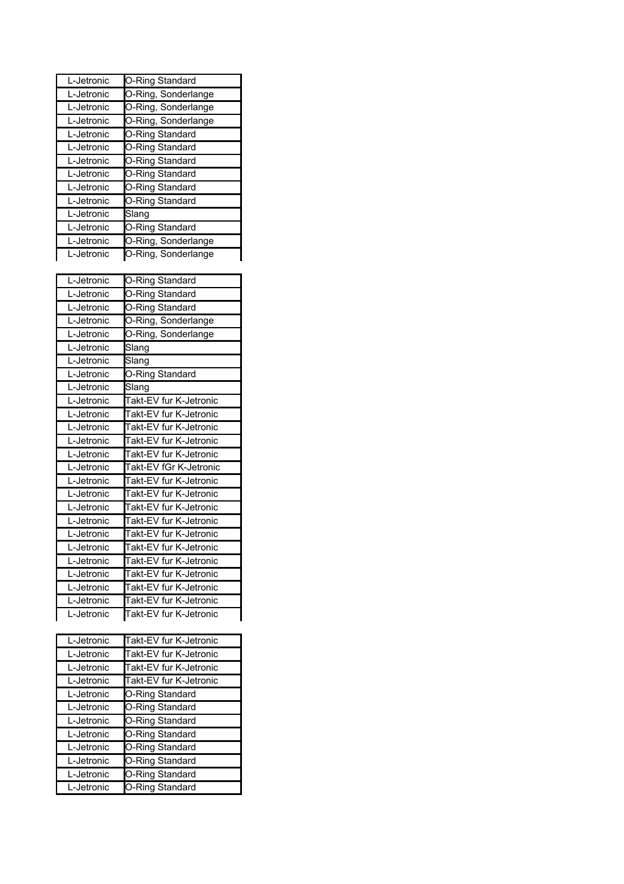| L-Jetronic                         | O-Ring Standard               |
|------------------------------------|-------------------------------|
| L-Jetronic                         | O-Ring, Sonderlange           |
| L-Jetronic                         | O-Ring, Sonderlange           |
| L-Jetronic                         | O-Ring, Sonderlange           |
| L-Jetronic                         | O-Ring Standard               |
| L-Jetronic                         | O-Ring Standard               |
| L-Jetronic                         | O-Ring Standard               |
| L-Jetronic                         | O-Ring Standard               |
| L-Jetronic                         | O-Ring Standard               |
| L-Jetronic                         | O-Ring Standard               |
| L-Jetronic                         | Slang                         |
| L-Jetronic                         | O-Ring Standard               |
| L-Jetronic                         | O-Ring, Sonderlange           |
| L-Jetronic                         | O-Ring, Sonderlange           |
|                                    |                               |
| <b>The Facture of the Figure 1</b> | $\sim$ number of the state of |

| L-Jetronic | O-Ring Standard        |
|------------|------------------------|
| L-Jetronic | O-Ring Standard        |
| L-Jetronic | O-Ring Standard        |
| L-Jetronic | O-Ring, Sonderlange    |
| L-Jetronic | O-Ring, Sonderlange    |
| L-Jetronic | Slang                  |
| L-Jetronic | Slang                  |
| L-Jetronic | O-Ring Standard        |
| L-Jetronic | Slang                  |
| L-Jetronic | Takt-EV fur K-Jetronic |
| L-Jetronic | Takt-EV fur K-Jetronic |
| L-Jetronic | Takt-EV fur K-Jetronic |
| L-Jetronic | Takt-EV fur K-Jetronic |
| L-Jetronic | Takt-EV fur K-Jetronic |
| L-Jetronic | Takt-EV fGr K-Jetronic |
| L-Jetronic | Takt-EV fur K-Jetronic |
| L-Jetronic | Takt-EV fur K-Jetronic |
| L-Jetronic | Takt-EV fur K-Jetronic |
| L-Jetronic | Takt-EV fur K-Jetronic |
| L-Jetronic | Takt-EV fur K-Jetronic |
| L-Jetronic | Takt-EV fur K-Jetronic |
| L-Jetronic | Takt-EV fur K-Jetronic |
| L-Jetronic | Takt-EV fur K-Jetronic |
| L-Jetronic | Takt-EV fur K-Jetronic |
| L-Jetronic | Takt-EV fur K-Jetronic |
| L-Jetronic | Takt-EV fur K-Jetronic |
|            |                        |

| L-Jetronic | Takt-EV fur K-Jetronic |
|------------|------------------------|
| L-Jetronic | Takt-EV fur K-Jetronic |
| L-Jetronic | Takt-EV fur K-Jetronic |
| L-Jetronic | Takt-EV fur K-Jetronic |
| L-Jetronic | O-Ring Standard        |
| L-Jetronic | O-Ring Standard        |
| L-Jetronic | O-Ring Standard        |
| L-Jetronic | O-Ring Standard        |
| L-Jetronic | O-Ring Standard        |
| L-Jetronic | O-Ring Standard        |
| L-Jetronic | O-Ring Standard        |
| L-Jetronic | O-Ring Standard        |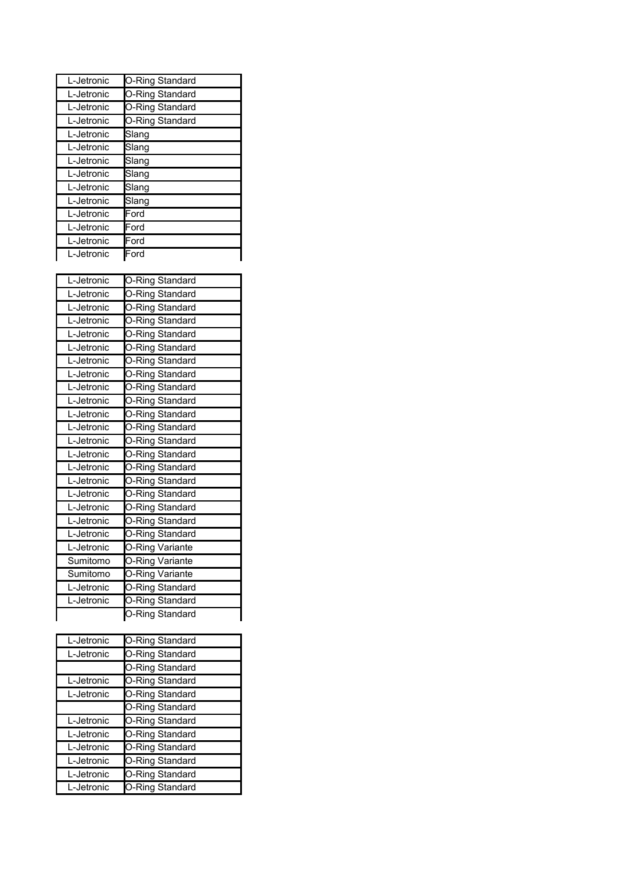| L-Jetronic | O-Ring Standard |
|------------|-----------------|
| L-Jetronic | O-Ring Standard |
| L-Jetronic | O-Ring Standard |
| L-Jetronic | O-Ring Standard |
| L-Jetronic | Slang           |
| L-Jetronic | Slang           |
| L-Jetronic | Slang           |
| L-Jetronic | Slang           |
| L-Jetronic | Slang           |
| L-Jetronic | Slang           |
| L-Jetronic | Ford            |
| L-Jetronic | Ford            |
| L-Jetronic | Ford            |
| L-Jetronic | Ford            |
|            |                 |
| L-Jetronic | O-Ring Standard |
| L-Jetronic | O-Ring Standard |
| L-Jetronic | O-Ring Standard |
| L-Jetronic | O-Ring Standard |
| L-Jetronic | O-Ring Standard |
| L-Jetronic | O-Ring Standard |
| L-Jetronic | O-Ring Standard |
| L-Jetronic | O-Ring Standard |
| L-Jetronic | O-Ring Standard |
| L-Jetronic | O-Ring Standard |
| L-Jetronic | O-Ring Standard |
| L-Jetronic | O-Ring Standard |
| L-Jetronic | O-Ring Standard |
| L-Jetronic | O-Ring Standard |
| L-Jetronic | O-Ring Standard |
| L-Jetronic | O-Ring Standard |
| L-Jetronic | O-Ring Standard |
| L-Jetronic | O-Ring Standard |
| L-Jetronic | O-Ring Standard |
| L-Jetronic | O-Ring Standard |
| L-Jetronic | O-Ring Variante |
| Sumitomo   | O-Ring Variante |
| Sumitomo   | O-Ring Variante |
| L-Jetronic | O-Ring Standard |
| L-Jetronic | O-Ring Standard |
|            | O-Ring Standard |

| L-Jetronic | O-Ring Standard |
|------------|-----------------|
| L-Jetronic | O-Ring Standard |
|            | O-Ring Standard |
| L-Jetronic | O-Ring Standard |
| L-Jetronic | O-Ring Standard |
|            | O-Ring Standard |
| L-Jetronic | O-Ring Standard |
| L-Jetronic | O-Ring Standard |
| L-Jetronic | O-Ring Standard |
| L-Jetronic | O-Ring Standard |
| L-Jetronic | O-Ring Standard |
| L-Jetronic | O-Ring Standard |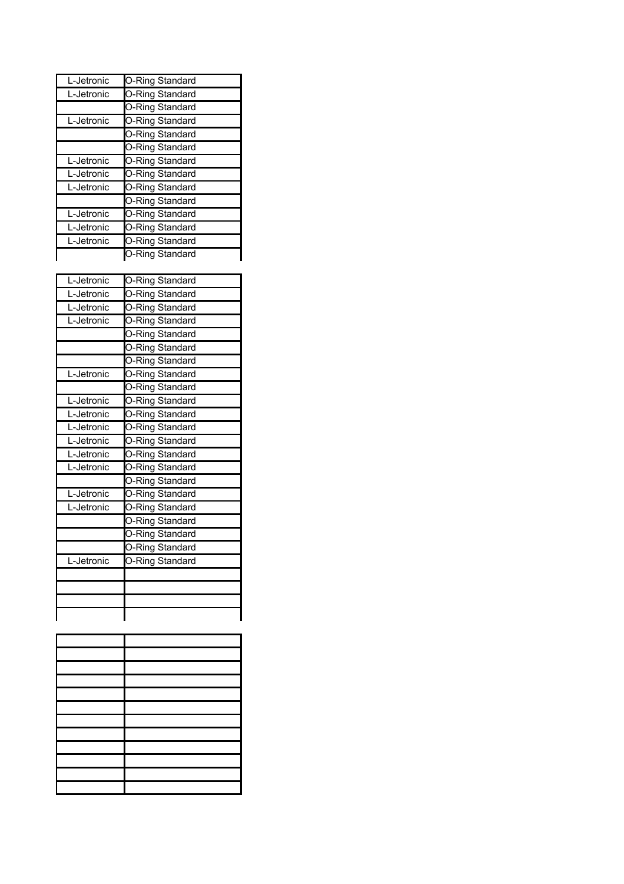| L-Jetronic | O-Ring Standard |
|------------|-----------------|
| L-Jetronic | O-Ring Standard |
|            | O-Ring Standard |
| L-Jetronic | O-Ring Standard |
|            | O-Ring Standard |
|            | O-Ring Standard |
| L-Jetronic | O-Ring Standard |
| L-Jetronic | O-Ring Standard |
| L-Jetronic | O-Ring Standard |
|            | O-Ring Standard |
| L-Jetronic | O-Ring Standard |
| L-Jetronic | O-Ring Standard |
| L-Jetronic | O-Ring Standard |
|            | O-Ring Standard |
|            |                 |

| L-Jetronic | O-Ring Standard |
|------------|-----------------|
| L-Jetronic | O-Ring Standard |
| L-Jetronic | O-Ring Standard |
| L-Jetronic | O-Ring Standard |
|            | O-Ring Standard |
|            | O-Ring Standard |
|            | O-Ring Standard |
| L-Jetronic | O-Ring Standard |
|            | O-Ring Standard |
| L-Jetronic | O-Ring Standard |
| L-Jetronic | O-Ring Standard |
| L-Jetronic | O-Ring Standard |
| L-Jetronic | O-Ring Standard |
| L-Jetronic | O-Ring Standard |
| L-Jetronic | O-Ring Standard |
|            | O-Ring Standard |
| L-Jetronic | O-Ring Standard |
| L-Jetronic | O-Ring Standard |
|            | O-Ring Standard |
|            | O-Ring Standard |
|            | O-Ring Standard |
| L-Jetronic | O-Ring Standard |
|            |                 |
|            |                 |
|            |                 |
|            |                 |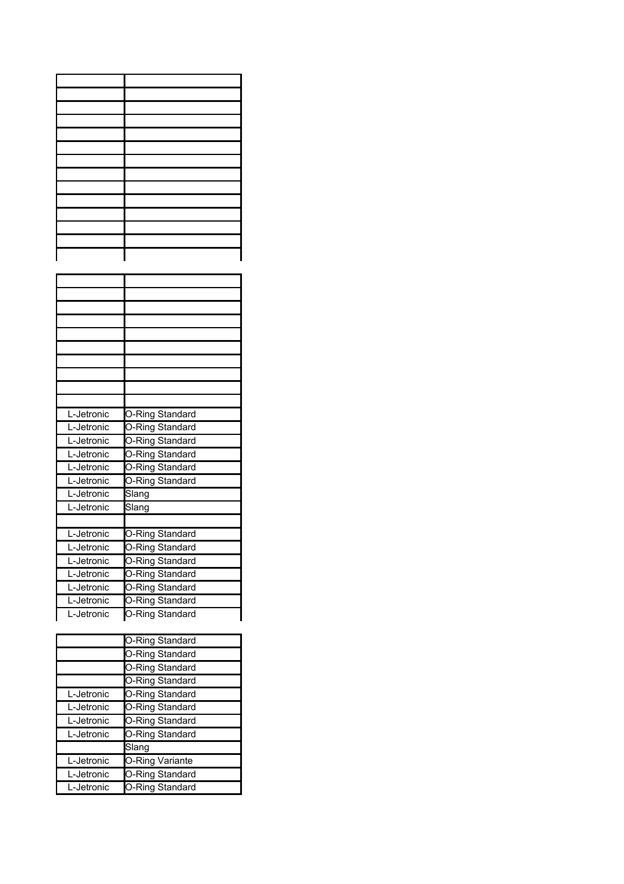| L-Jetronic      | O-Ring Standard        |
|-----------------|------------------------|
| L-Jetronic      | <b>O-Ring Standard</b> |
| L-Jetronic      | O-Ring Standard        |
| L-Jetronic      | O-Ring Standard        |
| L-Jetronic      | O-Ring Standard        |
| L-Jetronic      | O-Ring Standard        |
| L-Jetronic      | Slang                  |
| L-Jetronic      | Slang                  |
|                 |                        |
| L-Jetronic      | O-Ring Standard        |
| Ι.<br>-Jetronic | O-Ring Standard        |
| L-Jetronic      | O-Ring Standard        |
| L-Jetronic      | O-Ring Standard        |
| L-Jetronic      | O-Ring Standard        |
| L-Jetronic      | O-Ring Standard        |
| L-Jetronic      | O-Ring Standard        |
|                 |                        |

|            | O-Ring Standard |
|------------|-----------------|
|            | O-Ring Standard |
|            | O-Ring Standard |
|            | O-Ring Standard |
| L-Jetronic | O-Ring Standard |
| L-Jetronic | O-Ring Standard |
| L-Jetronic | O-Ring Standard |
| L-Jetronic | O-Ring Standard |
|            | Slang           |
| L-Jetronic | O-Ring Variante |
| L-Jetronic | O-Ring Standard |
| L-Jetronic | O-Ring Standard |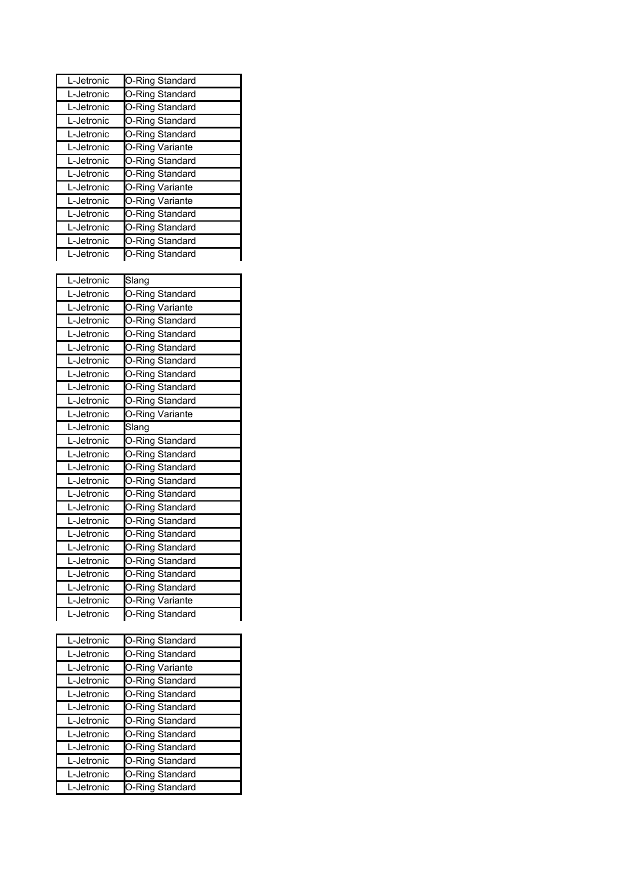| O-Ring Standard |
|-----------------|
| O-Ring Standard |
| O-Ring Standard |
| O-Ring Standard |
| O-Ring Standard |
| O-Ring Variante |
| O-Ring Standard |
| O-Ring Standard |
| O-Ring Variante |
| O-Ring Variante |
| O-Ring Standard |
| O-Ring Standard |
| O-Ring Standard |
| O-Ring Standard |
|                 |
| Slang           |
|                 |

| ∟-ง∈แบเแบ  | ور اەرت         |
|------------|-----------------|
| L-Jetronic | O-Ring Standard |
| L-Jetronic | O-Ring Variante |
| L-Jetronic | O-Ring Standard |
| L-Jetronic | O-Ring Standard |
| L-Jetronic | O-Ring Standard |
| L-Jetronic | O-Ring Standard |
| L-Jetronic | O-Ring Standard |
| L-Jetronic | O-Ring Standard |
| L-Jetronic | O-Ring Standard |
| L-Jetronic | O-Ring Variante |
| L-Jetronic | Slang           |
| L-Jetronic | O-Ring Standard |
| L-Jetronic | O-Ring Standard |
| L-Jetronic | O-Ring Standard |
| L-Jetronic | O-Ring Standard |
| L-Jetronic | O-Ring Standard |
| L-Jetronic | O-Ring Standard |
| L-Jetronic | O-Ring Standard |
| L-Jetronic | O-Ring Standard |
| L-Jetronic | O-Ring Standard |
| L-Jetronic | O-Ring Standard |
| L-Jetronic | O-Ring Standard |
| L-Jetronic | O-Ring Standard |
| L-Jetronic | O-Ring Variante |
| L-Jetronic | O-Ring Standard |

| L-Jetronic | O-Ring Standard |
|------------|-----------------|
| L-Jetronic | O-Ring Standard |
| L-Jetronic | O-Ring Variante |
| L-Jetronic | O-Ring Standard |
| L-Jetronic | O-Ring Standard |
| L-Jetronic | O-Ring Standard |
| L-Jetronic | O-Ring Standard |
| L-Jetronic | O-Ring Standard |
| L-Jetronic | O-Ring Standard |
| L-Jetronic | O-Ring Standard |
| L-Jetronic | O-Ring Standard |
| L-Jetronic | O-Ring Standard |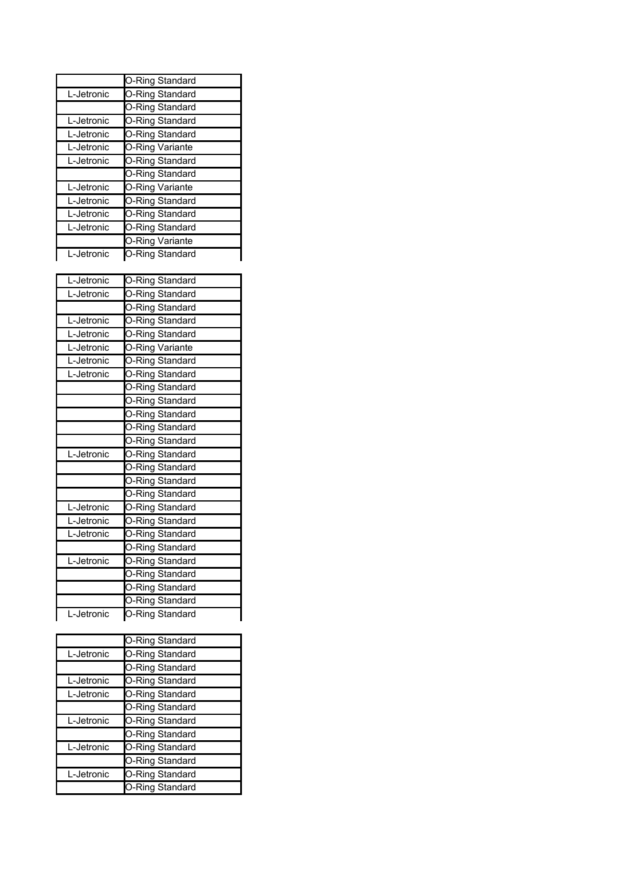|            | O-Ring Standard |
|------------|-----------------|
| L-Jetronic | O-Ring Standard |
|            | O-Ring Standard |
| L-Jetronic | O-Ring Standard |
| L-Jetronic | O-Ring Standard |
| L-Jetronic | O-Ring Variante |
| L-Jetronic | O-Ring Standard |
|            | O-Ring Standard |
| L-Jetronic | O-Ring Variante |
| L-Jetronic | O-Ring Standard |
| L-Jetronic | O-Ring Standard |
| L-Jetronic | O-Ring Standard |
|            | O-Ring Variante |
| L-Jetronic | O-Ring Standard |

| L-Jetronic | O-Ring Standard |
|------------|-----------------|
| L-Jetronic | O-Ring Standard |
|            | O-Ring Standard |
| L-Jetronic | O-Ring Standard |
| L-Jetronic | O-Ring Standard |
| L-Jetronic | O-Ring Variante |
| L-Jetronic | O-Ring Standard |
| L-Jetronic | O-Ring Standard |
|            | O-Ring Standard |
|            | O-Ring Standard |
|            | O-Ring Standard |
|            | O-Ring Standard |
|            | O-Ring Standard |
| L-Jetronic | O-Ring Standard |
|            | O-Ring Standard |
|            | O-Ring Standard |
|            | O-Ring Standard |
| L-Jetronic | O-Ring Standard |
| L-Jetronic | O-Ring Standard |
| L-Jetronic | O-Ring Standard |
|            | O-Ring Standard |
| L-Jetronic |                 |
|            | O-Ring Standard |
|            | O-Ring Standard |
|            | O-Ring Standard |
|            | O-Ring Standard |

|            | O-Ring Standard |
|------------|-----------------|
| L-Jetronic | O-Ring Standard |
|            | O-Ring Standard |
| L-Jetronic | O-Ring Standard |
| L-Jetronic | O-Ring Standard |
|            | O-Ring Standard |
| L-Jetronic | O-Ring Standard |
|            | O-Ring Standard |
| L-Jetronic | O-Ring Standard |
|            | O-Ring Standard |
| L-Jetronic | O-Ring Standard |
|            | O-Ring Standard |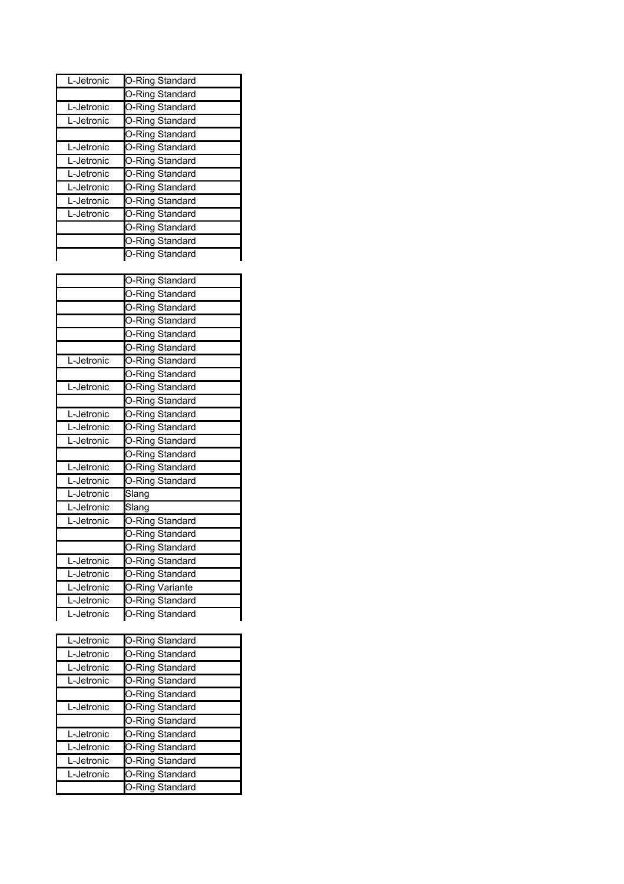| L-Jetronic | O-Ring Standard |
|------------|-----------------|
|            | O-Ring Standard |
| L-Jetronic | O-Ring Standard |
| L-Jetronic | O-Ring Standard |
|            | O-Ring Standard |
| L-Jetronic | O-Ring Standard |
| L-Jetronic | O-Ring Standard |
| L-Jetronic | O-Ring Standard |
| L-Jetronic | O-Ring Standard |
| L-Jetronic | O-Ring Standard |
| L-Jetronic | O-Ring Standard |
|            | O-Ring Standard |
|            | O-Ring Standard |
|            | O-Ring Standard |
|            |                 |
|            | O-Ring Standard |
|            | O-Ring Standard |
|            | O-Ring Standard |
|            | O-Ring Standard |
|            | O-Ring Standard |
|            | O-Ring Standard |
| L-Jetronic | O-Ring Standard |
|            | O-Ring Standard |
| L-Jetronic | O-Ring Standard |
|            | O-Ring Standard |
| L-Jetronic | O-Ring Standard |
| L-Jetronic | O-Ring Standard |
| L-Jetronic | O-Ring Standard |
|            | O-Ring Standard |
| L-Jetronic | O-Ring Standard |
| L-Jetronic | O-Ring Standard |
| L-Jetronic | Slang           |
| L-Jetronic | Slang           |
| L-Jetronic | O-Ring Standard |
|            | O-Ring Standard |
|            | O-Ring Standard |
| L-Jetronic | O-Ring Standard |
| L-Jetronic | O-Ring Standard |
| L-Jetronic | O-Ring Variante |
| L-Jetronic | O-Ring Standard |
| L-Jetronic | O-Ring Standard |

| L-Jetronic | O-Ring Standard |
|------------|-----------------|
| L-Jetronic | O-Ring Standard |
| L-Jetronic | O-Ring Standard |
| L-Jetronic | O-Ring Standard |
|            | O-Ring Standard |
| L-Jetronic | O-Ring Standard |
|            | O-Ring Standard |
| L-Jetronic | O-Ring Standard |
| L-Jetronic | O-Ring Standard |
| L-Jetronic | O-Ring Standard |
| L-Jetronic | O-Ring Standard |
|            | O-Ring Standard |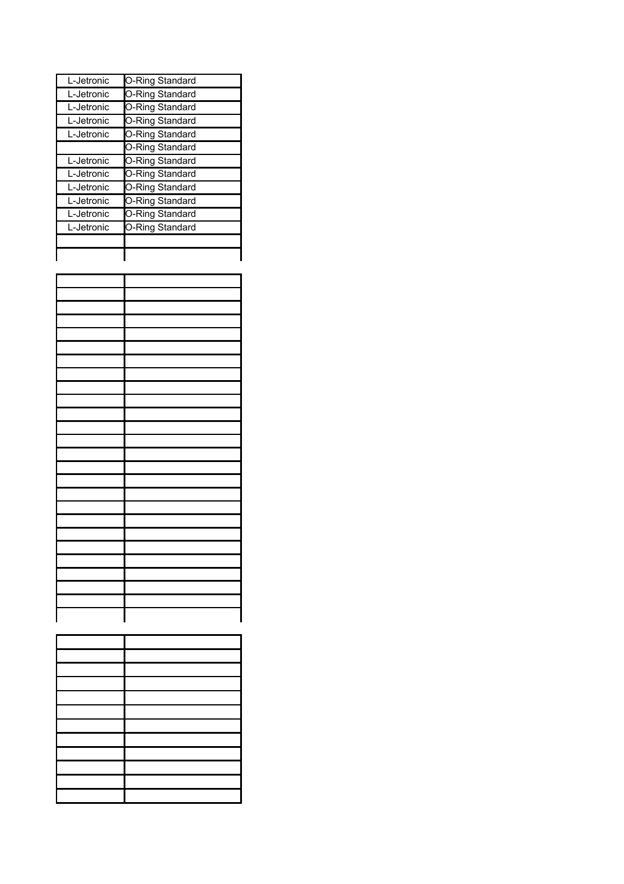| L-Jetronic | O-Ring Standard |
|------------|-----------------|
| L-Jetronic | O-Ring Standard |
| L-Jetronic | O-Ring Standard |
| L-Jetronic | O-Ring Standard |
| L-Jetronic | O-Ring Standard |
|            | O-Ring Standard |
| L-Jetronic | O-Ring Standard |
| L-Jetronic | O-Ring Standard |
| L-Jetronic | O-Ring Standard |
| L-Jetronic | O-Ring Standard |
| L-Jetronic | O-Ring Standard |
| L-Jetronic | O-Ring Standard |
|            |                 |
|            |                 |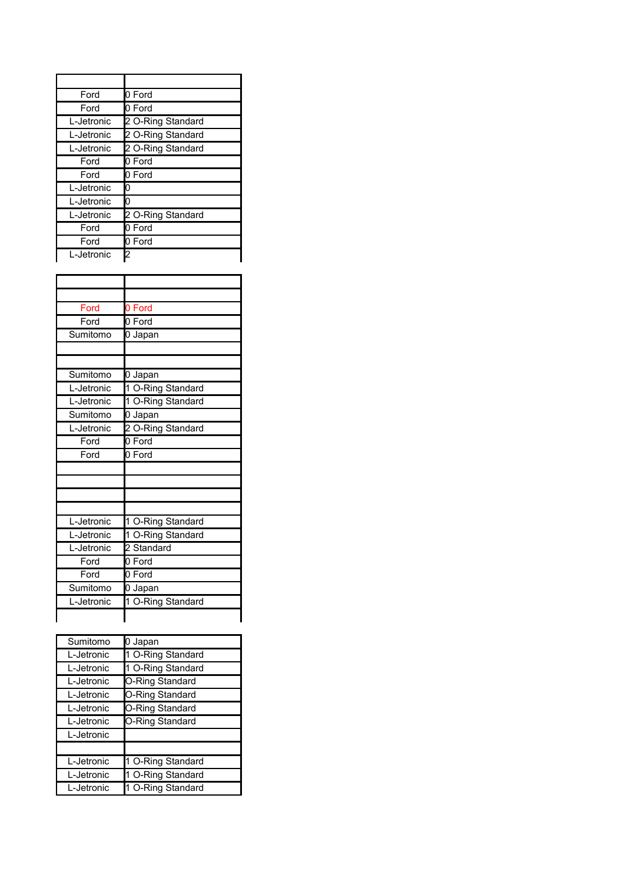| Ford       | l0 Ford           |
|------------|-------------------|
| Ford       | 0 Ford            |
| L-Jetronic | 2 O-Ring Standard |
| L-Jetronic | 2 O-Ring Standard |
| L-Jetronic | 2 O-Ring Standard |
| Ford       | 0 Ford            |
| Ford       | 0 Ford            |
| L-Jetronic | 0                 |
| L-Jetronic | 10                |
| L-Jetronic | 2 O-Ring Standard |
| Ford       | 0 Ford            |
| Ford       | 0 Ford            |
| L-Jetronic | 2                 |

| Ford       | 0 Ford            |
|------------|-------------------|
| Ford       | 0 Ford            |
| Sumitomo   | 0 Japan           |
|            |                   |
|            |                   |
| Sumitomo   | 0 Japan           |
| L-Jetronic | 1 O-Ring Standard |
| L-Jetronic | 1 O-Ring Standard |
| Sumitomo   | 0 Japan           |
| L-Jetronic | 2 O-Ring Standard |
| Ford       | 0 Ford            |
| Ford       | 0 Ford            |
|            |                   |
|            |                   |
|            |                   |
|            |                   |
| L-Jetronic | 1 O-Ring Standard |
| L-Jetronic | 1 O-Ring Standard |
| L-Jetronic | 2 Standard        |
| Ford       | 0 Ford            |
| Ford       | 0 Ford            |
| Sumitomo   | 0 Japan           |
| L-Jetronic | 1 O-Ring Standard |
|            |                   |

| Sumitomo   | 0 Japan           |
|------------|-------------------|
| L-Jetronic | 1 O-Ring Standard |
| L-Jetronic | 1 O-Ring Standard |
| L-Jetronic | O-Ring Standard   |
| L-Jetronic | O-Ring Standard   |
| L-Jetronic | O-Ring Standard   |
| L-Jetronic | O-Ring Standard   |
| L-Jetronic |                   |
|            |                   |
| L-Jetronic | 1 O-Ring Standard |
| L-Jetronic | 1 O-Ring Standard |
| L-Jetronic | 1 O-Ring Standard |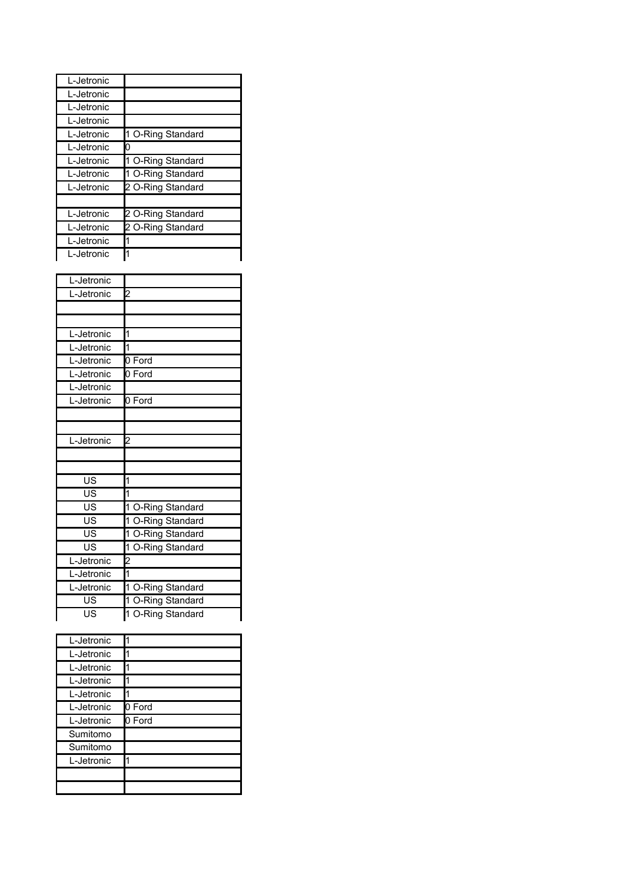| L-Jetronic |                   |
|------------|-------------------|
| L-Jetronic |                   |
| L-Jetronic |                   |
| L-Jetronic |                   |
| L-Jetronic | 1 O-Ring Standard |
| L-Jetronic | 0                 |
| L-Jetronic | 1 O-Ring Standard |
| L-Jetronic | 1 O-Ring Standard |
| L-Jetronic | 2 O-Ring Standard |
|            |                   |
| L-Jetronic | 2 O-Ring Standard |
| L-Jetronic | 2 O-Ring Standard |
| L-Jetronic | 1                 |
| L-Jetronic |                   |

| L-Jetronic |                   |
|------------|-------------------|
| L-Jetronic | 2                 |
|            |                   |
|            |                   |
| L-Jetronic | 1                 |
| L-Jetronic | 1                 |
| L-Jetronic | 0 Ford            |
| L-Jetronic | 0 Ford            |
| L-Jetronic |                   |
| L-Jetronic | 0 Ford            |
|            |                   |
|            |                   |
| L-Jetronic | 2                 |
|            |                   |
|            |                   |
| US         | 1                 |
| US         | 1                 |
| US         | 1 O-Ring Standard |
| US         | 1 O-Ring Standard |
| US         | 1 O-Ring Standard |
| US         | 1 O-Ring Standard |
| L-Jetronic | $\overline{c}$    |
| L-Jetronic | 1                 |
| L-Jetronic |                   |
|            | 1 O-Ring Standard |
| US         | 1 O-Ring Standard |
| US         | 1 O-Ring Standard |

| L-Jetronic |        |
|------------|--------|
| L-Jetronic |        |
| L-Jetronic |        |
| L-Jetronic |        |
| L-Jetronic |        |
| L-Jetronic | 0 Ford |
| L-Jetronic | 0 Ford |
| Sumitomo   |        |
| Sumitomo   |        |
| L-Jetronic |        |
|            |        |
|            |        |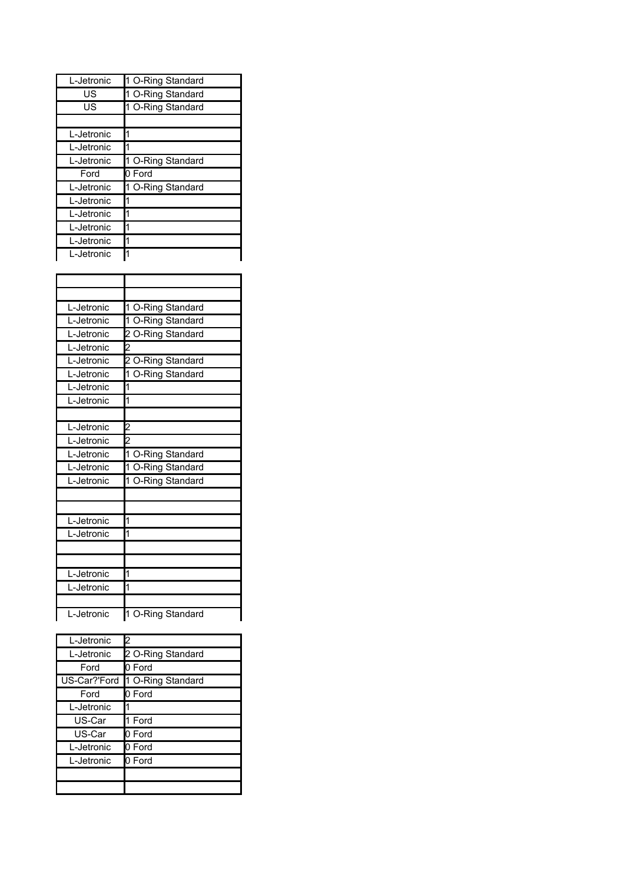| L-Jetronic | 1 O-Ring Standard |
|------------|-------------------|
| US         | 1 O-Ring Standard |
| US         | 1 O-Ring Standard |
|            |                   |
| L-Jetronic | 1                 |
| L-Jetronic |                   |
| L-Jetronic | 1 O-Ring Standard |
| Ford       | 0 Ford            |
| L-Jetronic | 1 O-Ring Standard |
| L-Jetronic |                   |
| L-Jetronic | 1                 |
| L-Jetronic | 1                 |
| L-Jetronic |                   |
| L-Jetronic |                   |

| L-Jetronic | 1 O-Ring Standard       |
|------------|-------------------------|
| L-Jetronic | 1 O-Ring Standard       |
| L-Jetronic | 2 O-Ring Standard       |
| L-Jetronic | $\overline{\mathbf{c}}$ |
| L-Jetronic | 2 O-Ring Standard       |
| L-Jetronic | 1 O-Ring Standard       |
| L-Jetronic | 1                       |
| L-Jetronic | 1                       |
|            |                         |
| L-Jetronic | $\overline{\mathbf{c}}$ |
| L-Jetronic | $\overline{c}$          |
| L-Jetronic | 1 O-Ring Standard       |
| L-Jetronic | 1 O-Ring Standard       |
| L-Jetronic | 1 O-Ring Standard       |
|            |                         |
|            |                         |
| L-Jetronic | 1                       |
| L-Jetronic | 1                       |
|            |                         |
|            |                         |
| L-Jetronic | 1                       |
| L-Jetronic | 1                       |
|            |                         |
| L-Jetronic | 1 O-Ring Standard       |

| L-Jetronic   | 2                 |
|--------------|-------------------|
| L-Jetronic   | 2 O-Ring Standard |
| Ford         | 0 Ford            |
| US-Car?'Ford | 1 O-Ring Standard |
| Ford         | 0 Ford            |
| L-Jetronic   |                   |
| US-Car       | 1 Ford            |
| US-Car       | 0 Ford            |
| L-Jetronic   | 0 Ford            |
| L-Jetronic   | 0 Ford            |
|              |                   |
|              |                   |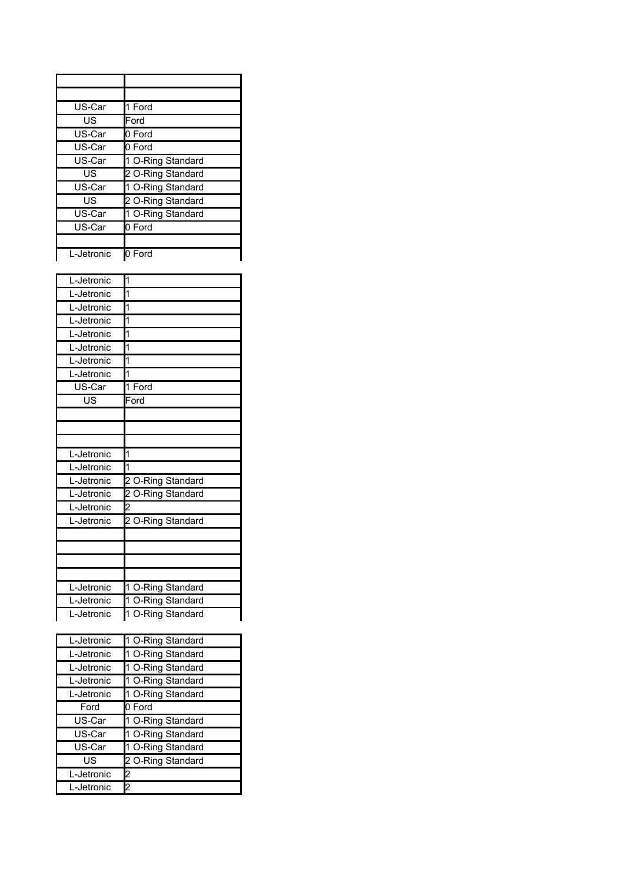| US-Car     | 1 Ford            |
|------------|-------------------|
| US         | Ford              |
| US-Car     | 0 Ford            |
| US-Car     | 0 Ford            |
| US-Car     | 1 O-Ring Standard |
| US         | 2 O-Ring Standard |
| US-Car     | 1 O-Ring Standard |
| US         | 2 O-Ring Standard |
| US-Car     | 1 O-Ring Standard |
| US-Car     | 0 Ford            |
|            |                   |
| L-Jetronic | 0 Ford            |
|            |                   |
| L-Jetronic | 1                 |
| L-Jetronic | 1                 |
| L-Jetronic | 1                 |
| L-Jetronic | 1                 |
|            |                   |

| L-Jetronic | 1                 |
|------------|-------------------|
| L-Jetronic | 1                 |
| L-Jetronic | 1                 |
| L-Jetronic | 1                 |
| L-Jetronic | 1                 |
| L-Jetronic | 1                 |
| US-Car     | 1 Ford            |
| US         | Ford              |
|            |                   |
|            |                   |
|            |                   |
| L-Jetronic | 1                 |
| L-Jetronic | 1                 |
| L-Jetronic | 2 O-Ring Standard |
| L-Jetronic | 2 O-Ring Standard |
| L-Jetronic | 2                 |
| L-Jetronic | 2 O-Ring Standard |
|            |                   |
|            |                   |
|            |                   |
|            |                   |
| L-Jetronic | 1 O-Ring Standard |
| L-Jetronic | 1 O-Ring Standard |
| L-Jetronic | 1 O-Ring Standard |

| L-Jetronic | 1 O-Ring Standard |
|------------|-------------------|
| L-Jetronic | 1 O-Ring Standard |
| L-Jetronic | 1 O-Ring Standard |
| L-Jetronic | 1 O-Ring Standard |
| L-Jetronic | 1 O-Ring Standard |
| Ford       | 0 Ford            |
| US-Car     | 1 O-Ring Standard |
| US-Car     | 1 O-Ring Standard |
| US-Car     | 1 O-Ring Standard |
| US         | 2 O-Ring Standard |
| L-Jetronic | 2                 |
| L-Jetronic | 2                 |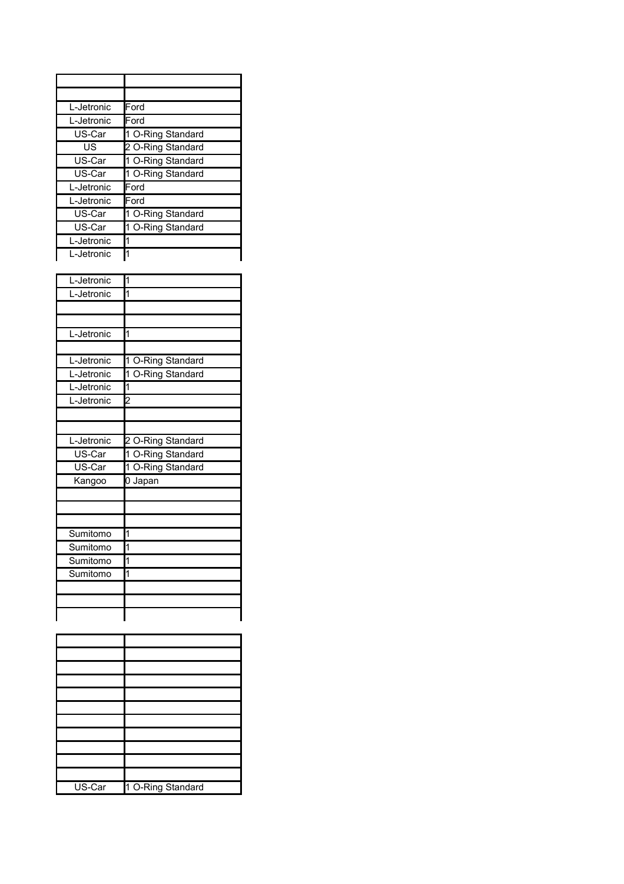| L-Jetronic | Ford              |
|------------|-------------------|
| L-Jetronic | Ford              |
| US-Car     | 1 O-Ring Standard |
| US         | 2 O-Ring Standard |
| US-Car     | 1 O-Ring Standard |
| US-Car     | 1 O-Ring Standard |
| L-Jetronic | Ford              |
| L-Jetronic | Ford              |
| US-Car     | 1 O-Ring Standard |
| US-Car     | 1 O-Ring Standard |
| L-Jetronic |                   |
| L-Jetronic |                   |

| L-Jetronic | 1                 |
|------------|-------------------|
| L-Jetronic | 1                 |
|            |                   |
|            |                   |
| L-Jetronic | 1                 |
|            |                   |
| L-Jetronic | 1 O-Ring Standard |
| L-Jetronic | 1 O-Ring Standard |
| L-Jetronic | 1                 |
| L-Jetronic | 2                 |
|            |                   |
|            |                   |
| L-Jetronic | 2 O-Ring Standard |
| US-Car     | 1 O-Ring Standard |
| US-Car     | 1 O-Ring Standard |
| Kangoo     | 0 Japan           |
|            |                   |
|            |                   |
|            |                   |
| Sumitomo   | 1                 |
| Sumitomo   | 1                 |
| Sumitomo   | 1                 |
| Sumitomo   | 1                 |
|            |                   |
|            |                   |
|            |                   |
|            |                   |

| US-Car | 1 O-Ring Standard |
|--------|-------------------|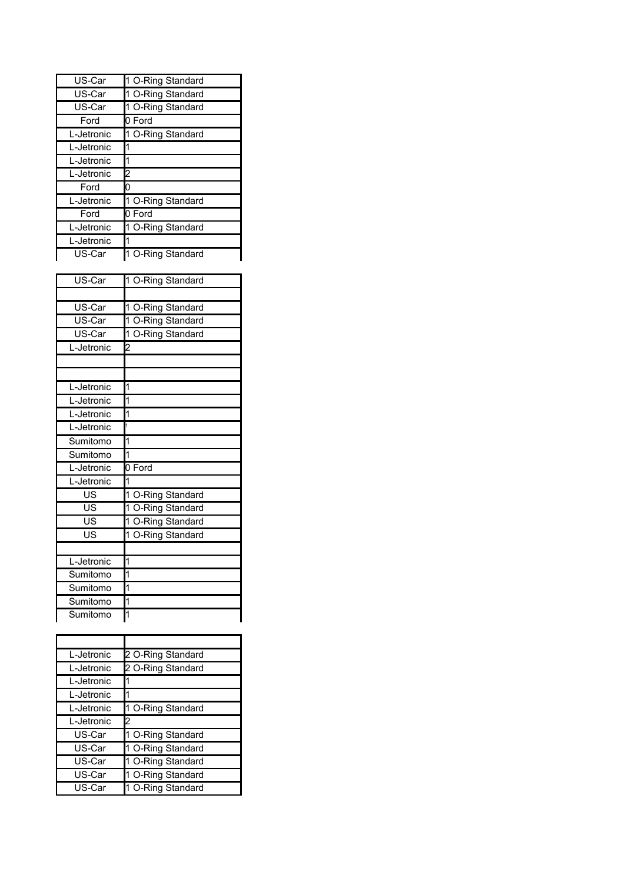| US-Car     | 1 O-Ring Standard |
|------------|-------------------|
| US-Car     | 1 O-Ring Standard |
| US-Car     | 1 O-Ring Standard |
| Ford       | 0 Ford            |
| L-Jetronic | 1 O-Ring Standard |
| L-Jetronic | 1                 |
| L-Jetronic |                   |
| L-Jetronic | 2                 |
| Ford       | 0                 |
| L-Jetronic | 1 O-Ring Standard |
| Ford       | 0 Ford            |
| L-Jetronic | 1 O-Ring Standard |
| L-Jetronic |                   |
| US-Car     | 1 O-Ring Standard |

| US-Car     | 1 O-Ring Standard |
|------------|-------------------|
|            |                   |
| US-Car     | 1 O-Ring Standard |
| US-Car     | 1 O-Ring Standard |
| US-Car     | 1 O-Ring Standard |
| L-Jetronic | 2                 |
|            |                   |
|            |                   |
| L-Jetronic | 1                 |
| L-Jetronic | 1                 |
| L-Jetronic | 1                 |
| L-Jetronic | 1                 |
| Sumitomo   | 1                 |
| Sumitomo   | 1                 |
| L-Jetronic | 0 Ford            |
| L-Jetronic | 1                 |
| US         | 1 O-Ring Standard |
| US         | 1 O-Ring Standard |
| US         | 1 O-Ring Standard |
| US         | 1 O-Ring Standard |
|            |                   |
| L-Jetronic | 1                 |
| Sumitomo   | 1                 |
| Sumitomo   | 1                 |
| Sumitomo   | 1                 |
| Sumitomo   | 1                 |

| L-Jetronic | 2 O-Ring Standard |
|------------|-------------------|
| L-Jetronic | 2 O-Ring Standard |
| L-Jetronic |                   |
| L-Jetronic |                   |
| L-Jetronic | 1 O-Ring Standard |
| L-Jetronic | 2                 |
| US-Car     | 1 O-Ring Standard |
| US-Car     | 1 O-Ring Standard |
| US-Car     | 1 O-Ring Standard |
| US-Car     | 1 O-Ring Standard |
| US-Car     | 1 O-Ring Standard |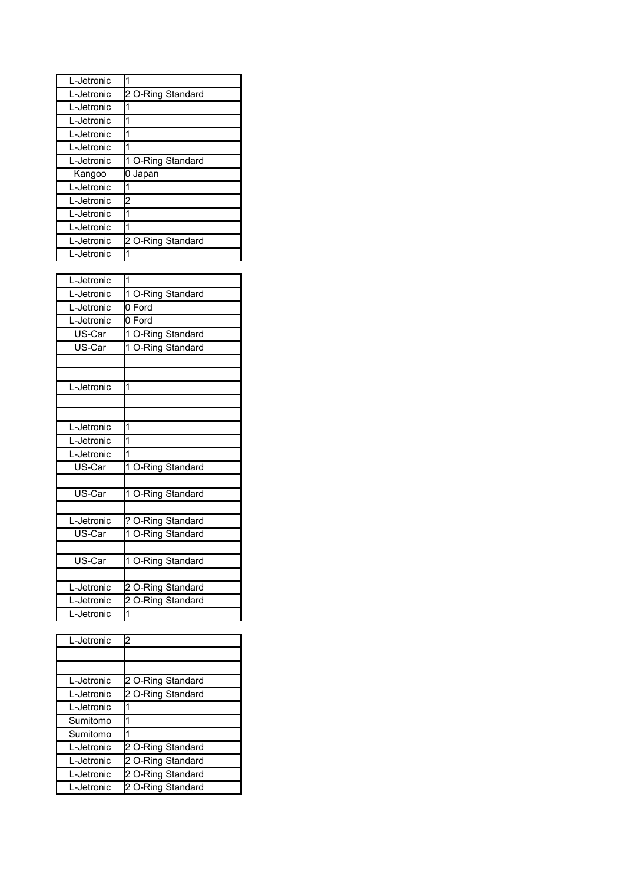| L-Jetronic |                   |
|------------|-------------------|
| L-Jetronic | 2 O-Ring Standard |
| L-Jetronic |                   |
| L-Jetronic | 1                 |
| L-Jetronic |                   |
| L-Jetronic | 1                 |
| L-Jetronic | 1 O-Ring Standard |
|            |                   |
| Kangoo     | 0 Japan           |
| L-Jetronic |                   |
| L-Jetronic | 2                 |
| L-Jetronic |                   |
| L-Jetronic |                   |
| L-Jetronic | 2 O-Ring Standard |
| L-Jetronic |                   |

| L-Jetronic | 1                 |
|------------|-------------------|
| L-Jetronic | 1 O-Ring Standard |
| L-Jetronic | 0 Ford            |
| L-Jetronic | 0 Ford            |
| US-Car     | 1 O-Ring Standard |
| US-Car     | 1 O-Ring Standard |
|            |                   |
|            |                   |
| L-Jetronic | 1                 |
|            |                   |
|            |                   |
| L-Jetronic | 1                 |
| L-Jetronic | 1                 |
| L-Jetronic | 1                 |
| US-Car     | 1 O-Ring Standard |
|            |                   |
| US-Car     | 1 O-Ring Standard |
|            |                   |
| L-Jetronic | ? O-Ring Standard |
| US-Car     | 1 O-Ring Standard |
|            |                   |
| US-Car     | 1 O-Ring Standard |
|            |                   |
| L-Jetronic | 2 O-Ring Standard |
| L-Jetronic | 2 O-Ring Standard |
| L-Jetronic | 1                 |

| 2                 |
|-------------------|
|                   |
|                   |
| 2 O-Ring Standard |
| 2 O-Ring Standard |
|                   |
|                   |
|                   |
| 2 O-Ring Standard |
| 2 O-Ring Standard |
| 2 O-Ring Standard |
| 2 O-Ring Standard |
|                   |